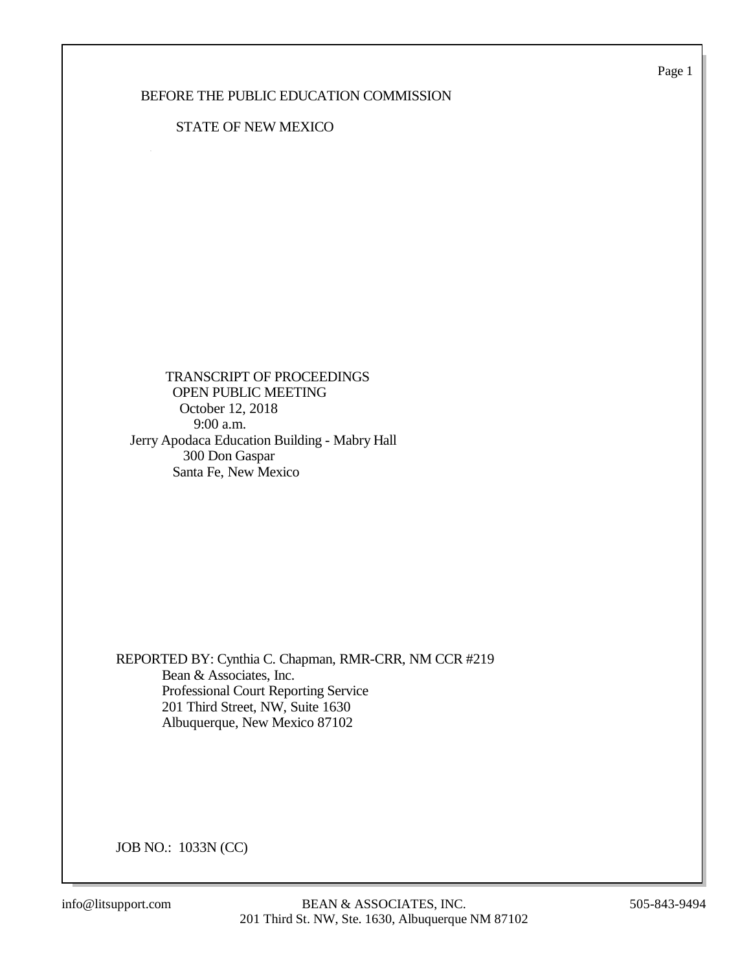Page 1

### BEFORE THE PUBLIC EDUCATION COMMISSION

### STATE OF NEW MEXICO

 TRANSCRIPT OF PROCEEDINGS OPEN PUBLIC MEETING October 12, 2018 9:00 a.m. Jerry Apodaca Education Building - Mabry Hall 300 Don Gaspar Santa Fe, New Mexico

REPORTED BY: Cynthia C. Chapman, RMR-CRR, NM CCR #219 Bean & Associates, Inc. Professional Court Reporting Service 201 Third Street, NW, Suite 1630 Albuquerque, New Mexico 87102

JOB NO.: 1033N (CC)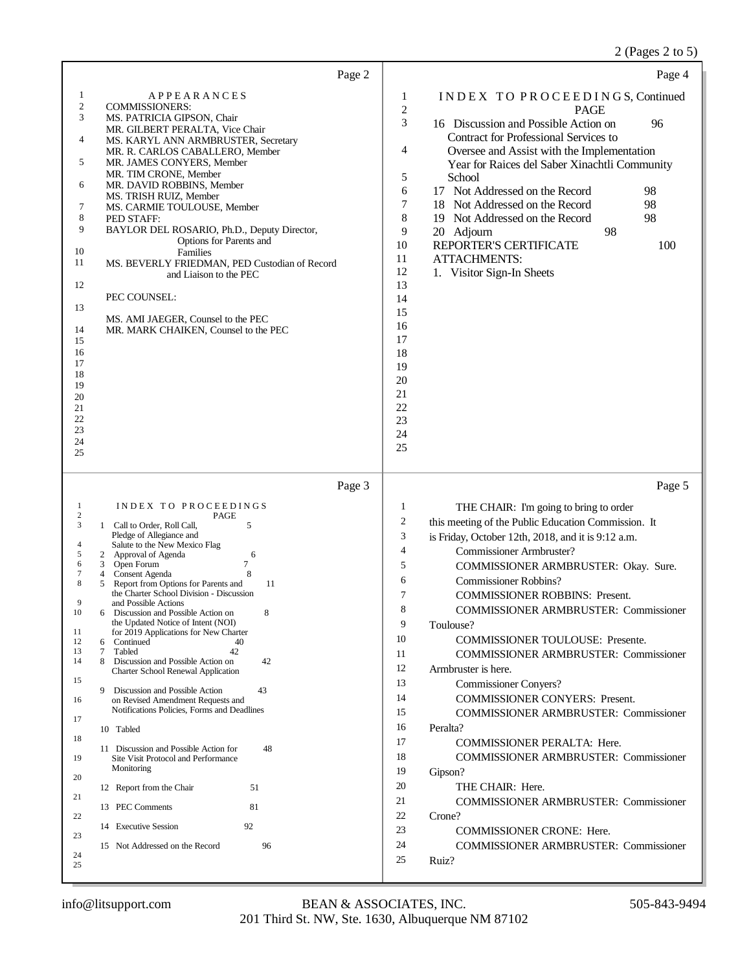2 (Pages 2 to 5)

| Page 2                                                                                                                                                                                                                                                                                                                                                                                                                                                                                                                                                                                                                                                                                                                                                                                                                                                                                                                                                                                                                                                                                                                                                         | Page 4                                                                                                                                                                                                                                                                                                                                                                                                                                                                                                                                                                                                                                                                                                                                                                                                                                                                                                                                                                                                                                                                             |
|----------------------------------------------------------------------------------------------------------------------------------------------------------------------------------------------------------------------------------------------------------------------------------------------------------------------------------------------------------------------------------------------------------------------------------------------------------------------------------------------------------------------------------------------------------------------------------------------------------------------------------------------------------------------------------------------------------------------------------------------------------------------------------------------------------------------------------------------------------------------------------------------------------------------------------------------------------------------------------------------------------------------------------------------------------------------------------------------------------------------------------------------------------------|------------------------------------------------------------------------------------------------------------------------------------------------------------------------------------------------------------------------------------------------------------------------------------------------------------------------------------------------------------------------------------------------------------------------------------------------------------------------------------------------------------------------------------------------------------------------------------------------------------------------------------------------------------------------------------------------------------------------------------------------------------------------------------------------------------------------------------------------------------------------------------------------------------------------------------------------------------------------------------------------------------------------------------------------------------------------------------|
| 1<br><b>APPEARANCES</b><br>2<br><b>COMMISSIONERS:</b><br>3<br>MS. PATRICIA GIPSON, Chair<br>MR. GILBERT PERALTA, Vice Chair<br>4<br>MS. KARYL ANN ARMBRUSTER, Secretary<br>MR. R. CARLOS CABALLERO, Member<br>5<br>MR. JAMES CONYERS, Member<br>MR. TIM CRONE, Member<br>6<br>MR. DAVID ROBBINS, Member<br>MS. TRISH RUIZ, Member<br>7<br>MS. CARMIE TOULOUSE, Member<br>8<br>PED STAFF:<br>9<br>BAYLOR DEL ROSARIO, Ph.D., Deputy Director,<br>Options for Parents and<br>10<br>Families<br>11<br>MS. BEVERLY FRIEDMAN, PED Custodian of Record<br>and Liaison to the PEC<br>12<br>PEC COUNSEL:<br>13<br>MS. AMI JAEGER, Counsel to the PEC<br>14<br>MR. MARK CHAIKEN, Counsel to the PEC<br>15<br>16<br>17<br>18<br>19<br>20<br>21<br>22<br>23<br>24<br>25                                                                                                                                                                                                                                                                                                                                                                                                   | INDEX TO PROCEEDINGS, Continued<br>1<br>$\overline{2}$<br><b>PAGE</b><br>3<br>16 Discussion and Possible Action on<br>96<br>Contract for Professional Services to<br>4<br>Oversee and Assist with the Implementation<br>Year for Raices del Saber Xinachtli Community<br>5<br>School<br>6<br>17 Not Addressed on the Record<br>98<br>7<br>18 Not Addressed on the Record<br>98<br>8<br>98<br>19 Not Addressed on the Record<br>9<br>20 Adjourn<br>98<br>10<br>REPORTER'S CERTIFICATE<br>100<br>11<br><b>ATTACHMENTS:</b><br>12<br>1. Visitor Sign-In Sheets<br>13<br>14<br>15<br>16<br>17<br>18<br>19<br>20<br>21<br>22<br>23<br>24<br>25                                                                                                                                                                                                                                                                                                                                                                                                                                          |
| Page 3                                                                                                                                                                                                                                                                                                                                                                                                                                                                                                                                                                                                                                                                                                                                                                                                                                                                                                                                                                                                                                                                                                                                                         | Page 5                                                                                                                                                                                                                                                                                                                                                                                                                                                                                                                                                                                                                                                                                                                                                                                                                                                                                                                                                                                                                                                                             |
| INDEX TO PROCEEDINGS<br>1<br>$\boldsymbol{2}$<br>PAGE<br>3<br>5<br>1 Call to Order, Roll Call,<br>Pledge of Allegiance and<br>Salute to the New Mexico Flag<br>4<br>Approval of Agenda<br>6<br>5<br>2<br>7<br>6<br>3 <sup>7</sup><br>Open Forum<br>8<br>7<br>Consent Agenda<br>4<br>8<br>5<br>Report from Options for Parents and<br>11<br>the Charter School Division - Discussion<br>9<br>and Possible Actions<br>10<br>6 Discussion and Possible Action on<br>the Updated Notice of Intent (NOI)<br>11<br>for 2019 Applications for New Charter<br>12<br>Continued<br>40<br>6<br>$\tau$<br>Tabled<br>42<br>13<br>8 Discussion and Possible Action on<br>14<br>42<br>Charter School Renewal Application<br>15<br>9<br>Discussion and Possible Action<br>43<br>16<br>on Revised Amendment Requests and<br>Notifications Policies, Forms and Deadlines<br>17<br>10 Tabled<br>18<br>11 Discussion and Possible Action for<br>48<br>19<br>Site Visit Protocol and Performance<br>Monitoring<br>20<br>12 Report from the Chair<br>51<br>21<br>13 PEC Comments<br>81<br>22<br>92<br>14 Executive Session<br>23<br>15 Not Addressed on the Record<br>96<br>24<br>25 | $\mathbf{1}$<br>THE CHAIR: I'm going to bring to order<br>$\boldsymbol{2}$<br>this meeting of the Public Education Commission. It<br>3<br>is Friday, October 12th, 2018, and it is 9:12 a.m.<br>$\overline{4}$<br>Commissioner Armbruster?<br>5<br>COMMISSIONER ARMBRUSTER: Okay. Sure.<br>6<br><b>Commissioner Robbins?</b><br>$\tau$<br><b>COMMISSIONER ROBBINS: Present.</b><br>8<br><b>COMMISSIONER ARMBRUSTER: Commissioner</b><br>9<br>Toulouse?<br>10<br><b>COMMISSIONER TOULOUSE: Presente.</b><br>11<br><b>COMMISSIONER ARMBRUSTER: Commissioner</b><br>12<br>Armbruster is here.<br>13<br><b>Commissioner Conyers?</b><br>14<br><b>COMMISSIONER CONYERS: Present.</b><br>15<br><b>COMMISSIONER ARMBRUSTER: Commissioner</b><br>16<br>Peralta?<br>17<br>COMMISSIONER PERALTA: Here.<br>18<br><b>COMMISSIONER ARMBRUSTER: Commissioner</b><br>19<br>Gipson?<br>20<br>THE CHAIR: Here.<br>21<br><b>COMMISSIONER ARMBRUSTER: Commissioner</b><br>22<br>Crone?<br>23<br><b>COMMISSIONER CRONE: Here.</b><br>24<br><b>COMMISSIONER ARMBRUSTER: Commissioner</b><br>25<br>Ruiz? |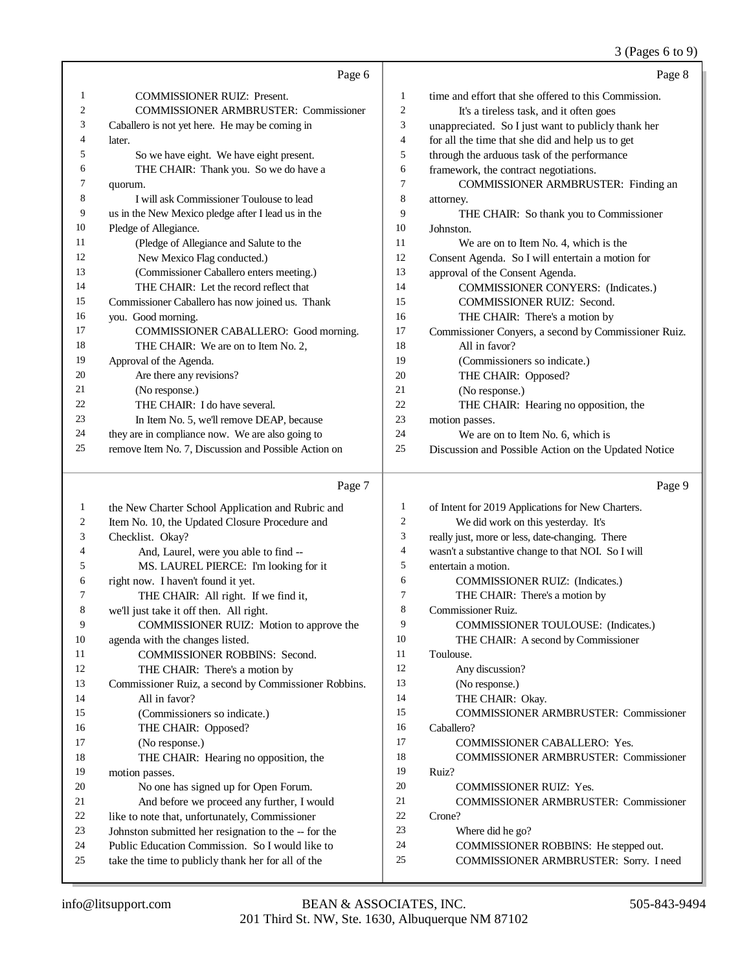### 3 (Pages 6 to 9)

|    | Page 6                                               |                | Page 8                                               |
|----|------------------------------------------------------|----------------|------------------------------------------------------|
| 1  | <b>COMMISSIONER RUIZ: Present.</b>                   | 1              | time and effort that she offered to this Commission. |
| 2  | <b>COMMISSIONER ARMBRUSTER: Commissioner</b>         | $\overline{2}$ | It's a tireless task, and it often goes              |
| 3  | Caballero is not yet here. He may be coming in       | 3              | unappreciated. So I just want to publicly thank her  |
| 4  | later.                                               | 4              | for all the time that she did and help us to get     |
| 5  | So we have eight. We have eight present.             | 5              | through the arduous task of the performance          |
| 6  | THE CHAIR: Thank you. So we do have a                | 6              | framework, the contract negotiations.                |
| 7  | quorum.                                              | 7              | COMMISSIONER ARMBRUSTER: Finding an                  |
| 8  | I will ask Commissioner Toulouse to lead             | 8              | attorney.                                            |
| 9  | us in the New Mexico pledge after I lead us in the   | 9              | THE CHAIR: So thank you to Commissioner              |
| 10 | Pledge of Allegiance.                                | 10             | Johnston.                                            |
| 11 | (Pledge of Allegiance and Salute to the              | 11             | We are on to Item No. 4, which is the                |
| 12 | New Mexico Flag conducted.)                          | 12             | Consent Agenda. So I will entertain a motion for     |
| 13 | (Commissioner Caballero enters meeting.)             | 13             | approval of the Consent Agenda.                      |
| 14 | THE CHAIR: Let the record reflect that               | 14             | <b>COMMISSIONER CONYERS:</b> (Indicates.)            |
| 15 | Commissioner Caballero has now joined us. Thank      | 15             | <b>COMMISSIONER RUIZ: Second.</b>                    |
| 16 | you. Good morning.                                   | 16             | THE CHAIR: There's a motion by                       |
| 17 | COMMISSIONER CABALLERO: Good morning.                | 17             | Commissioner Conyers, a second by Commissioner Ruiz. |
| 18 | THE CHAIR: We are on to Item No. 2,                  | 18             | All in favor?                                        |
| 19 | Approval of the Agenda.                              | 19             | (Commissioners so indicate.)                         |
| 20 | Are there any revisions?                             | 20             | THE CHAIR: Opposed?                                  |
| 21 | (No response.)                                       | 21             | (No response.)                                       |
| 22 | THE CHAIR: I do have several.                        | 22             | THE CHAIR: Hearing no opposition, the                |
| 23 | In Item No. 5, we'll remove DEAP, because            | 23             | motion passes.                                       |
| 24 | they are in compliance now. We are also going to     | 24             | We are on to Item No. 6, which is                    |
| 25 | remove Item No. 7, Discussion and Possible Action on | 25             | Discussion and Possible Action on the Updated Notice |
|    | Page 7                                               |                | Page 9                                               |

#### Page 7

 the New Charter School Application and Rubric and Item No. 10, the Updated Closure Procedure and Checklist. Okay? 4 And, Laurel, were you able to find --<br>5 MS. LAUREL PIERCE: I'm looking MS. LAUREL PIERCE: I'm looking for it 6 right now. I haven't found it yet.<br>7 THE CHAIR: All right. I 7 THE CHAIR: All right. If we find it,<br>8 we'll just take it off then. All right. we'll just take it off then. All right. COMMISSIONER RUIZ: Motion to approve the agenda with the changes listed. 11 COMMISSIONER ROBBINS: Second.<br>12 THE CHAIR: There's a motion by THE CHAIR: There's a motion by 13 Commissioner Ruiz, a second by Commissioner Robbins.<br>
14 All in favor? All in favor? (Commissioners so indicate.) THE CHAIR: Opposed? (No response.) THE CHAIR: Hearing no opposition, the motion passes. No one has signed up for Open Forum. And before we proceed any further, I would 22 like to note that, unfortunately, Commissioner<br>23 Johnston submitted her resignation to the -- for Johnston submitted her resignation to the -- for the Public Education Commission. So I would like to take the time to publicly thank her for all of the of Intent for 2019 Applications for New Charters. We did work on this yesterday. It's really just, more or less, date-changing. There wasn't a substantive change to that NOI. So I will entertain a motion. COMMISSIONER RUIZ: (Indicates.) THE CHAIR: There's a motion by Commissioner Ruiz. COMMISSIONER TOULOUSE: (Indicates.) THE CHAIR: A second by Commissioner Toulouse. Any discussion? (No response.) 14 THE CHAIR: Okay. COMMISSIONER ARMBRUSTER: Commissioner Caballero? COMMISSIONER CABALLERO: Yes. COMMISSIONER ARMBRUSTER: Commissioner Ruiz? COMMISSIONER RUIZ: Yes. COMMISSIONER ARMBRUSTER: Commissioner Crone? Where did he go? COMMISSIONER ROBBINS: He stepped out. COMMISSIONER ARMBRUSTER: Sorry. I need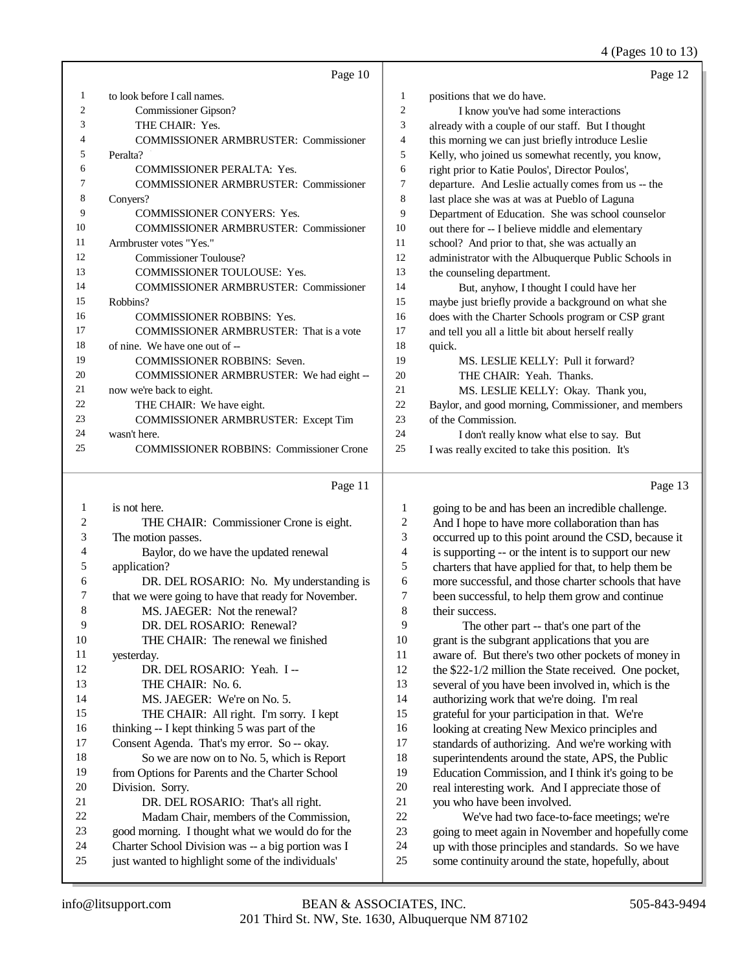### 4 (Pages 10 to 13)

|    | Page 10                                         |                | Page 12                                              |
|----|-------------------------------------------------|----------------|------------------------------------------------------|
| 1  | to look before I call names.                    | 1              | positions that we do have.                           |
| 2  | Commissioner Gipson?                            | $\overline{2}$ | I know you've had some interactions                  |
| 3  | THE CHAIR: Yes.                                 | 3              | already with a couple of our staff. But I thought    |
| 4  | <b>COMMISSIONER ARMBRUSTER: Commissioner</b>    | 4              | this morning we can just briefly introduce Leslie    |
| 5  | Peralta?                                        | 5              | Kelly, who joined us somewhat recently, you know,    |
| 6  | <b>COMMISSIONER PERALTA: Yes.</b>               | 6              | right prior to Katie Poulos', Director Poulos',      |
| 7  | <b>COMMISSIONER ARMBRUSTER: Commissioner</b>    | 7              | departure. And Leslie actually comes from us -- the  |
| 8  | Convers?                                        | 8              | last place she was at was at Pueblo of Laguna        |
| 9  | <b>COMMISSIONER CONYERS: Yes.</b>               | 9              | Department of Education. She was school counselor    |
| 10 | <b>COMMISSIONER ARMBRUSTER: Commissioner</b>    | 10             | out there for -- I believe middle and elementary     |
| 11 | Armbruster votes "Yes."                         | 11             | school? And prior to that, she was actually an       |
| 12 | <b>Commissioner Toulouse?</b>                   | 12             | administrator with the Albuquerque Public Schools in |
| 13 | COMMISSIONER TOULOUSE: Yes.                     | 13             | the counseling department.                           |
| 14 | <b>COMMISSIONER ARMBRUSTER: Commissioner</b>    | 14             | But, anyhow, I thought I could have her              |
| 15 | Robbins?                                        | 15             | maybe just briefly provide a background on what she  |
| 16 | <b>COMMISSIONER ROBBINS: Yes.</b>               | 16             | does with the Charter Schools program or CSP grant   |
| 17 | <b>COMMISSIONER ARMBRUSTER:</b> That is a vote  | 17             | and tell you all a little bit about herself really   |
| 18 | of nine. We have one out of --                  | 18             | quick.                                               |
| 19 | <b>COMMISSIONER ROBBINS: Seven.</b>             | 19             | MS. LESLIE KELLY: Pull it forward?                   |
| 20 | COMMISSIONER ARMBRUSTER: We had eight --        | 20             | THE CHAIR: Yeah. Thanks.                             |
| 21 | now we're back to eight.                        | 21             | MS. LESLIE KELLY: Okay. Thank you,                   |
| 22 | THE CHAIR: We have eight.                       | 22             | Baylor, and good morning, Commissioner, and members  |
| 23 | COMMISSIONER ARMBRUSTER: Except Tim             | 23             | of the Commission.                                   |
| 24 | wasn't here.                                    | 24             | I don't really know what else to say. But            |
| 25 | <b>COMMISSIONER ROBBINS: Commissioner Crone</b> | 25             | I was really excited to take this position. It's     |
|    | Page 11                                         |                | Page 13                                              |
| 1  | is not here.                                    | 1              | going to be and has been an incredible challenge.    |
| 2  | THE CHAIR: Commissioner Crone is eight.         | $\mathfrak{2}$ | And I hope to have more collaboration than has       |
| 3  | The motion passes.                              | 3              | occurred up to this point around the CSD, because it |

| 4  | Baylor, do we have the updated renewal              |
|----|-----------------------------------------------------|
| 5  | application?                                        |
| 6  | DR. DEL ROSARIO: No. My understanding is            |
| 7  | that we were going to have that ready for November. |
| 8  | MS. JAEGER: Not the renewal?                        |
| 9  | DR. DEL ROSARIO: Renewal?                           |
| 10 | THE CHAIR: The renewal we finished                  |
| 11 | yesterday.                                          |
| 12 | DR. DEL ROSARIO: Yeah. I-                           |
| 13 | THE CHAIR: No. 6.                                   |
| 14 | MS. JAEGER: We're on No. 5.                         |
| 15 | THE CHAIR: All right. I'm sorry. I kept             |
| 16 | thinking $-$ I kept thinking 5 was part of the      |
| 17 | Consent Agenda. That's my error. So -- okay.        |
| 18 | So we are now on to No. 5, which is Report          |
| 19 | from Options for Parents and the Charter School     |
| 20 | Division. Sorry.                                    |
| 21 | DR. DEL ROSARIO: That's all right.                  |
| 22 | Madam Chair, members of the Commission,             |
| 23 | good morning. I thought what we would do for the    |

 Charter School Division was -- a big portion was I just wanted to highlight some of the individuals'

 is supporting -- or the intent is to support our new charters that have applied for that, to help them be 6 more successful, and those charter schools that have<br>
7 been successful, to help them grow and continue 7 been successful, to help them grow and continue<br>8 their success.

their success.

9 The other part -- that's one part of the<br>10 grant is the subgrant applications that you are 10 grant is the subgrant applications that you are<br>11 aware of But there's two other pockets of mo 11 aware of. But there's two other pockets of money in<br>12 the \$22-1/2 million the State received. One pocket. 12 the  $$22-1/2$  million the State received. One pocket,<br>13 several of you have been involved in which is the several of you have been involved in, which is the authorizing work that we're doing. I'm real grateful for your participation in that. We're 16 looking at creating New Mexico principles and<br>17 standards of authorizing. And we're working w standards of authorizing. And we're working with 18 superintendents around the state, APS, the Public<br>19 Education Commission, and I think it's going to be Education Commission, and I think it's going to be 20 real interesting work. And I appreciate those of<br>21 vou who have been involved. 21 you who have been involved.<br>22 We've had two face-to-22 We've had two face-to-face meetings; we're<br>23 going to meet again in November and hopefully co 23 going to meet again in November and hopefully come<br>24 un with those principles and standards. So we have up with those principles and standards. So we have

some continuity around the state, hopefully, about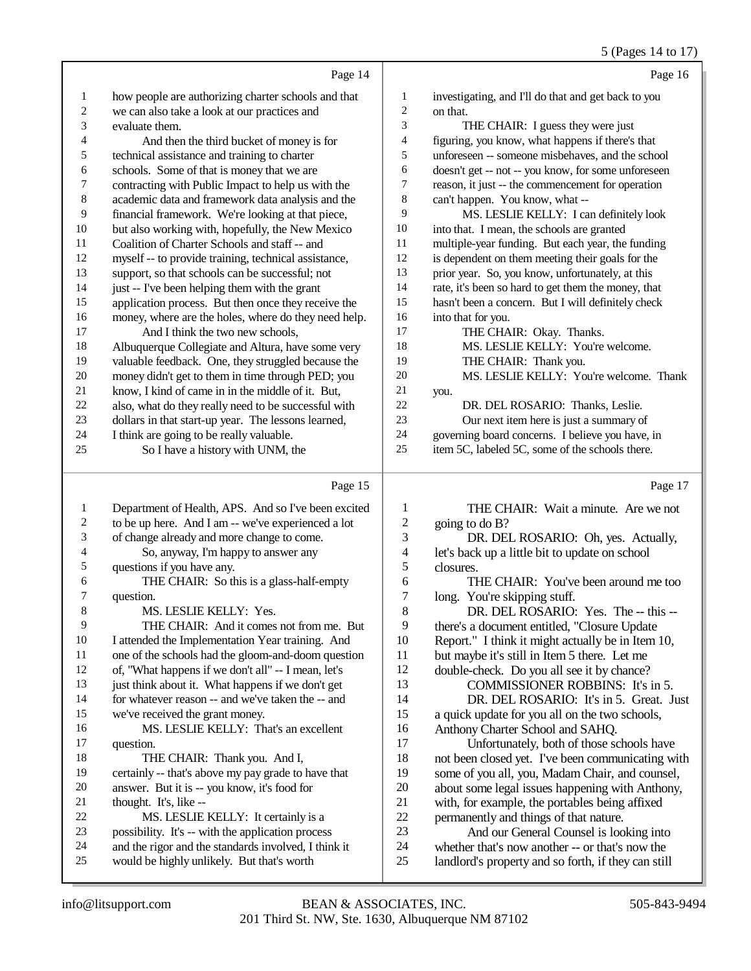|                         |                                                      |                         | 5 (Pages 14 to 17)                                  |
|-------------------------|------------------------------------------------------|-------------------------|-----------------------------------------------------|
|                         | Page 14                                              |                         | Page 16                                             |
| $\mathbf{1}$            | how people are authorizing charter schools and that  | $\mathbf{1}$            | investigating, and I'll do that and get back to you |
| $\overline{c}$          | we can also take a look at our practices and         | 2                       | on that.                                            |
| 3                       | evaluate them.                                       | 3                       | THE CHAIR: I guess they were just                   |
| $\overline{4}$          | And then the third bucket of money is for            | 4                       | figuring, you know, what happens if there's that    |
| 5                       | technical assistance and training to charter         | 5                       | unforeseen -- someone misbehaves, and the school    |
| 6                       | schools. Some of that is money that we are           | 6                       | doesn't get -- not -- you know, for some unforeseen |
| $\boldsymbol{7}$        | contracting with Public Impact to help us with the   | 7                       | reason, it just -- the commencement for operation   |
| 8                       | academic data and framework data analysis and the    | 8                       | can't happen. You know, what --                     |
| 9                       | financial framework. We're looking at that piece,    | 9                       | MS. LESLIE KELLY: I can definitely look             |
| $10\,$                  | but also working with, hopefully, the New Mexico     | $10\,$                  | into that. I mean, the schools are granted          |
| 11                      | Coalition of Charter Schools and staff -- and        | $11\,$                  | multiple-year funding. But each year, the funding   |
| 12                      | myself -- to provide training, technical assistance, | 12                      | is dependent on them meeting their goals for the    |
| 13                      | support, so that schools can be successful; not      | 13                      | prior year. So, you know, unfortunately, at this    |
| 14                      | just -- I've been helping them with the grant        | 14                      | rate, it's been so hard to get them the money, that |
| 15                      | application process. But then once they receive the  | 15                      | hasn't been a concern. But I will definitely check  |
| 16                      | money, where are the holes, where do they need help. | 16                      | into that for you.                                  |
| 17                      | And I think the two new schools,                     | 17                      | THE CHAIR: Okay. Thanks.                            |
| 18                      | Albuquerque Collegiate and Altura, have some very    | 18                      | MS. LESLIE KELLY: You're welcome.                   |
| 19                      | valuable feedback. One, they struggled because the   | 19                      | THE CHAIR: Thank you.                               |
| $20\,$                  | money didn't get to them in time through PED; you    | 20                      | MS. LESLIE KELLY: You're welcome. Thank             |
| $21\,$                  | know, I kind of came in in the middle of it. But,    | $21\,$                  | you.                                                |
| 22                      | also, what do they really need to be successful with | 22                      | DR. DEL ROSARIO: Thanks, Leslie.                    |
| 23                      | dollars in that start-up year. The lessons learned,  | 23                      | Our next item here is just a summary of             |
| 24                      | I think are going to be really valuable.             | 24                      | governing board concerns. I believe you have, in    |
| 25                      | So I have a history with UNM, the                    | 25                      | item 5C, labeled 5C, some of the schools there.     |
|                         | Page 15                                              |                         | Page 17                                             |
| $\mathbf{1}$            | Department of Health, APS. And so I've been excited  | $\mathbf{1}$            | THE CHAIR: Wait a minute. Are we not                |
| $\overline{\mathbf{c}}$ | to be up here. And I am -- we've experienced a lot   | $\overline{c}$          | going to do B?                                      |
| $\mathfrak{Z}$          | of change already and more change to come.           | 3                       | DR. DEL ROSARIO: Oh, yes. Actually,                 |
| $\overline{4}$          | So, anyway, I'm happy to answer any                  | $\overline{\mathbf{4}}$ | let's back up a little bit to update on school      |
| 5                       | questions if you have any.                           | 5                       | closures.                                           |
| 6                       | THE CHAIR: So this is a glass-half-empty             | 6                       | THE CHAIR: You've been around me too                |
| 7                       | question.                                            | $\boldsymbol{7}$        | long. You're skipping stuff.                        |
| 8                       | MS. LESLIE KELLY: Yes.                               | 8                       | DR. DEL ROSARIO: Yes. The -- this --                |
| 9                       | THE CHAIR: And it comes not from me. But             | 9                       | there's a document entitled, "Closure Update"       |
| $10\,$                  | I attended the Implementation Year training. And     | 10                      | Report." I think it might actually be in Item 10,   |
| 11                      | one of the schools had the gloom-and-doom question   | 11                      | but maybe it's still in Item 5 there. Let me        |
| 12                      | of, "What happens if we don't all" -- I mean, let's  | 12                      | double-check. Do you all see it by chance?          |
| 13                      | just think about it. What happens if we don't get    | 13                      | COMMISSIONER ROBBINS: It's in 5.                    |
| 14                      | for whatever reason -- and we've taken the -- and    | 14                      | DR. DEL ROSARIO: It's in 5. Great. Just             |
| 15                      | we've received the grant money.                      | 15                      | a quick update for you all on the two schools,      |
| 16                      | MS. LESLIE KELLY: That's an excellent                | 16                      | Anthony Charter School and SAHQ.                    |
| 17                      | question.                                            | 17                      | Unfortunately, both of those schools have           |
| 18                      | THE CHAIR: Thank you. And I,                         | 18                      | not been closed yet. I've been communicating with   |

- certainly -- that's above my pay grade to have that
- 20 answer. But it is -- you know, it's food for<br>21 thought. It's like --
- 21 thought. It's, like --<br>22 MS. LESLIE
- 22 MS. LESLIE KELLY: It certainly is a<br>23 opensibility. It's -- with the application process
- 23 possibility. It's -- with the application process<br>24 and the rigor and the standards involved. I thin
- 24 and the rigor and the standards involved, I think it<br>25 would be highly unlikely. But that's worth would be highly unlikely. But that's worth
- 

19 some of you all, you, Madam Chair, and counsel,<br>20 about some legal issues happening with Anthony, 20 about some legal issues happening with Anthony,<br>21 with, for example, the portables being affixed 21 with, for example, the portables being affixed<br>22 permanently and things of that nature.

23 And our General Counsel is looking into<br>24 whether that's now another -- or that's now the 24 whether that's now another -- or that's now the<br>25 landlord's property and so forth, if they can still landlord's property and so forth, if they can still

22 permanently and things of that nature.<br>23 And our General Counsel is loo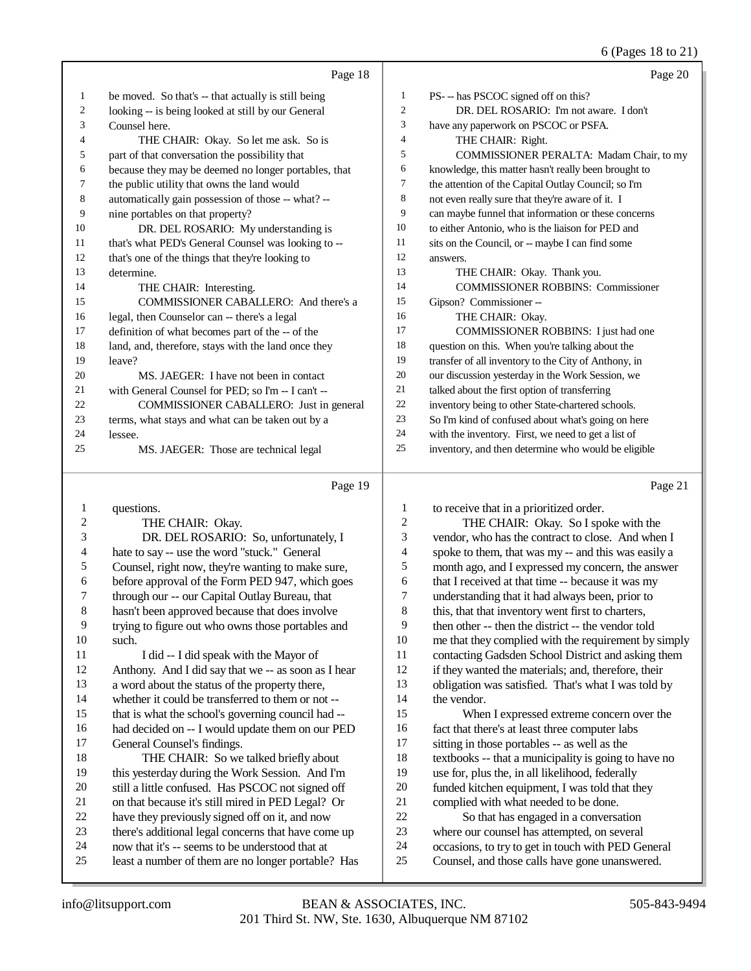### 6 (Pages 18 to 21)

|    | Page 18                                              |    | Page 20                                              |
|----|------------------------------------------------------|----|------------------------------------------------------|
| 1  | be moved. So that's -- that actually is still being  | 1  | PS--has PSCOC signed off on this?                    |
| 2  | looking -- is being looked at still by our General   | 2  | DR. DEL ROSARIO: I'm not aware. I don't              |
| 3  | Counsel here.                                        | 3  | have any paperwork on PSCOC or PSFA.                 |
| 4  | THE CHAIR: Okay. So let me ask. So is                | 4  | THE CHAIR: Right.                                    |
| 5  | part of that conversation the possibility that       | 5  | COMMISSIONER PERALTA: Madam Chair, to my             |
| 6  | because they may be deemed no longer portables, that | 6  | knowledge, this matter hasn't really been brought to |
| 7  | the public utility that owns the land would          | 7  | the attention of the Capital Outlay Council; so I'm  |
| 8  | automatically gain possession of those -- what? --   | 8  | not even really sure that they're aware of it. I     |
| 9  | nine portables on that property?                     | 9  | can maybe funnel that information or these concerns  |
| 10 | DR. DEL ROSARIO: My understanding is                 | 10 | to either Antonio, who is the liaison for PED and    |
| 11 | that's what PED's General Counsel was looking to --  | 11 | sits on the Council, or -- maybe I can find some     |
| 12 | that's one of the things that they're looking to     | 12 | answers.                                             |
| 13 | determine.                                           | 13 | THE CHAIR: Okay. Thank you.                          |
| 14 | THE CHAIR: Interesting.                              | 14 | <b>COMMISSIONER ROBBINS: Commissioner</b>            |
| 15 | COMMISSIONER CABALLERO: And there's a                | 15 | Gipson? Commissioner --                              |
| 16 | legal, then Counselor can -- there's a legal         | 16 | THE CHAIR: Okay.                                     |
| 17 | definition of what becomes part of the -- of the     | 17 | <b>COMMISSIONER ROBBINS:</b> I just had one          |
| 18 | land, and, therefore, stays with the land once they  | 18 | question on this. When you're talking about the      |
| 19 | leave?                                               | 19 | transfer of all inventory to the City of Anthony, in |
| 20 | MS. JAEGER: I have not been in contact               | 20 | our discussion yesterday in the Work Session, we     |
| 21 | with General Counsel for PED; so I'm -- I can't --   | 21 | talked about the first option of transferring        |
| 22 | COMMISSIONER CABALLERO: Just in general              | 22 | inventory being to other State-chartered schools.    |
| 23 | terms, what stays and what can be taken out by a     | 23 | So I'm kind of confused about what's going on here   |
| 24 | lessee.                                              | 24 | with the inventory. First, we need to get a list of  |
| 25 | MS. JAEGER: Those are technical legal                | 25 | inventory, and then determine who would be eligible  |
|    |                                                      |    |                                                      |

#### Page 19

1 questions. 2 THE CHAIR: Okay. 3 DR. DEL ROSARIO: So, unfortunately, I<br>4 hate to say -- use the word "stuck." General 4 hate to say -- use the word "stuck." General<br>5 Counsel, right now, they're wanting to make 5 Counsel, right now, they're wanting to make sure,<br>6 before approval of the Form PED 947, which goes 6 before approval of the Form PED 947, which goes<br>7 through our -- our Capital Outlay Bureau, that 7 through our -- our Capital Outlay Bureau, that<br>8 hasn't been approved because that does involve hasn't been approved because that does involve 9 trying to figure out who owns those portables and 10 such.<br>11 I did -- I did speak with the Mayor of 12 Anthony. And I did say that we -- as soon as I hear 13 a word about the status of the property there, 14 whether it could be transferred to them or not -- 15 that is what the school's governing council had -- 16 had decided on -- I would update them on our PED<br>17 General Counsel's findings. General Counsel's findings. 18 THE CHAIR: So we talked briefly about<br>19 this vesterday during the Work Session. And I'n this yesterday during the Work Session. And I'm 20 still a little confused. Has PSCOC not signed off<br>21 on that because it's still mired in PED Legal? Or 21 on that because it's still mired in PED Legal? Or 22 have they previously signed off on it, and now 22 have they previously signed off on it, and now<br>23 there's additional legal concerns that have com there's additional legal concerns that have come up 24 now that it's -- seems to be understood that at 25 least a number of them are no longer portable least a number of them are no longer portable? Has Page 21 1 to receive that in a prioritized order.<br>2 THE CHAIR: Okay, So I spo 2 THE CHAIR: Okay. So I spoke with the<br>3 vendor, who has the contract to close. And when vendor, who has the contract to close. And when I 4 spoke to them, that was my -- and this was easily a<br>5 month ago, and I expressed my concern, the answer 5 month ago, and I expressed my concern, the answer<br>6 that I received at that time -- because it was my 6 that I received at that time -- because it was my<br>
7 understanding that it had always been, prior to 7 understanding that it had always been, prior to<br>8 this, that that inventory went first to charters. this, that that inventory went first to charters, 9 then other -- then the district -- the vendor told<br>10 me that they complied with the requirement by 10 me that they complied with the requirement by simply<br>11 contacting Gadsden School District and asking them contacting Gadsden School District and asking them 12 if they wanted the materials; and, therefore, their 13 obligation was satisfied. That's what I was told by 14 the vendor. 15 When I expressed extreme concern over the 16 fact that there's at least three computer labs<br>17 sitting in those portables -- as well as the sitting in those portables -- as well as the 18 textbooks -- that a municipality is going to have no<br>19 use for plus the in all likelihood federally use for, plus the, in all likelihood, federally 20 funded kitchen equipment, I was told that they<br>21 complied with what needed to be done. 21 complied with what needed to be done.<br>22 So that has engaged in a converse 22 So that has engaged in a conversation<br>23 where our counsel has attempted, on several where our counsel has attempted, on several 24 occasions, to try to get in touch with PED General 25 Counsel, and those calls have gone unanswered.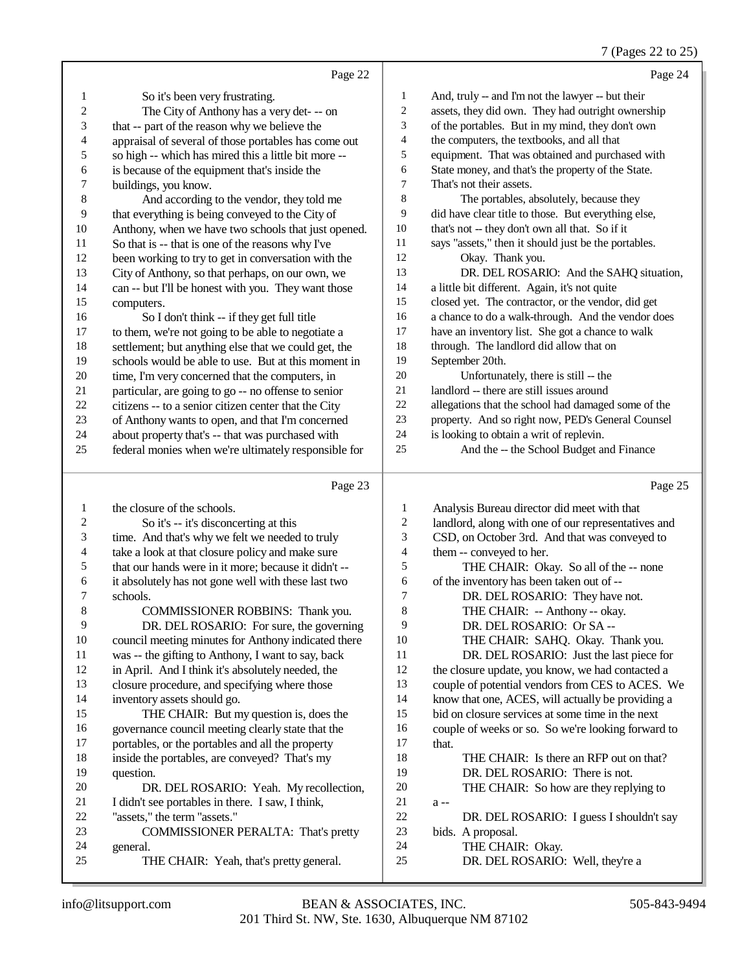$7 (D<sub>2008</sub> 22 to 25)$ 

|                |                                                      |                | $(1 \text{ ages } 22 \text{ to } 2)$                 |
|----------------|------------------------------------------------------|----------------|------------------------------------------------------|
|                | Page 22                                              |                | Page 24                                              |
| 1              | So it's been very frustrating.                       | 1              | And, truly -- and I'm not the lawyer -- but their    |
| $\overline{2}$ | The City of Anthony has a very det--- on             | $\overline{c}$ | assets, they did own. They had outright ownership    |
| 3              | that -- part of the reason why we believe the        | 3              | of the portables. But in my mind, they don't own     |
| $\overline{4}$ | appraisal of several of those portables has come out | 4              | the computers, the textbooks, and all that           |
| 5              | so high -- which has mired this a little bit more -- | 5              | equipment. That was obtained and purchased with      |
| 6              | is because of the equipment that's inside the        | 6              | State money, and that's the property of the State.   |
| 7              | buildings, you know.                                 | 7              | That's not their assets.                             |
| 8              | And according to the vendor, they told me            | 8              | The portables, absolutely, because they              |
| 9              | that everything is being conveyed to the City of     | 9              | did have clear title to those. But everything else,  |
| 10             | Anthony, when we have two schools that just opened.  | 10             | that's not -- they don't own all that. So if it      |
| 11             | So that is -- that is one of the reasons why I've    | 11             | says "assets," then it should just be the portables. |
| 12             | been working to try to get in conversation with the  | 12             | Okay. Thank you.                                     |
| 13             | City of Anthony, so that perhaps, on our own, we     | 13             | DR. DEL ROSARIO: And the SAHQ situation,             |
| 14             | can -- but I'll be honest with you. They want those  | 14             | a little bit different. Again, it's not quite        |
| 15             | computers.                                           | 15             | closed yet. The contractor, or the vendor, did get   |
| 16             | So I don't think -- if they get full title           | 16             | a chance to do a walk-through. And the vendor does   |
| 17             | to them, we're not going to be able to negotiate a   | 17             | have an inventory list. She got a chance to walk     |
| 18             | settlement; but anything else that we could get, the | 18             | through. The landlord did allow that on              |
| 19             | schools would be able to use. But at this moment in  | 19             | September 20th.                                      |
| 20             | time, I'm very concerned that the computers, in      | 20             | Unfortunately, there is still -- the                 |
| 21             | particular, are going to go -- no offense to senior  | 21             | landlord -- there are still issues around            |
| 22             | citizens -- to a senior citizen center that the City | 22             | allegations that the school had damaged some of the  |
| 23             | of Anthony wants to open, and that I'm concerned     | 23             | property. And so right now, PED's General Counsel    |
| 24             | about property that's -- that was purchased with     | 24             | is looking to obtain a writ of replevin.             |
| 25             | federal monies when we're ultimately responsible for | 25             | And the -- the School Budget and Finance             |
|                | Page 23                                              |                | Page 25                                              |
| 1              | the closure of the schools.                          | $\mathbf{1}$   | Analysis Bureau director did meet with that          |
| 2              | So it's -- it's disconcerting at this                | $\mathfrak{2}$ | landlord, along with one of our representatives and  |
| 3              | time. And that's why we felt we needed to truly      | 3              | CSD, on October 3rd. And that was conveyed to        |
| $\overline{4}$ | take a look at that closure policy and make sure     | $\overline{4}$ | them -- conveyed to her.                             |

24 general.<br>25 TI

 $\frac{7}{8}$  schools.

5 that our hands were in it more; because it didn't --<br>6 it absolutely has not gone well with these last two it absolutely has not gone well with these last two

9 DR. DEL ROSARIO: For sure, the governing<br>10 council meeting minutes for Anthony indicated there 10 council meeting minutes for Anthony indicated there<br>11 was -- the gifting to Anthony. I want to say, back 11 was -- the gifting to Anthony, I want to say, back<br>12 in April. And I think it's absolutely needed, the in April. And I think it's absolutely needed, the

closure procedure, and specifying where those

18 inside the portables, are conveyed? That's my<br>19 ouestion

21 I didn't see portables in there. I saw, I think,<br>22 "assets." the term "assets."

20 DR. DEL ROSARIO: Yeah. My recollection,<br>21 I didn't see portables in there. I saw. I think.

23 COMMISSIONER PERALTA: That's pretty<br>24 general.

THE CHAIR: Yeah, that's pretty general.

 THE CHAIR: But my question is, does the 16 governance council meeting clearly state that the 17 portables or the protables and all the property portables, or the portables and all the property

inventory assets should go.

22 "assets," the term "assets."<br>23 COMMISSIONER

question.

COMMISSIONER ROBBINS: Thank you.

5 THE CHAIR: Okay. So all of the -- none<br>6 of the inventory has been taken out of --

10 THE CHAIR: SAHQ. Okay. Thank you.<br>11 DR. DEL ROSARIO: Just the last piece for

 the closure update, you know, we had contacted a couple of potential vendors from CES to ACES. We know that one, ACES, will actually be providing a bid on closure services at some time in the next 16 couple of weeks or so. So we're looking forward to 17 that.

18 THE CHAIR: Is there an RFP out on that?<br>19 DR DEL ROSARIO: There is not DR. DEL ROSARIO: There is not.

20 THE CHAIR: So how are they replying to a --

DR. DEL ROSARIO: Well, they're a

22 DR. DEL ROSARIO: I guess I shouldn't say<br>23 bids. A proposal.

DR. DEL ROSARIO: Just the last piece for

6 of the inventory has been taken out of --<br>7 DR. DEL ROSARIO: They have 7 DR. DEL ROSARIO: They have not.<br>8 THE CHAIR: -- Anthony -- okay THE CHAIR: -- Anthony -- okay.

9 DR. DEL ROSARIO: Or SA --<br>10 THE CHAIR: SAHO. Okav. T

that.

bids. A proposal. THE CHAIR: Okay.

 $\frac{21}{22}$  a --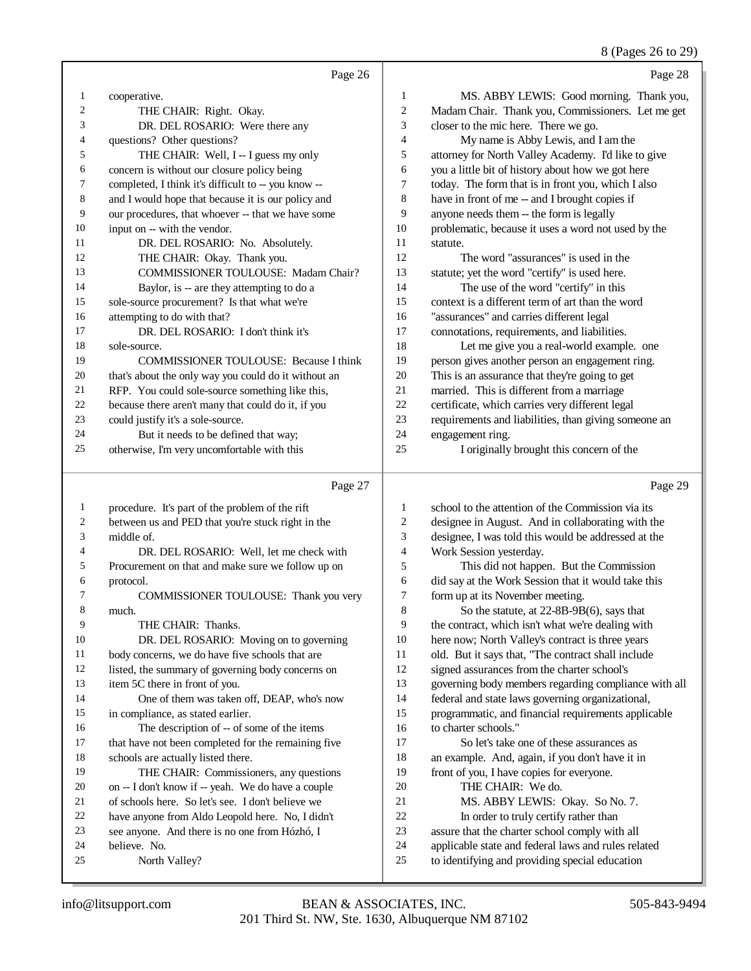## 8 (Pages 26 to 29)

## Page 26

|                | Page 26                                              |                | Page 28                                              |
|----------------|------------------------------------------------------|----------------|------------------------------------------------------|
| -1             | cooperative.                                         | 1              | MS. ABBY LEWIS: Good morning. Thank you,             |
| $\overline{2}$ | THE CHAIR: Right. Okay.                              | $\overline{c}$ | Madam Chair. Thank you, Commissioners. Let me get    |
| 3              | DR. DEL ROSARIO: Were there any                      | 3              | closer to the mic here. There we go.                 |
| $\overline{4}$ | questions? Other questions?                          | $\overline{4}$ | My name is Abby Lewis, and I am the                  |
| 5              | THE CHAIR: Well, I -- I guess my only                | 5              | attorney for North Valley Academy. I'd like to give  |
| 6              | concern is without our closure policy being          | 6              | you a little bit of history about how we got here    |
| $\tau$         | completed, I think it's difficult to -- you know --  | $\overline{7}$ | today. The form that is in front you, which I also   |
| 8              | and I would hope that because it is our policy and   | 8              | have in front of me -- and I brought copies if       |
| 9              | our procedures, that whoever -- that we have some    | 9              | anyone needs them -- the form is legally             |
| 10             | input on -- with the vendor.                         | 10             | problematic, because it uses a word not used by the  |
| 11             | DR. DEL ROSARIO: No. Absolutely.                     | 11             | statute.                                             |
| 12             | THE CHAIR: Okay. Thank you.                          | 12             | The word "assurances" is used in the                 |
| 13             | <b>COMMISSIONER TOULOUSE: Madam Chair?</b>           | 13             | statute; yet the word "certify" is used here.        |
| 14             | Baylor, is -- are they attempting to do a            | 14             | The use of the word "certify" in this                |
| 15             | sole-source procurement? Is that what we're          | 15             | context is a different term of art than the word     |
| 16             | attempting to do with that?                          | 16             | "assurances" and carries different legal             |
| 17             | DR. DEL ROSARIO: I don't think it's                  | 17             | connotations, requirements, and liabilities.         |
| 18             | sole-source.                                         | 18             | Let me give you a real-world example. one            |
| 19             | <b>COMMISSIONER TOULOUSE:</b> Because I think        | 19             | person gives another person an engagement ring.      |
| 20             | that's about the only way you could do it without an | 20             | This is an assurance that they're going to get       |
| 21             | RFP. You could sole-source something like this,      | 21             | married. This is different from a marriage           |
| 22             | because there aren't many that could do it, if you   | 22             | certificate, which carries very different legal      |
| 23             | could justify it's a sole-source.                    | 23             | requirements and liabilities, than giving someone an |
| 24             | But it needs to be defined that way;                 | 24             | engagement ring.                                     |
| 25             | otherwise, I'm very uncomfortable with this          | 25             | I originally brought this concern of the             |
|                | Page 27                                              |                | Page 29                                              |

### ige

| $\perp$ | procedure. It's part of the problem of the rift     | 1  | school to the attention of the Commission via its    |
|---------|-----------------------------------------------------|----|------------------------------------------------------|
| 2       | between us and PED that you're stuck right in the   | 2  | designee in August. And in collaborating with the    |
| 3       | middle of.                                          | 3  | designee, I was told this would be addressed at the  |
| 4       | DR. DEL ROSARIO: Well, let me check with            | 4  | Work Session yesterday.                              |
| 5       | Procurement on that and make sure we follow up on   | 5  | This did not happen. But the Commission              |
| 6       | protocol.                                           | 6  | did say at the Work Session that it would take this  |
| 7       | COMMISSIONER TOULOUSE: Thank you very               | 7  | form up at its November meeting.                     |
| 8       | much.                                               | 8  | So the statute, at $22-8B-9B(6)$ , says that         |
| 9       | THE CHAIR: Thanks.                                  | 9  | the contract, which isn't what we're dealing with    |
| 10      | DR. DEL ROSARIO: Moving on to governing             | 10 | here now; North Valley's contract is three years     |
| 11      | body concerns, we do have five schools that are     | 11 | old. But it says that, "The contract shall include   |
| 12      | listed, the summary of governing body concerns on   | 12 | signed assurances from the charter school's          |
| 13      | item 5C there in front of you.                      | 13 | governing body members regarding compliance with all |
| 14      | One of them was taken off, DEAP, who's now          | 14 | federal and state laws governing organizational,     |
| 15      | in compliance, as stated earlier.                   | 15 | programmatic, and financial requirements applicable  |
| 16      | The description of -- of some of the items          | 16 | to charter schools."                                 |
| 17      | that have not been completed for the remaining five | 17 | So let's take one of these assurances as             |
| 18      | schools are actually listed there.                  | 18 | an example. And, again, if you don't have it in      |
| 19      | THE CHAIR: Commissioners, any questions             | 19 | front of you, I have copies for everyone.            |
| 20      | on -- I don't know if -- yeah. We do have a couple  | 20 | THE CHAIR: We do.                                    |
| 21      | of schools here. So let's see. I don't believe we   | 21 | MS. ABBY LEWIS: Okay. So No. 7.                      |
| 22      | have anyone from Aldo Leopold here. No, I didn't    | 22 | In order to truly certify rather than                |
| 23      | see anyone. And there is no one from Hózhó, I       | 23 | assure that the charter school comply with all       |
| 24      | believe. No.                                        | 24 | applicable state and federal laws and rules related  |
| 25      | North Valley?                                       | 25 | to identifying and providing special education       |
|         |                                                     |    |                                                      |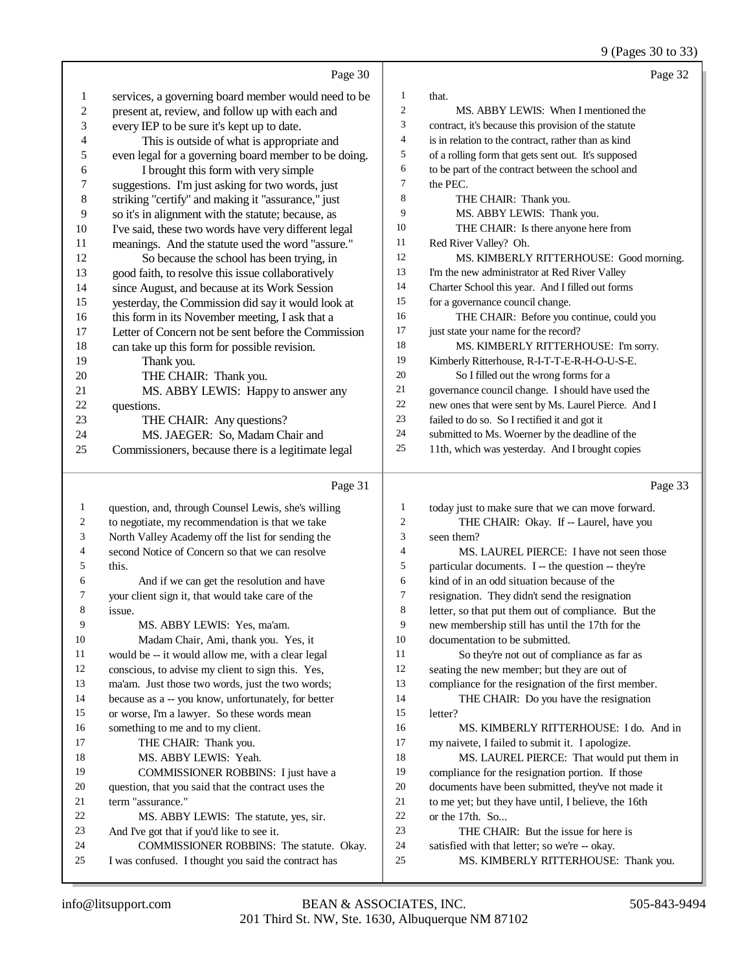9 (Pages 30 to 33)

|                         | Page 30                                              |                          | Page 32                                              |
|-------------------------|------------------------------------------------------|--------------------------|------------------------------------------------------|
| $\mathbf{1}$            | services, a governing board member would need to be  | $\mathbf{1}$             | that.                                                |
| $\overline{\mathbf{c}}$ | present at, review, and follow up with each and      | $\mathfrak{2}$           | MS. ABBY LEWIS: When I mentioned the                 |
| 3                       | every IEP to be sure it's kept up to date.           | 3                        | contract, it's because this provision of the statute |
| 4                       | This is outside of what is appropriate and           | $\overline{\mathcal{A}}$ | is in relation to the contract, rather than as kind  |
| 5                       | even legal for a governing board member to be doing. | 5                        | of a rolling form that gets sent out. It's supposed  |
| 6                       | I brought this form with very simple                 | 6                        | to be part of the contract between the school and    |
| 7                       | suggestions. I'm just asking for two words, just     | $\tau$                   | the PEC.                                             |
| 8                       | striking "certify" and making it "assurance," just   | $\,$ 8 $\,$              | THE CHAIR: Thank you.                                |
| 9                       | so it's in alignment with the statute; because, as   | 9                        | MS. ABBY LEWIS: Thank you.                           |
| 10                      | I've said, these two words have very different legal | 10                       | THE CHAIR: Is there anyone here from                 |
| 11                      | meanings. And the statute used the word "assure."    | 11                       | Red River Valley? Oh.                                |
| 12                      | So because the school has been trying, in            | 12                       | MS. KIMBERLY RITTERHOUSE: Good morning.              |
| 13                      | good faith, to resolve this issue collaboratively    | 13                       | I'm the new administrator at Red River Valley        |
| 14                      | since August, and because at its Work Session        | 14                       | Charter School this year. And I filled out forms     |
| 15                      | yesterday, the Commission did say it would look at   | 15                       | for a governance council change.                     |
| 16                      | this form in its November meeting, I ask that a      | 16                       | THE CHAIR: Before you continue, could you            |
| 17                      | Letter of Concern not be sent before the Commission  | 17                       | just state your name for the record?                 |
| 18                      | can take up this form for possible revision.         | 18                       | MS. KIMBERLY RITTERHOUSE: I'm sorry.                 |
| 19                      | Thank you.                                           | 19                       | Kimberly Ritterhouse, R-I-T-T-E-R-H-O-U-S-E.         |
| 20                      | THE CHAIR: Thank you.                                | 20                       | So I filled out the wrong forms for a                |
| 21                      | MS. ABBY LEWIS: Happy to answer any                  | 21                       | governance council change. I should have used the    |
| 22                      | questions.                                           | $22\,$                   | new ones that were sent by Ms. Laurel Pierce. And I  |
| 23                      | THE CHAIR: Any questions?                            | 23                       | failed to do so. So I rectified it and got it        |
| 24                      | MS. JAEGER: So, Madam Chair and                      | 24                       | submitted to Ms. Woerner by the deadline of the      |
| 25                      | Commissioners, because there is a legitimate legal   | 25                       | 11th, which was yesterday. And I brought copies      |
|                         | Page 31                                              |                          | Page 33                                              |
|                         |                                                      |                          |                                                      |
| 1                       | question, and, through Counsel Lewis, she's willing  | $\mathbf{1}$             | today just to make sure that we can move forward.    |
| 2                       | to negotiate, my recommendation is that we take      | $\overline{c}$           | THE CHAIR: Okay. If -- Laurel, have you              |
| 3                       | North Valley Academy off the list for sending the    | 3                        | seen them?                                           |
| 4                       | second Notice of Concern so that we can resolve      | 4                        | MS. LAUREL PIERCE: I have not seen those             |
| 5                       | this.                                                | 5                        | particular documents. I -- the question -- they're   |
| 6                       | And if we can get the resolution and have            | 6                        | kind of in an odd situation because of the           |
| 7                       | your client sign it, that would take care of the     | 7                        | resignation. They didn't send the resignation        |
| 8                       | issue.                                               | 8                        | letter, so that put them out of compliance. But the  |
| $\mathbf Q$             | MS. ABBY LEWIS: Yes. ma'am.                          | 9                        | new membership still has until the 17th for the      |

### Madam Chair, Ami, thank you. Yes, it would be -- it would allow me, with a clear legal conscious, to advise my client to sign this. Yes, ma'am. Just those two words, just the two words; because as a -- you know, unfortunately, for better or worse, I'm a lawyer. So these words mean something to me and to my client. 17 THE CHAIR: Thank you.

- MS. ABBY LEWIS: Yeah. COMMISSIONER ROBBINS: I just have a question, that you said that the contract uses the term "assurance." 22 MS. ABBY LEWIS: The statute, yes, sir.<br>23 And I've got that if you'd like to see it. And I've got that if you'd like to see it.
- COMMISSIONER ROBBINS: The statute. Okay. I was confused. I thought you said the contract has
- MS. KIMBERLY RITTERHOUSE: Thank you.

satisfied with that letter; so we're -- okay.

documentation to be submitted.

letter?

22 or the 17th. So...<br>23 THE CHAI

 So they're not out of compliance as far as seating the new member; but they are out of compliance for the resignation of the first member. 14 THE CHAIR: Do you have the resignation

my naivete, I failed to submit it. I apologize.

MS. KIMBERLY RITTERHOUSE: I do. And in

 MS. LAUREL PIERCE: That would put them in compliance for the resignation portion. If those documents have been submitted, they've not made it 21 to me yet; but they have until, I believe, the 16th or the 17th. So.

THE CHAIR: But the issue for here is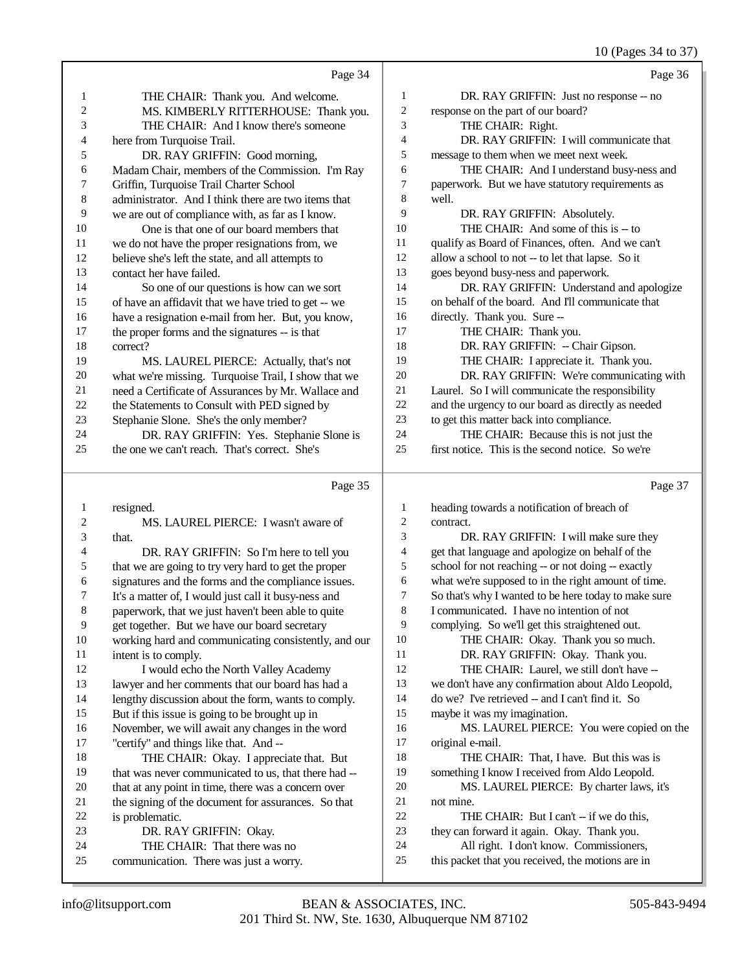10 (Pages 34 to 37)

|              | Page 34                                                                |                          | Page 36                                                                                      |
|--------------|------------------------------------------------------------------------|--------------------------|----------------------------------------------------------------------------------------------|
| $\mathbf{1}$ | THE CHAIR: Thank you. And welcome.                                     | $\mathbf{1}$             | DR. RAY GRIFFIN: Just no response -- no                                                      |
| 2            | MS. KIMBERLY RITTERHOUSE: Thank you.                                   | $\sqrt{2}$               | response on the part of our board?                                                           |
| 3            | THE CHAIR: And I know there's someone                                  | 3                        | THE CHAIR: Right.                                                                            |
| 4            | here from Turquoise Trail.                                             | $\overline{4}$           | DR. RAY GRIFFIN: I will communicate that                                                     |
| 5            | DR. RAY GRIFFIN: Good morning,                                         | 5                        | message to them when we meet next week.                                                      |
| 6            | Madam Chair, members of the Commission. I'm Ray                        | 6                        | THE CHAIR: And I understand busy-ness and                                                    |
| 7            | Griffin, Turquoise Trail Charter School                                | 7                        | paperwork. But we have statutory requirements as                                             |
| 8            | administrator. And I think there are two items that                    | 8                        | well.                                                                                        |
| 9            | we are out of compliance with, as far as I know.                       | 9                        | DR. RAY GRIFFIN: Absolutely.                                                                 |
| 10           | One is that one of our board members that                              | 10                       | THE CHAIR: And some of this is -- to                                                         |
| 11           | we do not have the proper resignations from, we                        | 11                       | qualify as Board of Finances, often. And we can't                                            |
| 12           | believe she's left the state, and all attempts to                      | 12                       | allow a school to not -- to let that lapse. So it                                            |
| 13           | contact her have failed.                                               | 13                       | goes beyond busy-ness and paperwork.                                                         |
| 14           | So one of our questions is how can we sort                             | 14                       | DR. RAY GRIFFIN: Understand and apologize                                                    |
| 15           | of have an affidavit that we have tried to get -- we                   | 15                       | on behalf of the board. And I'll communicate that                                            |
| 16           | have a resignation e-mail from her. But, you know,                     | 16                       | directly. Thank you. Sure --                                                                 |
| 17           | the proper forms and the signatures -- is that                         | 17                       | THE CHAIR: Thank you.                                                                        |
| 18           | correct?                                                               | 18                       | DR. RAY GRIFFIN: - Chair Gipson.                                                             |
| 19           | MS. LAUREL PIERCE: Actually, that's not                                | 19                       | THE CHAIR: I appreciate it. Thank you.                                                       |
| $20\,$       | what we're missing. Turquoise Trail, I show that we                    | 20                       | DR. RAY GRIFFIN: We're communicating with                                                    |
| $21\,$       | need a Certificate of Assurances by Mr. Wallace and                    | 21                       | Laurel. So I will communicate the responsibility                                             |
| $22\,$       | the Statements to Consult with PED signed by                           | 22                       | and the urgency to our board as directly as needed                                           |
| 23           | Stephanie Slone. She's the only member?                                | 23                       | to get this matter back into compliance.                                                     |
| 24           | DR. RAY GRIFFIN: Yes. Stephanie Slone is                               | 24                       | THE CHAIR: Because this is not just the                                                      |
| 25           | the one we can't reach. That's correct. She's                          | 25                       | first notice. This is the second notice. So we're                                            |
|              |                                                                        |                          |                                                                                              |
|              | Page 35                                                                |                          | Page 37                                                                                      |
| $\mathbf{1}$ |                                                                        | 1                        |                                                                                              |
| 2            | resigned.<br>MS. LAUREL PIERCE: I wasn't aware of                      | $\overline{c}$           | heading towards a notification of breach of<br>contract.                                     |
| 3            | that.                                                                  | 3                        | DR. RAY GRIFFIN: I will make sure they                                                       |
| 4            | DR. RAY GRIFFIN: So I'm here to tell you                               | $\overline{\mathcal{L}}$ | get that language and apologize on behalf of the                                             |
| 5            | that we are going to try very hard to get the proper                   | 5                        | school for not reaching -- or not doing -- exactly                                           |
| 6            | signatures and the forms and the compliance issues.                    | 6                        | what we're supposed to in the right amount of time.                                          |
| 7            | It's a matter of, I would just call it busy-ness and                   | 7                        | So that's why I wanted to be here today to make sure                                         |
| 8            | paperwork, that we just haven't been able to quite                     | $\,$ 8 $\,$              | I communicated. I have no intention of not                                                   |
| 9            | get together. But we have our board secretary                          | 9                        | complying. So we'll get this straightened out.                                               |
| $10\,$       | working hard and communicating consistently, and our                   | 10                       | THE CHAIR: Okay. Thank you so much.                                                          |
| 11           | intent is to comply.                                                   | 11                       | DR. RAY GRIFFIN: Okay. Thank you.                                                            |
| 12           | I would echo the North Valley Academy                                  | 12                       | THE CHAIR: Laurel, we still don't have --                                                    |
| 13           | lawyer and her comments that our board has had a                       | 13                       | we don't have any confirmation about Aldo Leopold,                                           |
| 14           | lengthy discussion about the form, wants to comply.                    | 14                       | do we? I've retrieved -- and I can't find it. So                                             |
| 15           | But if this issue is going to be brought up in                         | 15                       | maybe it was my imagination.                                                                 |
| 16           | November, we will await any changes in the word                        | 16                       | MS. LAUREL PIERCE: You were copied on the                                                    |
| 17           | "certify" and things like that. And --                                 | 17                       | original e-mail.                                                                             |
| 18           | THE CHAIR: Okay. I appreciate that. But                                | 18                       | THE CHAIR: That, I have. But this was is                                                     |
| 19           | that was never communicated to us, that there had --                   | 19                       | something I know I received from Aldo Leopold.                                               |
| 20           | that at any point in time, there was a concern over                    | 20                       | MS. LAUREL PIERCE: By charter laws, it's                                                     |
| 21           | the signing of the document for assurances. So that                    | 21                       | not mine.                                                                                    |
| $22\,$       | is problematic.                                                        | $22\,$                   | THE CHAIR: But I can't -- if we do this,                                                     |
| 23           | DR. RAY GRIFFIN: Okay.                                                 | 23                       | they can forward it again. Okay. Thank you.                                                  |
| 24<br>25     | THE CHAIR: That there was no<br>communication. There was just a worry. | 24<br>25                 | All right. I don't know. Commissioners,<br>this packet that you received, the motions are in |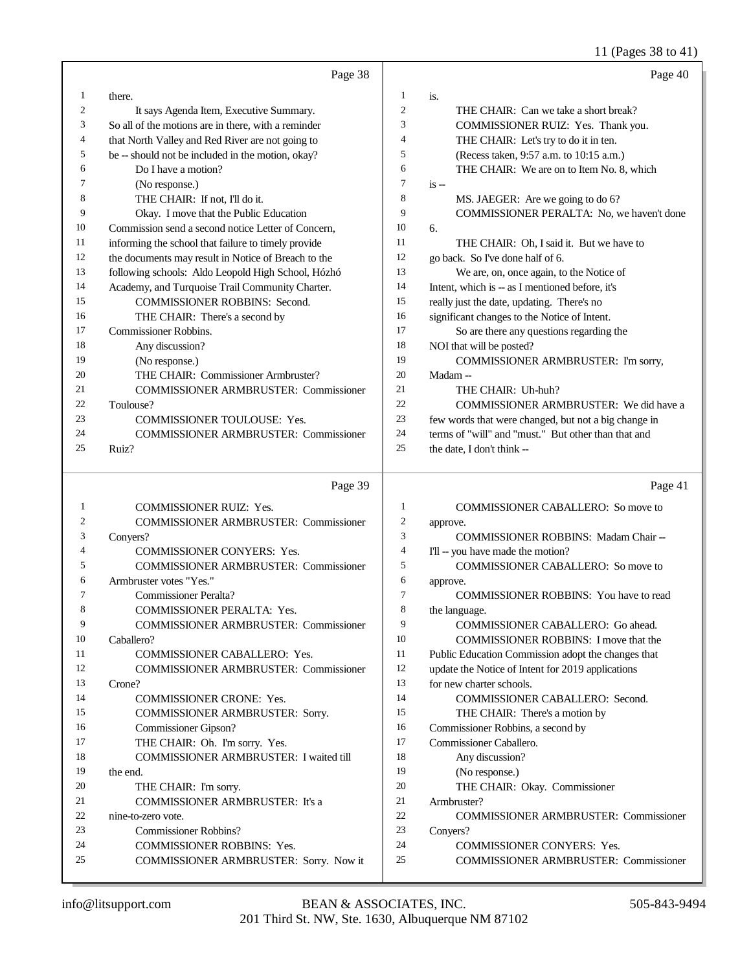## 11 (Pages 38 to 41)

|          | Page 38                                                                    |                | Page 40                                                                           |
|----------|----------------------------------------------------------------------------|----------------|-----------------------------------------------------------------------------------|
| 1        | there.                                                                     | 1              | is.                                                                               |
| 2        | It says Agenda Item, Executive Summary.                                    | $\mathfrak{2}$ | THE CHAIR: Can we take a short break?                                             |
| 3        | So all of the motions are in there, with a reminder                        | 3              | COMMISSIONER RUIZ: Yes. Thank you.                                                |
| 4        | that North Valley and Red River are not going to                           | $\overline{4}$ | THE CHAIR: Let's try to do it in ten.                                             |
| 5        | be -- should not be included in the motion, okay?                          | 5              | (Recess taken, 9:57 a.m. to 10:15 a.m.)                                           |
| 6        | Do I have a motion?                                                        | 6              | THE CHAIR: We are on to Item No. 8, which                                         |
| 7        | (No response.)                                                             | $\tau$         | $is -$                                                                            |
| 8        | THE CHAIR: If not, I'll do it.                                             | $\,$ 8 $\,$    | MS. JAEGER: Are we going to do 6?                                                 |
| 9        | Okay. I move that the Public Education                                     | 9              | COMMISSIONER PERALTA: No, we haven't done                                         |
| 10       | Commission send a second notice Letter of Concern.                         | 10             | 6.                                                                                |
| 11       | informing the school that failure to timely provide                        | 11             | THE CHAIR: Oh, I said it. But we have to                                          |
| 12       | the documents may result in Notice of Breach to the                        | 12             | go back. So I've done half of 6.                                                  |
| 13       | following schools: Aldo Leopold High School, Hózhó                         | 13             | We are, on, once again, to the Notice of                                          |
| 14       | Academy, and Turquoise Trail Community Charter.                            | 14             | Intent, which is -- as I mentioned before, it's                                   |
| 15       | COMMISSIONER ROBBINS: Second.                                              | 15             | really just the date, updating. There's no                                        |
| 16       | THE CHAIR: There's a second by                                             | 16             | significant changes to the Notice of Intent.                                      |
| 17       | Commissioner Robbins.                                                      | 17             | So are there any questions regarding the                                          |
| 18       | Any discussion?                                                            | 18             | NOI that will be posted?                                                          |
| 19       | (No response.)                                                             | 19             | COMMISSIONER ARMBRUSTER: I'm sorry,                                               |
| 20       | THE CHAIR: Commissioner Armbruster?                                        | 20             | Madam-                                                                            |
| 21       | <b>COMMISSIONER ARMBRUSTER: Commissioner</b>                               | 21             | THE CHAIR: Uh-huh?                                                                |
| 22       | Toulouse?                                                                  | 22             | COMMISSIONER ARMBRUSTER: We did have a                                            |
| 23       | <b>COMMISSIONER TOULOUSE: Yes.</b>                                         | 23             | few words that were changed, but not a big change in                              |
| 24       | <b>COMMISSIONER ARMBRUSTER: Commissioner</b>                               | 24             | terms of "will" and "must." But other than that and                               |
| 25       | Ruiz?                                                                      | 25             | the date, I don't think --                                                        |
|          |                                                                            |                |                                                                                   |
|          |                                                                            |                |                                                                                   |
|          | Page 39                                                                    |                | Page 41                                                                           |
| 1        |                                                                            | 1              |                                                                                   |
| 2        | <b>COMMISSIONER RUIZ: Yes.</b>                                             | $\overline{c}$ | COMMISSIONER CABALLERO: So move to                                                |
| 3        | <b>COMMISSIONER ARMBRUSTER: Commissioner</b>                               | 3              | approve.                                                                          |
| 4        | Conyers?                                                                   | $\overline{4}$ | COMMISSIONER ROBBINS: Madam Chair --                                              |
| 5        | COMMISSIONER CONYERS: Yes.                                                 | 5              | I'll -- you have made the motion?<br><b>COMMISSIONER CABALLERO: So move to</b>    |
| 6        | <b>COMMISSIONER ARMBRUSTER: Commissioner</b>                               | 6              |                                                                                   |
| 7        | Armbruster votes "Yes."<br><b>Commissioner Peralta?</b>                    | $\overline{7}$ | approve.<br><b>COMMISSIONER ROBBINS:</b> You have to read                         |
| 8        |                                                                            | 8              | the language.                                                                     |
| 9        | COMMISSIONER PERALTA: Yes.<br><b>COMMISSIONER ARMBRUSTER: Commissioner</b> | 9              |                                                                                   |
| 10       | Caballero?                                                                 | 10             | COMMISSIONER CABALLERO: Go ahead.<br><b>COMMISSIONER ROBBINS: I move that the</b> |
| 11       |                                                                            | 11             |                                                                                   |
| 12       | COMMISSIONER CABALLERO: Yes.                                               | 12             | Public Education Commission adopt the changes that                                |
| 13       | COMMISSIONER ARMBRUSTER: Commissioner<br>Crone?                            | 13             | update the Notice of Intent for 2019 applications                                 |
| 14       | <b>COMMISSIONER CRONE: Yes.</b>                                            | 14             | for new charter schools.                                                          |
| 15       |                                                                            | 15             | COMMISSIONER CABALLERO: Second.                                                   |
| 16       | COMMISSIONER ARMBRUSTER: Sorry.                                            | 16             | THE CHAIR: There's a motion by                                                    |
| 17       | Commissioner Gipson?                                                       |                | Commissioner Robbins, a second by                                                 |
| 18       | THE CHAIR: Oh. I'm sorry. Yes.                                             | 17<br>18       | Commissioner Caballero.                                                           |
| 19       | COMMISSIONER ARMBRUSTER: I waited till                                     | 19             | Any discussion?                                                                   |
| 20       | the end.                                                                   | 20             | (No response.)                                                                    |
| 21       | THE CHAIR: I'm sorry.                                                      | 21             | THE CHAIR: Okay. Commissioner                                                     |
|          | COMMISSIONER ARMBRUSTER: It's a                                            |                | Armbruster?                                                                       |
| 22       | nine-to-zero vote.                                                         | 22             | <b>COMMISSIONER ARMBRUSTER: Commissioner</b>                                      |
| 23       | Commissioner Robbins?                                                      | 23<br>24       | Conyers?                                                                          |
| 24<br>25 | COMMISSIONER ROBBINS: Yes.<br>COMMISSIONER ARMBRUSTER: Sorry. Now it       | 25             | COMMISSIONER CONYERS: Yes.<br><b>COMMISSIONER ARMBRUSTER: Commissioner</b>        |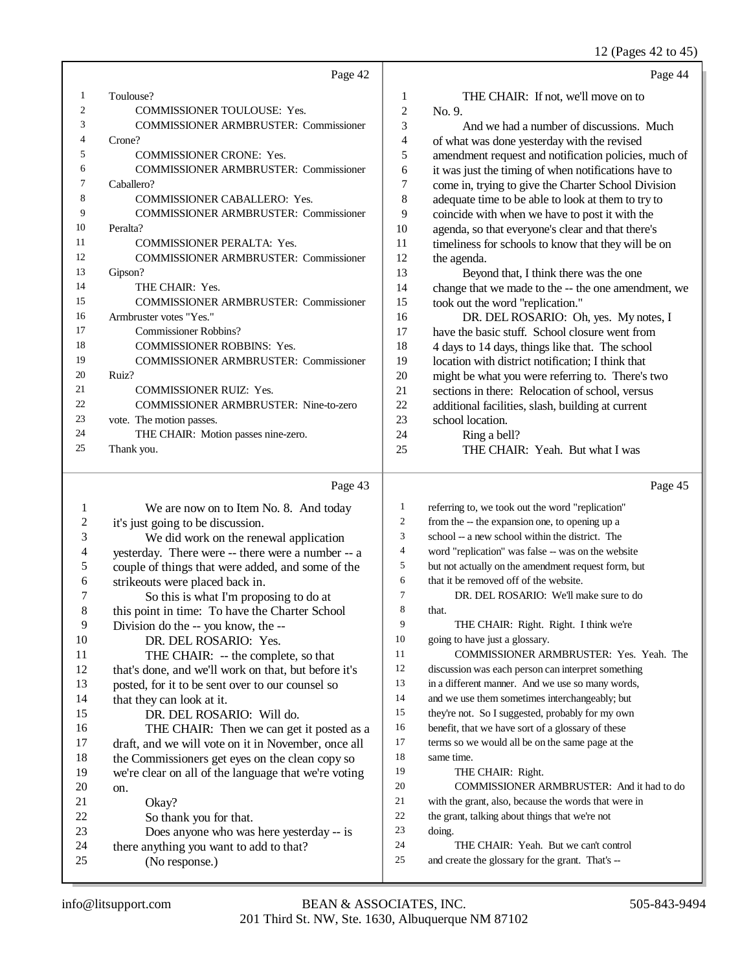12 (Pages 42 to 45)

|     | Page 42                                      |                | Page 44                                              |
|-----|----------------------------------------------|----------------|------------------------------------------------------|
| 1   | Toulouse?                                    | 1              | THE CHAIR: If not, we'll move on to                  |
| 2   | <b>COMMISSIONER TOULOUSE: Yes.</b>           | $\overline{2}$ | No. 9.                                               |
| 3   | <b>COMMISSIONER ARMBRUSTER: Commissioner</b> | 3              | And we had a number of discussions. Much             |
| 4   | Crone?                                       | 4              | of what was done yesterday with the revised          |
| 5   | <b>COMMISSIONER CRONE: Yes.</b>              | 5              | amendment request and notification policies, much of |
| 6   | <b>COMMISSIONER ARMBRUSTER: Commissioner</b> | 6              | it was just the timing of when notifications have to |
| 7   | Caballero?                                   | 7              | come in, trying to give the Charter School Division  |
| 8   | <b>COMMISSIONER CABALLERO: Yes.</b>          | 8              | adequate time to be able to look at them to try to   |
| 9   | <b>COMMISSIONER ARMBRUSTER: Commissioner</b> | 9              | coincide with when we have to post it with the       |
| 10  | Peralta?                                     | 10             | agenda, so that everyone's clear and that there's    |
| -11 | <b>COMMISSIONER PERALTA: Yes.</b>            | 11             | timeliness for schools to know that they will be on  |
| 12  | <b>COMMISSIONER ARMBRUSTER: Commissioner</b> | 12             | the agenda.                                          |
| 13  | Gipson?                                      | 13             | Beyond that, I think there was the one               |
| 14  | THE CHAIR: Yes.                              | 14             | change that we made to the -- the one amendment, we  |
| 15  | <b>COMMISSIONER ARMBRUSTER: Commissioner</b> | 15             | took out the word "replication."                     |
| 16  | Armbruster votes "Yes."                      | 16             | DR. DEL ROSARIO: Oh, yes. My notes, I                |
| 17  | Commissioner Robbins?                        | 17             | have the basic stuff. School closure went from       |
| 18  | <b>COMMISSIONER ROBBINS: Yes.</b>            | 18             | 4 days to 14 days, things like that. The school      |
| 19  | <b>COMMISSIONER ARMBRUSTER: Commissioner</b> | 19             | location with district notification; I think that    |
| 20  | Ruiz?                                        | 20             | might be what you were referring to. There's two     |
| 21  | <b>COMMISSIONER RUIZ: Yes.</b>               | 21             | sections in there: Relocation of school, versus      |
| 22  | COMMISSIONER ARMBRUSTER: Nine-to-zero        | 22             | additional facilities, slash, building at current    |
| 23  | vote. The motion passes.                     | 23             | school location.                                     |
| 24  | THE CHAIR: Motion passes nine-zero.          | 24             | Ring a bell?                                         |
| 25  | Thank you.                                   | 25             | THE CHAIR: Yeah. But what I was                      |
|     |                                              |                |                                                      |

## Page 43  $\vert$

| 1  | We are now on to Item No. 8. And today               | 1  | referring to, we took out the word "replication"     |
|----|------------------------------------------------------|----|------------------------------------------------------|
| 2  | it's just going to be discussion.                    | 2  | from the -- the expansion one, to opening up a       |
| 3  | We did work on the renewal application               | 3  | school -- a new school within the district. The      |
| 4  | yesterday. There were -- there were a number -- a    | 4  | word "replication" was false -- was on the website   |
| 5  | couple of things that were added, and some of the    | 5  | but not actually on the amendment request form, but  |
| 6  | strikeouts were placed back in.                      | 6  | that it be removed off of the website.               |
| 7  | So this is what I'm proposing to do at               | 7  | DR. DEL ROSARIO: We'll make sure to do               |
| 8  | this point in time: To have the Charter School       | 8  | that.                                                |
| 9  | Division do the -- you know, the --                  | 9  | THE CHAIR: Right. Right. I think we're               |
| 10 | DR. DEL ROSARIO: Yes.                                | 10 | going to have just a glossary.                       |
| 11 | THE CHAIR: -- the complete, so that                  | 11 | COMMISSIONER ARMBRUSTER: Yes. Yeah. The              |
| 12 | that's done, and we'll work on that, but before it's | 12 | discussion was each person can interpret something   |
| 13 | posted, for it to be sent over to our counsel so     | 13 | in a different manner. And we use so many words,     |
| 14 | that they can look at it.                            | 14 | and we use them sometimes interchangeably; but       |
| 15 | DR. DEL ROSARIO: Will do.                            | 15 | they're not. So I suggested, probably for my own     |
| 16 | THE CHAIR: Then we can get it posted as a            | 16 | benefit, that we have sort of a glossary of these    |
| 17 | draft, and we will vote on it in November, once all  | 17 | terms so we would all be on the same page at the     |
| 18 | the Commissioners get eyes on the clean copy so      | 18 | same time.                                           |
| 19 | we're clear on all of the language that we're voting | 19 | THE CHAIR: Right.                                    |
| 20 | on.                                                  | 20 | COMMISSIONER ARMBRUSTER: And it had to do            |
| 21 | Okay?                                                | 21 | with the grant, also, because the words that were in |
| 22 | So thank you for that.                               | 22 | the grant, talking about things that we're not       |
| 23 | Does anyone who was here yesterday -- is             | 23 | doing.                                               |
| 24 | there anything you want to add to that?              | 24 | THE CHAIR: Yeah. But we can't control                |
| 25 | (No response.)                                       | 25 | and create the glossary for the grant. That's --     |
|    |                                                      |    |                                                      |

Page 45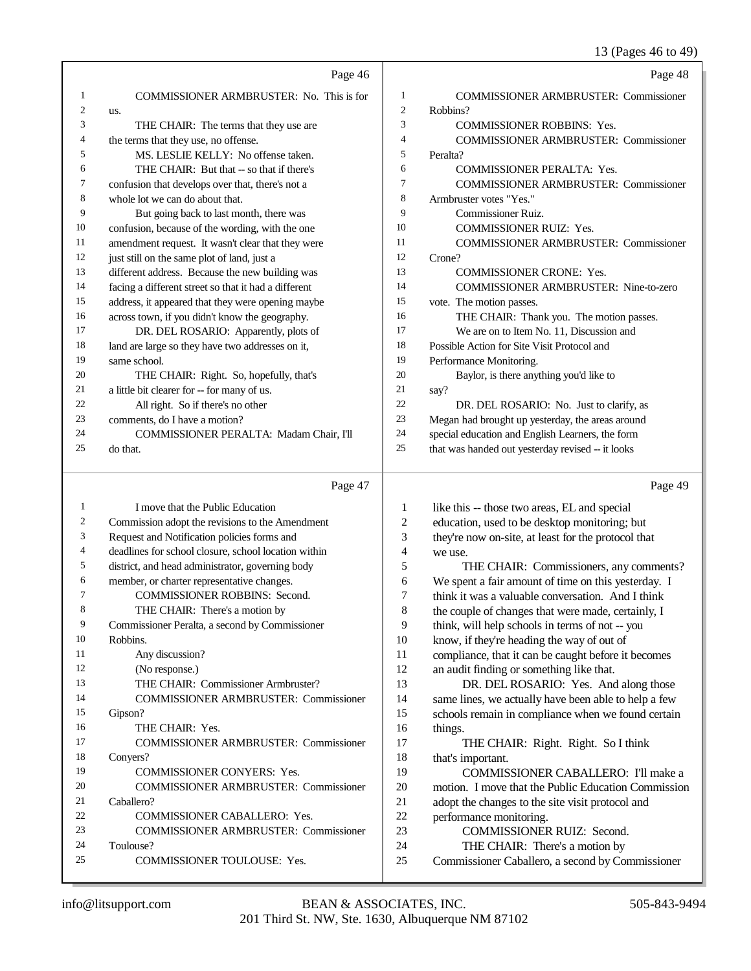13 (Pages 46 to 49)

|          |                                                                             |                     | $15 \text{ (1456)}$ 10 to 12                             |
|----------|-----------------------------------------------------------------------------|---------------------|----------------------------------------------------------|
|          | Page 46                                                                     |                     | Page 48                                                  |
| 1        | COMMISSIONER ARMBRUSTER: No. This is for                                    | 1                   | <b>COMMISSIONER ARMBRUSTER: Commissioner</b>             |
| 2<br>3   | us.                                                                         | $\mathfrak{2}$<br>3 | Robbins?                                                 |
| 4        | THE CHAIR: The terms that they use are                                      | 4                   | COMMISSIONER ROBBINS: Yes.                               |
| 5        | the terms that they use, no offense.<br>MS. LESLIE KELLY: No offense taken. | 5                   | <b>COMMISSIONER ARMBRUSTER: Commissioner</b><br>Peralta? |
| 6        | THE CHAIR: But that -- so that if there's                                   | 6                   | COMMISSIONER PERALTA: Yes.                               |
| 7        | confusion that develops over that, there's not a                            | 7                   | <b>COMMISSIONER ARMBRUSTER: Commissioner</b>             |
| 8        | whole lot we can do about that.                                             | 8                   | Armbruster votes "Yes."                                  |
| 9        | But going back to last month, there was                                     | 9                   | <b>Commissioner Ruiz.</b>                                |
| 10       | confusion, because of the wording, with the one                             | 10                  | COMMISSIONER RUIZ: Yes.                                  |
| 11       | amendment request. It wasn't clear that they were                           | 11                  | <b>COMMISSIONER ARMBRUSTER: Commissioner</b>             |
| 12       | just still on the same plot of land, just a                                 | 12                  | Crone?                                                   |
| 13       | different address. Because the new building was                             | 13                  | <b>COMMISSIONER CRONE: Yes.</b>                          |
| 14       | facing a different street so that it had a different                        | 14                  | <b>COMMISSIONER ARMBRUSTER: Nine-to-zero</b>             |
| 15       | address, it appeared that they were opening maybe                           | 15                  | vote. The motion passes.                                 |
| 16       | across town, if you didn't know the geography.                              | 16                  | THE CHAIR: Thank you. The motion passes.                 |
| 17       | DR. DEL ROSARIO: Apparently, plots of                                       | 17                  | We are on to Item No. 11, Discussion and                 |
| 18       | land are large so they have two addresses on it,                            | 18                  | Possible Action for Site Visit Protocol and              |
| 19       | same school.                                                                | 19                  | Performance Monitoring.                                  |
| 20       | THE CHAIR: Right. So, hopefully, that's                                     | 20                  | Baylor, is there anything you'd like to                  |
| 21       | a little bit clearer for -- for many of us.                                 | 21                  | say?                                                     |
| 22       | All right. So if there's no other                                           | 22                  | DR. DEL ROSARIO: No. Just to clarify, as                 |
| 23       | comments, do I have a motion?                                               | 23                  | Megan had brought up yesterday, the areas around         |
| 24       | COMMISSIONER PERALTA: Madam Chair, I'll                                     | 24                  | special education and English Learners, the form         |
| 25       | do that.                                                                    | $25\,$              | that was handed out yesterday revised -- it looks        |
|          | Page 47                                                                     |                     | Page 49                                                  |
| 1        | I move that the Public Education                                            | $\mathbf{1}$        | like this -- those two areas, EL and special             |
| 2        | Commission adopt the revisions to the Amendment                             | $\overline{c}$      | education, used to be desktop monitoring; but            |
| 3        | Request and Notification policies forms and                                 | 3                   | they're now on-site, at least for the protocol that      |
| 4        | deadlines for school closure, school location within                        | $\overline{4}$      | we use.                                                  |
| 5        | district, and head administrator, governing body                            | 5                   | THE CHAIR: Commissioners, any comments?                  |
| 6        | member, or charter representative changes.                                  | 6                   | We spent a fair amount of time on this yesterday. I      |
| 7        | <b>COMMISSIONER ROBBINS: Second.</b>                                        | 7                   | think it was a valuable conversation. And I think        |
| 8        | THE CHAIR: There's a motion by                                              | 8                   | the couple of changes that were made, certainly, I       |
| 9        | Commissioner Peralta, a second by Commissioner                              | 9                   | think, will help schools in terms of not -- you          |
| 10       | Robbins.                                                                    | 10                  | know, if they're heading the way of out of               |
| 11       | Any discussion?                                                             | 11                  | compliance, that it can be caught before it becomes      |
| 12       | (No response.)                                                              | 12                  | an audit finding or something like that.                 |
| 13       | THE CHAIR: Commissioner Armbruster?                                         | 13                  | DR. DEL ROSARIO: Yes. And along those                    |
| 14       | COMMISSIONER ARMBRUSTER: Commissioner                                       | 14                  | same lines, we actually have been able to help a few     |
| 15       | Gipson?                                                                     | 15                  | schools remain in compliance when we found certain       |
| 16<br>17 | THE CHAIR: Yes.                                                             | 16                  | things.                                                  |
| 18       | <b>COMMISSIONER ARMBRUSTER: Commissioner</b>                                | 17<br>18            | THE CHAIR: Right. Right. So I think                      |
| 19       | Conyers?<br>COMMISSIONER CONYERS: Yes.                                      | 19                  | that's important.<br>COMMISSIONER CABALLERO: I'll make a |
| 20       | <b>COMMISSIONER ARMBRUSTER: Commissioner</b>                                | 20                  | motion. I move that the Public Education Commission      |
| 21       | Caballero?                                                                  | 21                  | adopt the changes to the site visit protocol and         |
| 22       | COMMISSIONER CABALLERO: Yes.                                                | 22                  | performance monitoring.                                  |
| 23       | <b>COMMISSIONER ARMBRUSTER: Commissioner</b>                                | 23                  | COMMISSIONER RUIZ: Second.                               |
| 24       | Toulouse?                                                                   | 24                  | THE CHAIR: There's a motion by                           |
| 25       | COMMISSIONER TOULOUSE: Yes.                                                 | 25                  | Commissioner Caballero, a second by Commissioner         |
|          |                                                                             |                     |                                                          |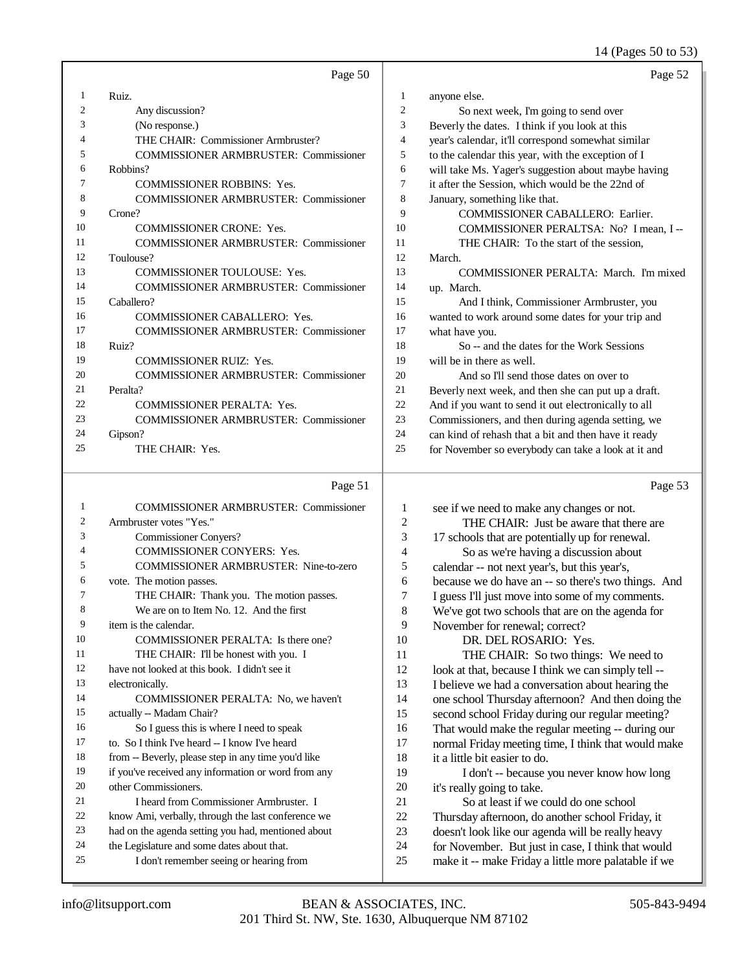14 (Pages 50 to 53)

|                | Page 50                                      |                |
|----------------|----------------------------------------------|----------------|
| 1              | Ruiz.                                        | 1              |
| $\overline{c}$ | Any discussion?                              | $\overline{2}$ |
| 3              | (No response.)                               | 3              |
| 4              | THE CHAIR: Commissioner Armbruster?          | 4              |
| 5              | <b>COMMISSIONER ARMBRUSTER: Commissioner</b> | 5              |
| 6              | Robbins?                                     | 6              |
| 7              | <b>COMMISSIONER ROBBINS: Yes.</b>            | 7              |
| 8              | <b>COMMISSIONER ARMBRUSTER: Commissioner</b> | 8              |
| 9              | Crone?                                       | 9              |
| 10             | <b>COMMISSIONER CRONE: Yes.</b>              | 10             |
| 11             | <b>COMMISSIONER ARMBRUSTER: Commissioner</b> | 11             |
| 12             | Toulouse?                                    | 12             |
| 13             | <b>COMMISSIONER TOULOUSE: Yes.</b>           | 13             |
| 14             | <b>COMMISSIONER ARMBRUSTER: Commissioner</b> | 14             |
| 15             | Caballero?                                   | 15             |
| 16             | <b>COMMISSIONER CABALLERO: Yes.</b>          | 16             |
| 17             | <b>COMMISSIONER ARMBRUSTER: Commissioner</b> | 17             |
| 18             | Ruiz?                                        | 18             |
| 19             | <b>COMMISSIONER RUIZ: Yes.</b>               | 19             |
| 20             | <b>COMMISSIONER ARMBRUSTER: Commissioner</b> | 20             |
| 21             | Peralta?                                     | 21             |
| 22             | <b>COMMISSIONER PERALTA: Yes.</b>            | 22             |
| 23             | <b>COMMISSIONER ARMBRUSTER: Commissioner</b> | 23             |
| 24             | Gipson?                                      | 24             |
| 25             | THE CHAIR: Yes.                              | 25             |
|                |                                              |                |

## Page 51

| 1              | <b>COMMISSIONER ARMBRUSTER: Commissioner</b>        |  |
|----------------|-----------------------------------------------------|--|
| $\overline{c}$ | Armbruster votes "Yes."                             |  |
| 3              | <b>Commissioner Convers?</b>                        |  |
| 4              | <b>COMMISSIONER CONYERS: Yes.</b>                   |  |
| 5              | COMMISSIONER ARMBRUSTER: Nine-to-zero               |  |
| 6              | vote. The motion passes.                            |  |
| 7              | THE CHAIR: Thank you. The motion passes.            |  |
| 8              | We are on to Item No. 12. And the first             |  |
| 9              | item is the calendar.                               |  |
| 10             | COMMISSIONER PERALTA: Is there one?                 |  |
| 11             | THE CHAIR: I'll be honest with you. I               |  |
| 12             | have not looked at this book. I didn't see it       |  |
| 13             | electronically.                                     |  |
| 14             | COMMISSIONER PERALTA: No, we haven't                |  |
| 15             | actually -- Madam Chair?                            |  |
| 16             | So I guess this is where I need to speak            |  |
| 17             | to. So I think I've heard -- I know I've heard      |  |
| 18             | from -- Beverly, please step in any time you'd like |  |
| 19             | if you've received any information or word from any |  |
| 20             | other Commissioners.                                |  |
| 21             | <b>I</b> heard from Commissioner Armbruster. I      |  |
| 22             | know Ami, verbally, through the last conference we  |  |
| 23             | had on the agenda setting you had, mentioned about  |  |
| 24             | the Legislature and some dates about that.          |  |
| 25             | I don't remember seeing or hearing from             |  |
|                |                                                     |  |

|                | Page 52                                              |
|----------------|------------------------------------------------------|
| $\mathbf{1}$   | anyone else.                                         |
| $\overline{c}$ | So next week, I'm going to send over                 |
| 3              | Beverly the dates. I think if you look at this       |
| $\overline{4}$ | year's calendar, it'll correspond somewhat similar   |
| 5              | to the calendar this year, with the exception of I   |
| 6              | will take Ms. Yager's suggestion about maybe having  |
| 7              | it after the Session, which would be the 22nd of     |
| 8              | January, something like that.                        |
| 9              | <b>COMMISSIONER CABALLERO: Earlier.</b>              |
| 10             | COMMISSIONER PERALTSA: No? I mean, I --              |
| 11             | THE CHAIR: To the start of the session,              |
| 12             | March.                                               |
| 13             | COMMISSIONER PERALTA: March. I'm mixed               |
| 14             | up. March.                                           |
| 15             | And I think, Commissioner Armbruster, you            |
| 16             | wanted to work around some dates for your trip and   |
| 17             | what have you.                                       |
| 18             | So -- and the dates for the Work Sessions            |
| 19             | will be in there as well.                            |
| 20             | And so I'll send those dates on over to              |
| 21             | Beverly next week, and then she can put up a draft.  |
| 22             | And if you want to send it out electronically to all |
| 23             | Commissioners, and then during agenda setting, we    |
| 24             | can kind of rehash that a bit and then have it ready |

for November so everybody can take a look at it and

Page 53

| 1              | see if we need to make any changes or not.           |
|----------------|------------------------------------------------------|
| $\overline{2}$ | THE CHAIR: Just be aware that there are              |
| 3              | 17 schools that are potentially up for renewal.      |
| $\overline{4}$ | So as we're having a discussion about                |
| 5              | calendar -- not next year's, but this year's,        |
| 6              | because we do have an -- so there's two things. And  |
| 7              | I guess I'll just move into some of my comments.     |
| 8              | We've got two schools that are on the agenda for     |
| 9              | November for renewal; correct?                       |
| 10             | DR. DEL ROSARIO: Yes.                                |
| 11             | THE CHAIR: So two things: We need to                 |
| 12             | look at that, because I think we can simply tell --  |
| 13             | I believe we had a conversation about hearing the    |
| 14             | one school Thursday afternoon? And then doing the    |
| 15             | second school Friday during our regular meeting?     |
| 16             | That would make the regular meeting -- during our    |
| 17             | normal Friday meeting time, I think that would make  |
| 18             | it a little bit easier to do.                        |
| 19             | I don't -- because you never know how long           |
| 20             | it's really going to take.                           |
| 21             | So at least if we could do one school                |
| 22             | Thursday afternoon, do another school Friday, it     |
| 23             | doesn't look like our agenda will be really heavy    |
| 24             | for November. But just in case, I think that would   |
| 25             | make it -- make Friday a little more palatable if we |
|                |                                                      |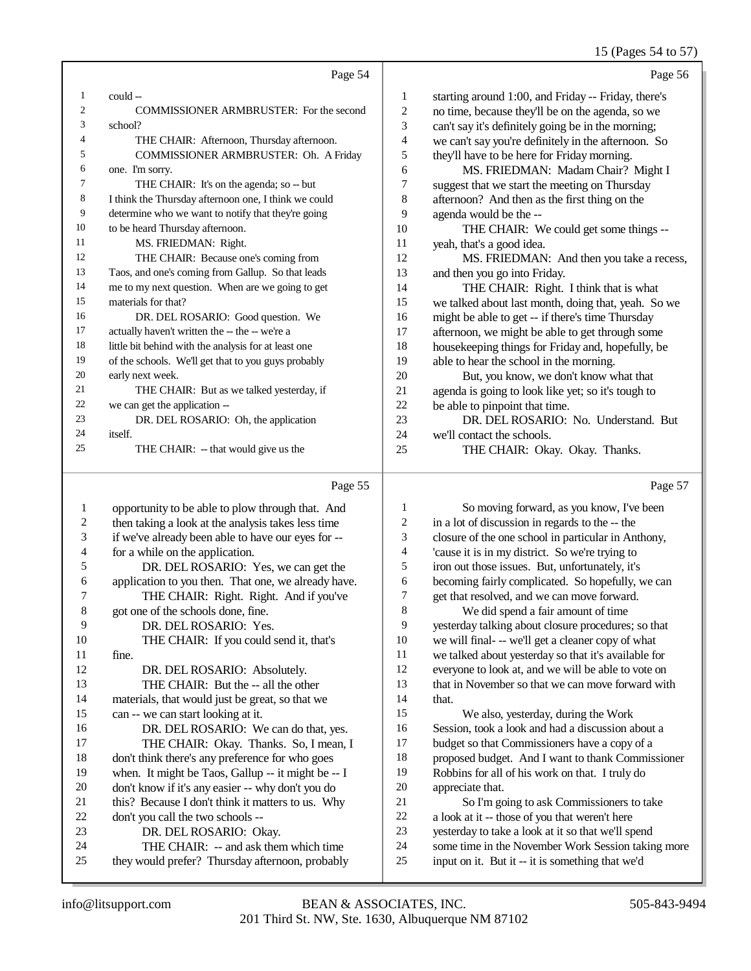## 15 (Pages 54 to 57)

|    | Page 54                                              |    | Page 56                                             |
|----|------------------------------------------------------|----|-----------------------------------------------------|
| 1  | could --                                             | 1  | starting around 1:00, and Friday -- Friday, there's |
| 2  | <b>COMMISSIONER ARMBRUSTER: For the second</b>       | 2  | no time, because they'll be on the agenda, so we    |
| 3  | school?                                              | 3  | can't say it's definitely going be in the morning;  |
| 4  | THE CHAIR: Afternoon, Thursday afternoon.            | 4  | we can't say you're definitely in the afternoon. So |
| 5  | COMMISSIONER ARMBRUSTER: Oh. A Friday                | 5  | they'll have to be here for Friday morning.         |
| 6  | one. I'm sorry.                                      | 6  | MS. FRIEDMAN: Madam Chair? Might I                  |
| 7  | THE CHAIR: It's on the agenda; so -- but             | 7  | suggest that we start the meeting on Thursday       |
| 8  | I think the Thursday afternoon one, I think we could | 8  | afternoon? And then as the first thing on the       |
| 9  | determine who we want to notify that they're going   | 9  | agenda would be the --                              |
| 10 | to be heard Thursday afternoon.                      | 10 | THE CHAIR: We could get some things --              |
| 11 | MS. FRIEDMAN: Right.                                 | 11 | yeah, that's a good idea.                           |
| 12 | THE CHAIR: Because one's coming from                 | 12 | MS. FRIEDMAN: And then you take a recess,           |
| 13 | Taos, and one's coming from Gallup. So that leads    | 13 | and then you go into Friday.                        |
| 14 | me to my next question. When are we going to get     | 14 | THE CHAIR: Right. I think that is what              |
| 15 | materials for that?                                  | 15 | we talked about last month, doing that, yeah. So we |
| 16 | DR. DEL ROSARIO: Good question. We                   | 16 | might be able to get -- if there's time Thursday    |
| 17 | actually haven't written the -- the -- we're a       | 17 | afternoon, we might be able to get through some     |
| 18 | little bit behind with the analysis for at least one | 18 | housekeeping things for Friday and, hopefully, be   |
| 19 | of the schools. We'll get that to you guys probably  | 19 | able to hear the school in the morning.             |
| 20 | early next week.                                     | 20 | But, you know, we don't know what that              |
| 21 | THE CHAIR: But as we talked yesterday, if            | 21 | agenda is going to look like yet; so it's tough to  |
| 22 | we can get the application --                        | 22 | be able to pinpoint that time.                      |
| 23 | DR. DEL ROSARIO: Oh, the application                 | 23 | DR. DEL ROSARIO: No. Understand. But                |
| 24 | itself.                                              | 24 | we'll contact the schools.                          |
| 25 | THE CHAIR: - that would give us the                  | 25 | THE CHAIR: Okay. Okay. Thanks.                      |

## Page 55

| 1              | opportunity to be able to plow through that. And    | 1              | So moving forward, as you             |
|----------------|-----------------------------------------------------|----------------|---------------------------------------|
| 2              | then taking a look at the analysis takes less time  | 2              | in a lot of discussion in regards to  |
| 3              | if we've already been able to have our eyes for --  | 3              | closure of the one school in partic   |
| $\overline{4}$ | for a while on the application.                     | $\overline{4}$ | 'cause it is in my district. So we'r  |
| 5              | DR. DEL ROSARIO: Yes, we can get the                | 5              | iron out those issues. But, unfortu   |
| 6              | application to you then. That one, we already have. | 6              | becoming fairly complicated. So       |
| $\tau$         | THE CHAIR: Right. Right. And if you've              | 7              | get that resolved, and we can mov     |
| $\,8\,$        | got one of the schools done, fine.                  | 8              | We did spend a fair amoun             |
| 9              | DR. DEL ROSARIO: Yes.                               | 9              | yesterday talking about closure pr    |
| 10             | THE CHAIR: If you could send it, that's             | 10             | we will final- -- we'll get a cleane  |
| 11             | fine.                                               | 11             | we talked about yesterday so that     |
| 12             | DR. DEL ROSARIO: Absolutely.                        | 12             | everyone to look at, and we will b    |
| 13             | THE CHAIR: But the -- all the other                 | 13             | that in November so that we can a     |
| 14             | materials, that would just be great, so that we     | 14             | that.                                 |
| 15             | can -- we can start looking at it.                  | 15             | We also, yesterday, during            |
| 16             | DR. DEL ROSARIO: We can do that, yes.               | 16             | Session, took a look and had a dis    |
| 17             | THE CHAIR: Okay. Thanks. So, I mean, I              | 17             | budget so that Commissioners ha       |
| 18             | don't think there's any preference for who goes     | 18             | proposed budget. And I want to t      |
| 19             | when. It might be Taos, Gallup -- it might be -- I  | 19             | Robbins for all of his work on that   |
| 20             | don't know if it's any easier -- why don't you do   | 20             | appreciate that.                      |
| 21             | this? Because I don't think it matters to us. Why   | 21             | So I'm going to ask Commi             |
| 22             | don't you call the two schools --                   | 22             | a look at it -- those of you that we  |
| 23             | DR. DEL ROSARIO: Okay.                              | 23             | yesterday to take a look at it so th  |
| 24             | THE CHAIR: -- and ask them which time               | 24             | some time in the November Work        |
| 25             | they would prefer? Thursday afternoon, probably     | 25             | input on it. But it -- it is somethin |
|                |                                                     |                |                                       |

| 1              | So moving forward, as you know, I've been            |
|----------------|------------------------------------------------------|
| 2              | in a lot of discussion in regards to the -- the      |
| 3              | closure of the one school in particular in Anthony,  |
| $\overline{4}$ | 'cause it is in my district. So we're trying to      |
| 5              | iron out those issues. But, unfortunately, it's      |
| 6              | becoming fairly complicated. So hopefully, we can    |
| 7              | get that resolved, and we can move forward.          |
| 8              | We did spend a fair amount of time                   |
| 9              | yesterday talking about closure procedures; so that  |
| 10             | we will final- -- we'll get a cleaner copy of what   |
| 11             | we talked about yesterday so that it's available for |
| 12             | everyone to look at, and we will be able to vote on  |
| 13             | that in November so that we can move forward with    |
| 14             | that.                                                |
| 15             | We also, yesterday, during the Work                  |
| 16             | Session, took a look and had a discussion about a    |
| 17             | budget so that Commissioners have a copy of a        |
| 18             | proposed budget. And I want to thank Commissioner    |
| 19             | Robbins for all of his work on that. I truly do      |
| 20             | appreciate that.                                     |
| 21             | So I'm going to ask Commissioners to take            |
| 22             | a look at it -- those of you that weren't here       |
| 23             | yesterday to take a look at it so that we'll spend   |
| 24             | some time in the November Work Session taking more   |
| 25             | input on it. But it -- it is something that we'd     |
|                |                                                      |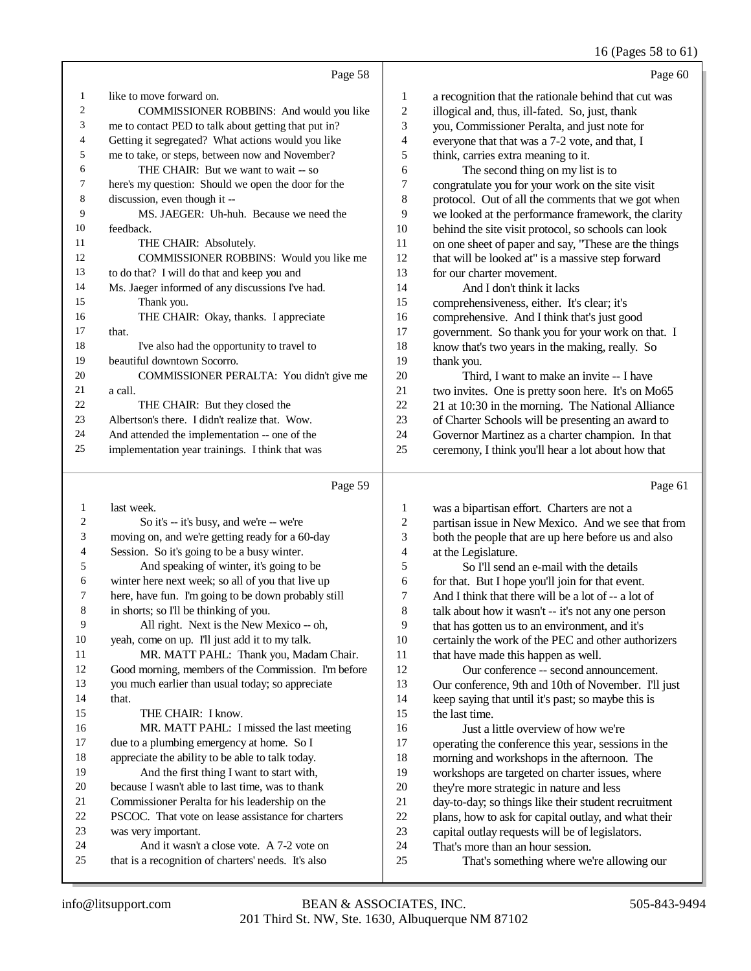## 16 (Pages 58 to 61)

| Page 58                                              |                | Page 60                                              |
|------------------------------------------------------|----------------|------------------------------------------------------|
| like to move forward on.                             | $\mathbf{1}$   | a recognition that the rationale behind that cut was |
| COMMISSIONER ROBBINS: And would you like             | $\overline{2}$ | illogical and, thus, ill-fated. So, just, thank      |
| me to contact PED to talk about getting that put in? | 3              | you, Commissioner Peralta, and just note for         |
| Getting it segregated? What actions would you like   | 4              | everyone that that was a 7-2 vote, and that, I       |
| me to take, or steps, between now and November?      | 5              | think, carries extra meaning to it.                  |
| THE CHAIR: But we want to wait -- so                 | 6              | The second thing on my list is to                    |
| here's my question: Should we open the door for the  | 7              | congratulate you for your work on the site visit     |
| discussion, even though it --                        | 8              | protocol. Out of all the comments that we got when   |
| MS. JAEGER: Uh-huh. Because we need the              | 9              | we looked at the performance framework, the clarity  |
| feedback.                                            | 10             | behind the site visit protocol, so schools can look  |
| THE CHAIR: Absolutely.                               | 11             | on one sheet of paper and say, "These are the things |
| COMMISSIONER ROBBINS: Would you like me              | 12             | that will be looked at" is a massive step forward    |
| to do that? I will do that and keep you and          | 13             | for our charter movement.                            |
| Ms. Jaeger informed of any discussions I've had.     | 14             | And I don't think it lacks                           |
| Thank you.                                           | 15             | comprehensiveness, either. It's clear; it's          |
| THE CHAIR: Okay, thanks. I appreciate                | 16             | comprehensive. And I think that's just good          |
| that.                                                | 17             | government. So thank you for your work on that. I    |
| I've also had the opportunity to travel to           | 18             | know that's two years in the making, really. So      |
| beautiful downtown Socorro.                          | 19             | thank you.                                           |
| COMMISSIONER PERALTA: You didn't give me             | 20             | Third, I want to make an invite -- I have            |
| a call.                                              | 21             | two invites. One is pretty soon here. It's on Mo65   |
| THE CHAIR: But they closed the                       | 22             | 21 at 10:30 in the morning. The National Alliance    |
| Albertson's there. I didn't realize that. Wow.       | 23             | of Charter Schools will be presenting an award to    |
| And attended the implementation -- one of the        | 24             | Governor Martinez as a charter champion. In that     |
| implementation year trainings. I think that was      | 25             | ceremony, I think you'll hear a lot about how that   |
| Page 59                                              |                | Page 61                                              |
|                                                      |                |                                                      |

| 1  | last week.                                          | 1              | was a bipartisan effort. Charters are not a          |
|----|-----------------------------------------------------|----------------|------------------------------------------------------|
| 2  | So it's -- it's busy, and we're -- we're            | $\overline{c}$ | partisan issue in New Mexico. And we see that from   |
| 3  | moving on, and we're getting ready for a 60-day     | 3              | both the people that are up here before us and also  |
| 4  | Session. So it's going to be a busy winter.         | 4              | at the Legislature.                                  |
| 5  | And speaking of winter, it's going to be            | 5              | So I'll send an e-mail with the details              |
| 6  | winter here next week; so all of you that live up   | 6              | for that. But I hope you'll join for that event.     |
| 7  | here, have fun. I'm going to be down probably still | 7              | And I think that there will be a lot of -- a lot of  |
| 8  | in shorts; so I'll be thinking of you.              | 8              | talk about how it wasn't -- it's not any one person  |
| 9  | All right. Next is the New Mexico -- oh,            | 9              | that has gotten us to an environment, and it's       |
| 10 | yeah, come on up. I'll just add it to my talk.      | 10             | certainly the work of the PEC and other authorizers  |
| 11 | MR. MATT PAHL: Thank you, Madam Chair.              | 11             | that have made this happen as well.                  |
| 12 | Good morning, members of the Commission. I'm before | 12             | Our conference -- second announcement.               |
| 13 | you much earlier than usual today; so appreciate    | 13             | Our conference, 9th and 10th of November. I'll just  |
| 14 | that.                                               | 14             | keep saying that until it's past; so maybe this is   |
| 15 | THE CHAIR: I know.                                  | 15             | the last time.                                       |
| 16 | MR. MATT PAHL: I missed the last meeting            | 16             | Just a little overview of how we're                  |
| 17 | due to a plumbing emergency at home. So I           | 17             | operating the conference this year, sessions in the  |
| 18 | appreciate the ability to be able to talk today.    | 18             | morning and workshops in the afternoon. The          |
| 19 | And the first thing I want to start with,           | 19             | workshops are targeted on charter issues, where      |
| 20 | because I wasn't able to last time, was to thank    | 20             | they're more strategic in nature and less            |
| 21 | Commissioner Peralta for his leadership on the      | 21             | day-to-day; so things like their student recruitment |
| 22 | PSCOC. That vote on lease assistance for charters   | 22             | plans, how to ask for capital outlay, and what their |
| 23 | was very important.                                 | 23             | capital outlay requests will be of legislators.      |
| 24 | And it wasn't a close vote. A 7-2 vote on           | 24             | That's more than an hour session.                    |
| 25 | that is a recognition of charters' needs. It's also | 25             | That's something where we're allowing our            |
|    |                                                     |                |                                                      |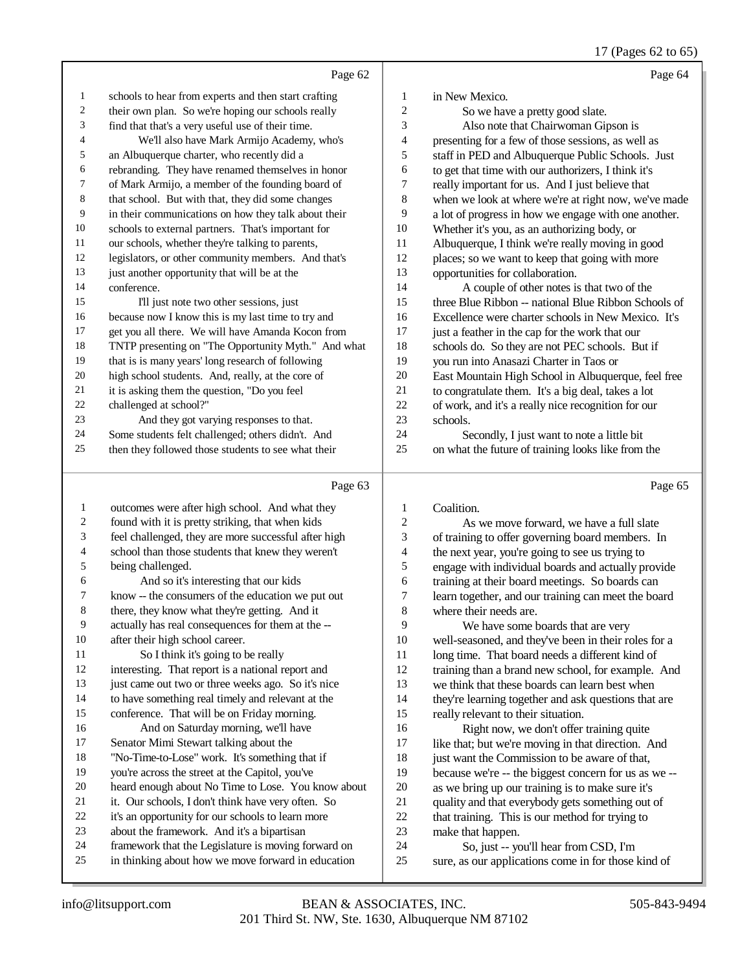|                  |                                                      |                          | $17 \times 10000 = 1000$                             |
|------------------|------------------------------------------------------|--------------------------|------------------------------------------------------|
|                  | Page 62                                              |                          | Page 64                                              |
| 1                | schools to hear from experts and then start crafting | $\mathbf{1}$             | in New Mexico.                                       |
| 2                | their own plan. So we're hoping our schools really   | 2                        | So we have a pretty good slate.                      |
| 3                | find that that's a very useful use of their time.    | 3                        | Also note that Chairwoman Gipson is                  |
| 4                | We'll also have Mark Armijo Academy, who's           | $\overline{4}$           | presenting for a few of those sessions, as well as   |
| 5                | an Albuquerque charter, who recently did a           | 5                        | staff in PED and Albuquerque Public Schools. Just    |
| 6                | rebranding. They have renamed themselves in honor    | 6                        | to get that time with our authorizers, I think it's  |
| 7                | of Mark Armijo, a member of the founding board of    | 7                        | really important for us. And I just believe that     |
| $\,$ 8 $\,$      | that school. But with that, they did some changes    | $\,8\,$                  | when we look at where we're at right now, we've made |
| 9                | in their communications on how they talk about their | 9                        | a lot of progress in how we engage with one another. |
| $10\,$           | schools to external partners. That's important for   | $10\,$                   | Whether it's you, as an authorizing body, or         |
| $11\,$           | our schools, whether they're talking to parents,     | 11                       | Albuquerque, I think we're really moving in good     |
| 12               | legislators, or other community members. And that's  | 12                       | places; so we want to keep that going with more      |
| 13               | just another opportunity that will be at the         | 13                       | opportunities for collaboration.                     |
| 14               | conference.                                          | 14                       | A couple of other notes is that two of the           |
| 15               | I'll just note two other sessions, just              | 15                       | three Blue Ribbon -- national Blue Ribbon Schools of |
| 16               | because now I know this is my last time to try and   | 16                       | Excellence were charter schools in New Mexico. It's  |
| 17               | get you all there. We will have Amanda Kocon from    | 17                       | just a feather in the cap for the work that our      |
| 18               | TNTP presenting on "The Opportunity Myth." And what  | 18                       | schools do. So they are not PEC schools. But if      |
| 19               | that is is many years' long research of following    | 19                       | you run into Anasazi Charter in Taos or              |
| 20               | high school students. And, really, at the core of    | 20                       | East Mountain High School in Albuquerque, feel free  |
| 21               | it is asking them the question, "Do you feel         | 21                       | to congratulate them. It's a big deal, takes a lot   |
| 22               | challenged at school?"                               | 22                       | of work, and it's a really nice recognition for our  |
| 23               | And they got varying responses to that.              | 23                       | schools.                                             |
| 24               | Some students felt challenged; others didn't. And    | 24                       | Secondly, I just want to note a little bit           |
| $25\,$           | then they followed those students to see what their  | 25                       | on what the future of training looks like from the   |
|                  |                                                      |                          |                                                      |
|                  | Page 63                                              |                          | Page 65                                              |
| $\mathbf{1}$     | outcomes were after high school. And what they       | $\mathbf{1}$             | Coalition.                                           |
| $\boldsymbol{2}$ | found with it is pretty striking, that when kids     | $\overline{c}$           | As we move forward, we have a full slate             |
| 3                | feel challenged, they are more successful after high | 3                        | of training to offer governing board members. In     |
| 4                | school than those students that knew they weren't    | $\overline{\mathcal{A}}$ | the next year, you're going to see us trying to      |
| 5                | being challenged.                                    | 5                        | engage with individual boards and actually provide   |
| 6                | And so it's interesting that our kids                | 6                        | training at their board meetings. So boards can      |
| 7                | know -- the consumers of the education we put out    | $\boldsymbol{7}$         | learn together, and our training can meet the board  |
| 8                | there, they know what they're getting. And it        | 8                        | where their needs are.                               |

- 
- actually has real consequences for them at the --
- after their high school career.
- 11 So I think it's going to be really
- interesting. That report is a national report and
- 13 just came out two or three weeks ago. So it's nice to have something real timely and relevant at the
- conference. That will be on Friday morning.
- And on Saturday morning, we'll have Senator Mimi Stewart talking about the
- "No-Time-to-Lose" work. It's something that if
- you're across the street at the Capitol, you've
- heard enough about No Time to Lose. You know about
- 21 it. Our schools, I don't think have very often. So
- it's an opportunity for our schools to learn more
- about the framework. And it's a bipartisan
- framework that the Legislature is moving forward on
- in thinking about how we move forward in education
- where their needs are. 9 We have some boards that are very<br>10 well-seasoned, and they've been in their ro 10 well-seasoned, and they've been in their roles for a<br>11 long time. That board needs a different kind of long time. That board needs a different kind of training than a brand new school, for example. And we think that these boards can learn best when they're learning together and ask questions that are really relevant to their situation.
- 16 Right now, we don't offer training quite<br>17 like that: but we're moving in that direction. like that; but we're moving in that direction. And 18 just want the Commission to be aware of that,<br>19 because we're -- the biggest concern for us as because we're -- the biggest concern for us as we --20 as we bring up our training is to make sure it's<br>21 auality and that everybody gets something out 21 quality and that everybody gets something out of<br>22 that training. This is our method for trying to 22 that training. This is our method for trying to<br>23 make that happen. 23 make that happen.<br>24 So. iust -- vo
- 24 So, just -- you'll hear from CSD, I'm<br>25 sure, as our applications come in for those sure, as our applications come in for those kind of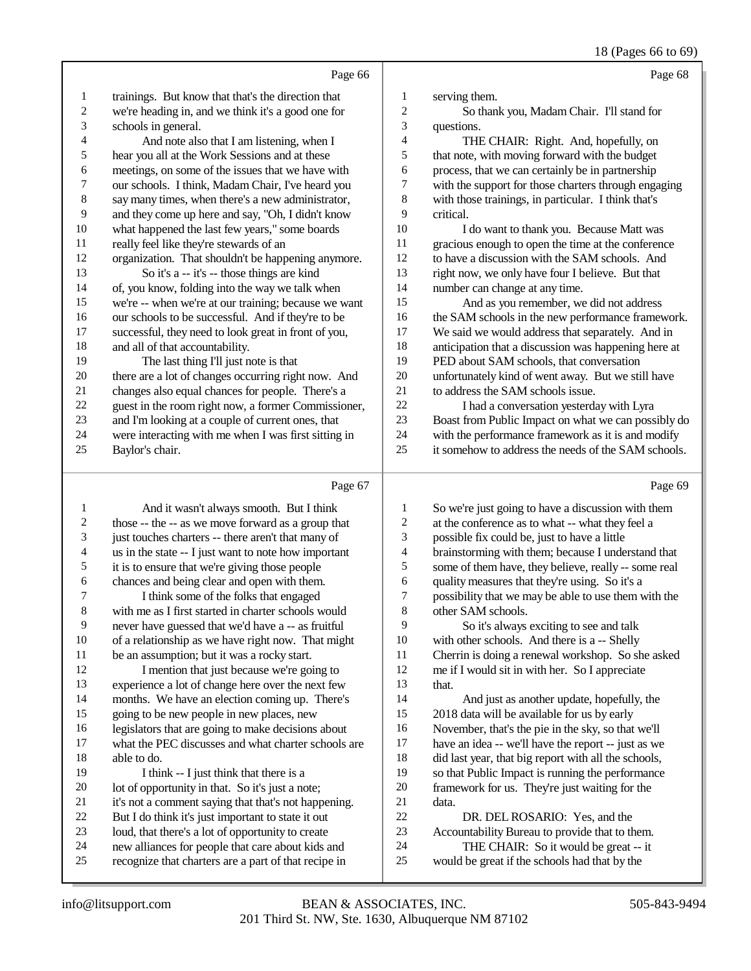18 (Pages 66 to 69)

|    | Page 66                                              |                | Page 68                                              |
|----|------------------------------------------------------|----------------|------------------------------------------------------|
| 1  | trainings. But know that that's the direction that   | 1              | serving them.                                        |
| 2  | we're heading in, and we think it's a good one for   | $\overline{c}$ | So thank you, Madam Chair. I'll stand for            |
| 3  | schools in general.                                  | 3              | questions.                                           |
| 4  | And note also that I am listening, when I            | $\overline{4}$ | THE CHAIR: Right. And, hopefully, on                 |
| 5  | hear you all at the Work Sessions and at these       | 5              | that note, with moving forward with the budget       |
| 6  | meetings, on some of the issues that we have with    | 6              | process, that we can certainly be in partnership     |
| 7  | our schools. I think, Madam Chair, I've heard you    | 7              | with the support for those charters through engaging |
| 8  | say many times, when there's a new administrator,    | 8              | with those trainings, in particular. I think that's  |
| 9  | and they come up here and say, "Oh, I didn't know    | 9              | critical.                                            |
| 10 | what happened the last few years," some boards       | 10             | I do want to thank you. Because Matt was             |
| 11 | really feel like they're stewards of an              | 11             | gracious enough to open the time at the conference   |
| 12 | organization. That shouldn't be happening anymore.   | 12             | to have a discussion with the SAM schools. And       |
| 13 | So it's a -- it's -- those things are kind           | 13             | right now, we only have four I believe. But that     |
| 14 | of, you know, folding into the way we talk when      | 14             | number can change at any time.                       |
| 15 | we're -- when we're at our training; because we want | 15             | And as you remember, we did not address              |
| 16 | our schools to be successful. And if they're to be   | 16             | the SAM schools in the new performance framework.    |
| 17 | successful, they need to look great in front of you, | 17             | We said we would address that separately. And in     |
| 18 | and all of that accountability.                      | 18             | anticipation that a discussion was happening here at |
| 19 | The last thing I'll just note is that                | 19             | PED about SAM schools, that conversation             |
| 20 | there are a lot of changes occurring right now. And  | 20             | unfortunately kind of went away. But we still have   |
| 21 | changes also equal chances for people. There's a     | 21             | to address the SAM schools issue.                    |
| 22 | guest in the room right now, a former Commissioner,  | 22             | I had a conversation yesterday with Lyra             |
| 23 | and I'm looking at a couple of current ones, that    | 23             | Boast from Public Impact on what we can possibly do  |
| 24 | were interacting with me when I was first sitting in | 24             | with the performance framework as it is and modify   |
| 25 | Baylor's chair.                                      | 25             | it somehow to address the needs of the SAM schools.  |
|    |                                                      |                |                                                      |
|    | Page 67                                              |                | Page 69                                              |

|                | And it wasn't always smooth. But I think             | 1  | So we're just going to have a discussion with them   |
|----------------|------------------------------------------------------|----|------------------------------------------------------|
| 2              | those -- the -- as we move forward as a group that   | 2  | at the conference as to what -- what they feel a     |
| 3              | just touches charters -- there aren't that many of   | 3  | possible fix could be, just to have a little         |
| $\overline{4}$ | us in the state -- I just want to note how important | 4  | brainstorming with them; because I understand that   |
| 5              | it is to ensure that we're giving those people       | 5  | some of them have, they believe, really -- some real |
| 6              | chances and being clear and open with them.          | 6  | quality measures that they're using. So it's a       |
| 7              | I think some of the folks that engaged               | 7  | possibility that we may be able to use them with the |
| 8              | with me as I first started in charter schools would  | 8  | other SAM schools.                                   |
| 9              | never have guessed that we'd have a -- as fruitful   | 9  | So it's always exciting to see and talk              |
| 10             | of a relationship as we have right now. That might   | 10 | with other schools. And there is a -- Shelly         |
| 11             | be an assumption; but it was a rocky start.          | 11 | Cherrin is doing a renewal workshop. So she asked    |
| 12             | I mention that just because we're going to           | 12 | me if I would sit in with her. So I appreciate       |
| 13             | experience a lot of change here over the next few    | 13 | that.                                                |
| 14             | months. We have an election coming up. There's       | 14 | And just as another update, hopefully, the           |
| 15             | going to be new people in new places, new            | 15 | 2018 data will be available for us by early          |
| 16             | legislators that are going to make decisions about   | 16 | November, that's the pie in the sky, so that we'll   |
| 17             | what the PEC discusses and what charter schools are  | 17 | have an idea -- we'll have the report -- just as we  |
| 18             | able to do.                                          | 18 | did last year, that big report with all the schools, |
| 19             | I think -- I just think that there is a              | 19 | so that Public Impact is running the performance     |
| 20             | lot of opportunity in that. So it's just a note;     | 20 | framework for us. They're just waiting for the       |
| 21             | it's not a comment saying that that's not happening. | 21 | data.                                                |
| 22             | But I do think it's just important to state it out   | 22 | DR. DEL ROSARIO: Yes, and the                        |
| 23             | loud, that there's a lot of opportunity to create    | 23 | Accountability Bureau to provide that to them.       |
| 24             | new alliances for people that care about kids and    | 24 | THE CHAIR: So it would be great -- it                |
| 25             | recognize that charters are a part of that recipe in | 25 | would be great if the schools had that by the        |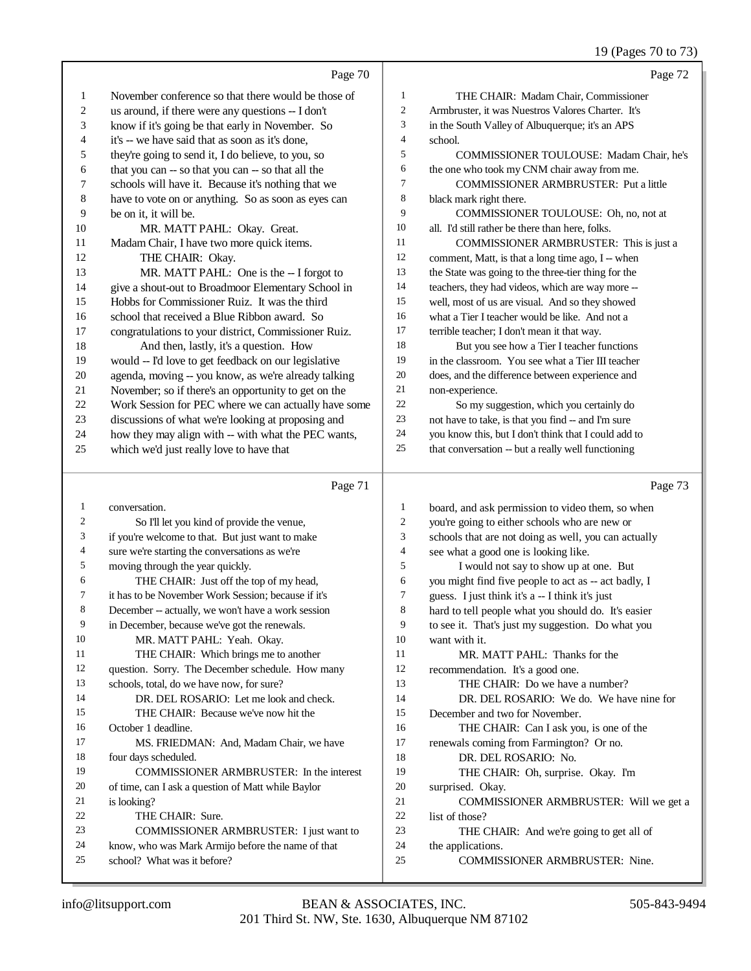19 (Pages 70 to 73)

|    |                                                      |                | 12 (1 agos 70 to 75)                                 |
|----|------------------------------------------------------|----------------|------------------------------------------------------|
|    | Page 70                                              |                | Page 72                                              |
| 1  | November conference so that there would be those of  | 1              | THE CHAIR: Madam Chair, Commissioner                 |
| 2  | us around, if there were any questions -- I don't    | $\overline{c}$ | Armbruster, it was Nuestros Valores Charter. It's    |
| 3  | know if it's going be that early in November. So     | 3              | in the South Valley of Albuquerque; it's an APS      |
| 4  | it's -- we have said that as soon as it's done,      | $\overline{4}$ | school.                                              |
| 5  | they're going to send it, I do believe, to you, so   | 5              | <b>COMMISSIONER TOULOUSE: Madam Chair, he's</b>      |
| 6  | that you can -- so that you can -- so that all the   | 6              | the one who took my CNM chair away from me.          |
| 7  | schools will have it. Because it's nothing that we   | 7              | <b>COMMISSIONER ARMBRUSTER: Put a little</b>         |
| 8  | have to vote on or anything. So as soon as eyes can  | 8              | black mark right there.                              |
| 9  | be on it, it will be.                                | 9              | COMMISSIONER TOULOUSE: Oh, no, not at                |
| 10 | MR. MATT PAHL: Okay. Great.                          | 10             | all. I'd still rather be there than here, folks.     |
| 11 | Madam Chair, I have two more quick items.            | 11             | COMMISSIONER ARMBRUSTER: This is just a              |
| 12 | THE CHAIR: Okay.                                     | 12             | comment, Matt, is that a long time ago, I -- when    |
| 13 | MR. MATT PAHL: One is the -- I forgot to             | 13             | the State was going to the three-tier thing for the  |
| 14 | give a shout-out to Broadmoor Elementary School in   | 14             | teachers, they had videos, which are way more --     |
| 15 | Hobbs for Commissioner Ruiz. It was the third        | 15             | well, most of us are visual. And so they showed      |
| 16 | school that received a Blue Ribbon award. So         | 16             | what a Tier I teacher would be like. And not a       |
| 17 | congratulations to your district, Commissioner Ruiz. | 17             | terrible teacher; I don't mean it that way.          |
| 18 | And then, lastly, it's a question. How               | 18             | But you see how a Tier I teacher functions           |
| 19 | would -- I'd love to get feedback on our legislative | 19             | in the classroom. You see what a Tier III teacher    |
| 20 | agenda, moving -- you know, as we're already talking | 20             | does, and the difference between experience and      |
| 21 | November; so if there's an opportunity to get on the | 21             | non-experience.                                      |
| 22 | Work Session for PEC where we can actually have some | 22             | So my suggestion, which you certainly do             |
| 23 | discussions of what we're looking at proposing and   | 23             | not have to take, is that you find -- and I'm sure   |
| 24 | how they may align with -- with what the PEC wants,  | 24             | you know this, but I don't think that I could add to |
| 25 | which we'd just really love to have that             | 25             | that conversation -- but a really well functioning   |
|    | Page 71                                              |                | Page 73                                              |
|    |                                                      |                |                                                      |

| 1  | conversation.                                       | 1              | board, and ask permission to video them, so when     |
|----|-----------------------------------------------------|----------------|------------------------------------------------------|
| 2  | So I'll let you kind of provide the venue,          | $\overline{c}$ | you're going to either schools who are new or        |
| 3  | if you're welcome to that. But just want to make    | 3              | schools that are not doing as well, you can actually |
| 4  | sure we're starting the conversations as we're      | 4              | see what a good one is looking like.                 |
| 5  | moving through the year quickly.                    | 5              | I would not say to show up at one. But               |
| 6  | THE CHAIR: Just off the top of my head,             | 6              | you might find five people to act as -- act badly, I |
| 7  | it has to be November Work Session; because if it's | 7              | guess. I just think it's a -- I think it's just      |
| 8  | December -- actually, we won't have a work session  | 8              | hard to tell people what you should do. It's easier  |
| 9  | in December, because we've got the renewals.        | 9              | to see it. That's just my suggestion. Do what you    |
| 10 | MR. MATT PAHL: Yeah. Okay.                          | 10             | want with it.                                        |
| 11 | THE CHAIR: Which brings me to another               | 11             | MR. MATT PAHL: Thanks for the                        |
| 12 | question. Sorry. The December schedule. How many    | 12             | recommendation. It's a good one.                     |
| 13 | schools, total, do we have now, for sure?           | 13             | THE CHAIR: Do we have a number?                      |
| 14 | DR. DEL ROSARIO: Let me look and check.             | 14             | DR. DEL ROSARIO: We do. We have nine for             |
| 15 | THE CHAIR: Because we've now hit the                | 15             | December and two for November.                       |
| 16 | October 1 deadline.                                 | 16             | THE CHAIR: Can I ask you, is one of the              |
| 17 | MS. FRIEDMAN: And, Madam Chair, we have             | 17             | renewals coming from Farmington? Or no.              |
| 18 | four days scheduled.                                | 18             | DR. DEL ROSARIO: No.                                 |
| 19 | COMMISSIONER ARMBRUSTER: In the interest            | 19             | THE CHAIR: Oh, surprise. Okay. I'm                   |
| 20 | of time, can I ask a question of Matt while Baylor  | 20             | surprised. Okay.                                     |
| 21 | is looking?                                         | 21             | COMMISSIONER ARMBRUSTER: Will we get a               |
| 22 | THE CHAIR: Sure.                                    | 22             | list of those?                                       |
| 23 | COMMISSIONER ARMBRUSTER: I just want to             | 23             | THE CHAIR: And we're going to get all of             |
| 24 | know, who was Mark Armijo before the name of that   | 24             | the applications.                                    |
| 25 | school? What was it before?                         | 25             | <b>COMMISSIONER ARMBRUSTER: Nine.</b>                |
|    |                                                     |                |                                                      |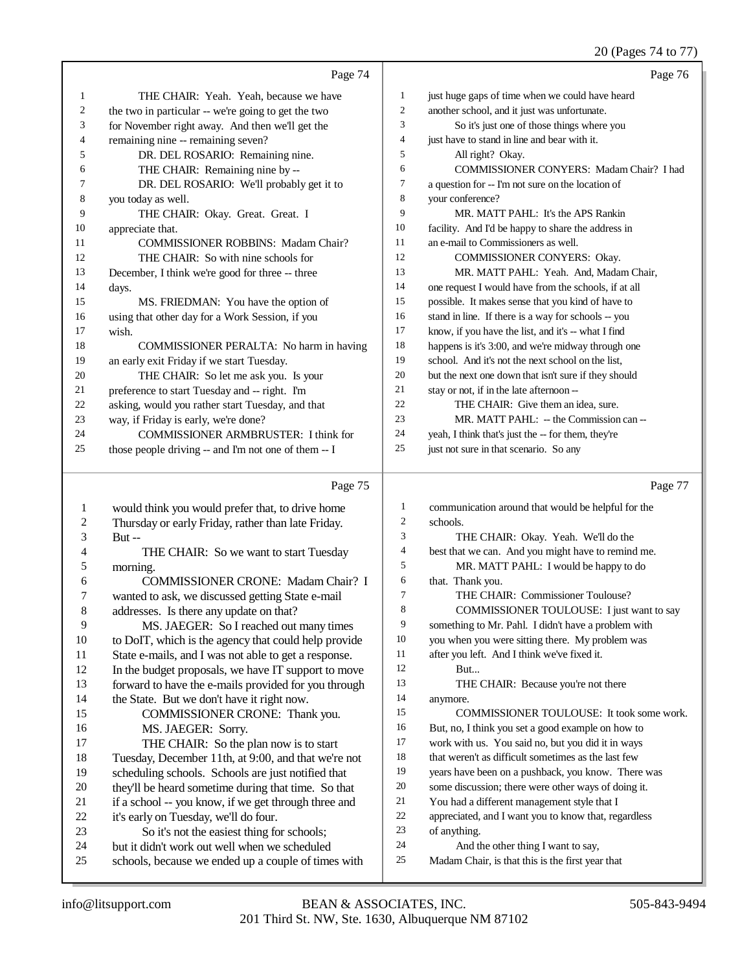## 20 (Pages 74 to 77)

|              | Page 74                                                                                                |                  | Page 76                                              |
|--------------|--------------------------------------------------------------------------------------------------------|------------------|------------------------------------------------------|
| 1            | THE CHAIR: Yeah. Yeah, because we have                                                                 | 1                | just huge gaps of time when we could have heard      |
| 2            | the two in particular -- we're going to get the two                                                    | $\boldsymbol{2}$ | another school, and it just was unfortunate.         |
| 3            | for November right away. And then we'll get the                                                        | 3                | So it's just one of those things where you           |
| 4            | remaining nine -- remaining seven?                                                                     | 4                | just have to stand in line and bear with it.         |
| 5            | DR. DEL ROSARIO: Remaining nine.                                                                       | 5                | All right? Okay.                                     |
| 6            | THE CHAIR: Remaining nine by --                                                                        | 6                | COMMISSIONER CONYERS: Madam Chair? I had             |
| 7            | DR. DEL ROSARIO: We'll probably get it to                                                              | 7                | a question for -- I'm not sure on the location of    |
| 8            | you today as well.                                                                                     | $\,$ 8 $\,$      | your conference?                                     |
| 9            | THE CHAIR: Okay. Great. Great. I                                                                       | 9                | MR. MATT PAHL: It's the APS Rankin                   |
| 10           | appreciate that.                                                                                       | 10               | facility. And I'd be happy to share the address in   |
| 11           | <b>COMMISSIONER ROBBINS: Madam Chair?</b>                                                              | 11               | an e-mail to Commissioners as well.                  |
| 12           | THE CHAIR: So with nine schools for                                                                    | 12               | COMMISSIONER CONYERS: Okay.                          |
| 13           | December, I think we're good for three -- three                                                        | 13               | MR. MATT PAHL: Yeah. And, Madam Chair,               |
| 14           | days.                                                                                                  | 14               | one request I would have from the schools, if at all |
| 15           | MS. FRIEDMAN: You have the option of                                                                   | 15               | possible. It makes sense that you kind of have to    |
| 16           | using that other day for a Work Session, if you                                                        | 16               | stand in line. If there is a way for schools -- you  |
| 17           | wish.                                                                                                  | 17               | know, if you have the list, and it's -- what I find  |
| 18           | COMMISSIONER PERALTA: No harm in having                                                                | 18               | happens is it's 3:00, and we're midway through one   |
| 19           | an early exit Friday if we start Tuesday.                                                              | 19               | school. And it's not the next school on the list,    |
| 20           | THE CHAIR: So let me ask you. Is your                                                                  | 20               | but the next one down that isn't sure if they should |
| 21           | preference to start Tuesday and -- right. I'm                                                          | 21               | stay or not, if in the late afternoon --             |
| 22           | asking, would you rather start Tuesday, and that                                                       | 22               | THE CHAIR: Give them an idea, sure.                  |
| 23           | way, if Friday is early, we're done?                                                                   | 23               | MR. MATT PAHL: -- the Commission can --              |
| 24           | COMMISSIONER ARMBRUSTER: I think for                                                                   | 24               | yeah, I think that's just the -- for them, they're   |
| 25           | those people driving -- and I'm not one of them -- I                                                   | 25               | just not sure in that scenario. So any               |
|              |                                                                                                        |                  |                                                      |
|              |                                                                                                        |                  |                                                      |
|              | Page 75                                                                                                |                  | Page 77                                              |
| $\mathbf{1}$ |                                                                                                        | $\mathbf{1}$     | communication around that would be helpful for the   |
| 2            | would think you would prefer that, to drive home<br>Thursday or early Friday, rather than late Friday. | $\overline{c}$   | schools.                                             |
| 3            | But-                                                                                                   | 3                | THE CHAIR: Okay. Yeah. We'll do the                  |
| 4            | THE CHAIR: So we want to start Tuesday                                                                 | $\overline{4}$   | best that we can. And you might have to remind me.   |
| 5            | morning.                                                                                               | 5                | MR. MATT PAHL: I would be happy to do                |
| 6            | <b>COMMISSIONER CRONE: Madam Chair? I</b>                                                              | 6                | that. Thank you.                                     |
| 7            | wanted to ask, we discussed getting State e-mail                                                       | 7                | THE CHAIR: Commissioner Toulouse?                    |
| 8            | addresses. Is there any update on that?                                                                | 8                | COMMISSIONER TOULOUSE: I just want to say            |
| 9            | MS. JAEGER: So I reached out many times                                                                | 9                | something to Mr. Pahl. I didn't have a problem with  |
| 10           | to DoIT, which is the agency that could help provide                                                   | 10               | you when you were sitting there. My problem was      |
| 11           | State e-mails, and I was not able to get a response.                                                   | 11               | after you left. And I think we've fixed it.          |
| 12           | In the budget proposals, we have IT support to move                                                    | 12               | But                                                  |
| 13           | forward to have the e-mails provided for you through                                                   | 13               | THE CHAIR: Because you're not there                  |
| 14           | the State. But we don't have it right now.                                                             | 14               | anymore.                                             |
| 15           | COMMISSIONER CRONE: Thank you.                                                                         | 15               | COMMISSIONER TOULOUSE: It took some work.            |
| 16           | MS. JAEGER: Sorry.                                                                                     | 16               | But, no, I think you set a good example on how to    |
| 17           | THE CHAIR: So the plan now is to start                                                                 | 17               | work with us. You said no, but you did it in ways    |
| 18           | Tuesday, December 11th, at 9:00, and that we're not                                                    | 18               | that weren't as difficult sometimes as the last few  |
| 19           | scheduling schools. Schools are just notified that                                                     | 19               | years have been on a pushback, you know. There was   |
| 20           | they'll be heard sometime during that time. So that                                                    | 20               | some discussion; there were other ways of doing it.  |
| 21           | if a school -- you know, if we get through three and                                                   | 21               | You had a different management style that I          |
| 22           | it's early on Tuesday, we'll do four.                                                                  | 22               | appreciated, and I want you to know that, regardless |
| 23           | So it's not the easiest thing for schools;                                                             | 23               | of anything.                                         |
| 24           | but it didn't work out well when we scheduled                                                          | 24               | And the other thing I want to say,                   |
| 25           | schools, because we ended up a couple of times with                                                    | 25               | Madam Chair, is that this is the first year that     |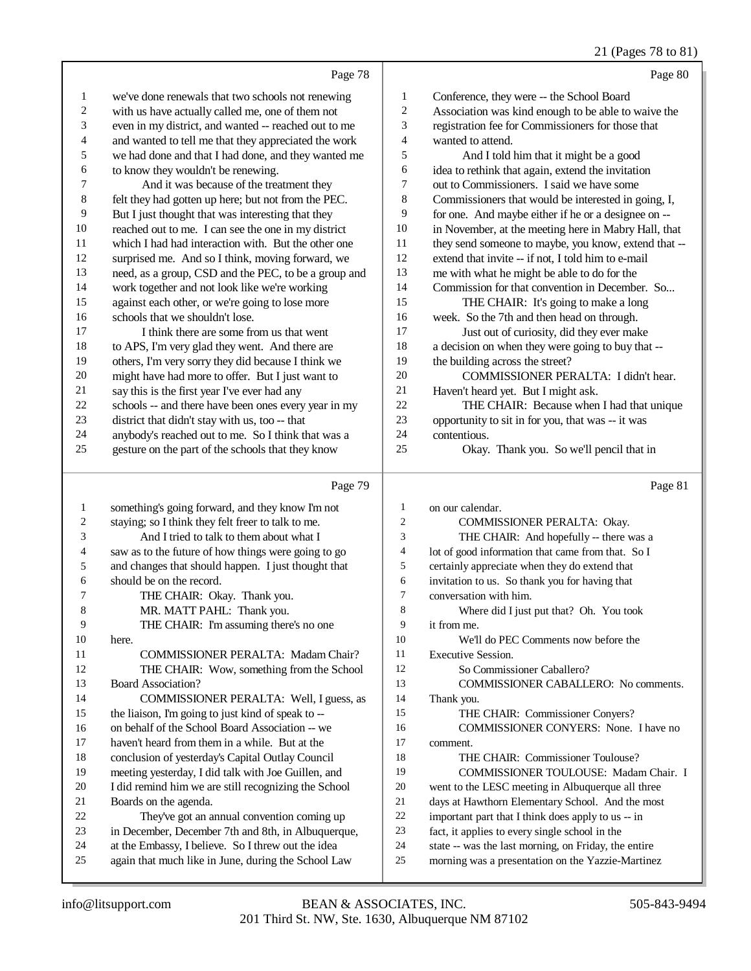### 21 (Pages 78 to 81)

|          | Page 78                                                                                              |                | Page 80                                                                                                |
|----------|------------------------------------------------------------------------------------------------------|----------------|--------------------------------------------------------------------------------------------------------|
| 1        | we've done renewals that two schools not renewing                                                    | 1              | Conference, they were -- the School Board                                                              |
| 2        | with us have actually called me, one of them not                                                     | $\sqrt{2}$     | Association was kind enough to be able to waive the                                                    |
| 3        | even in my district, and wanted -- reached out to me                                                 | 3              | registration fee for Commissioners for those that                                                      |
| 4        | and wanted to tell me that they appreciated the work                                                 | $\overline{4}$ | wanted to attend.                                                                                      |
| 5        | we had done and that I had done, and they wanted me                                                  | 5              | And I told him that it might be a good                                                                 |
| 6        | to know they wouldn't be renewing.                                                                   | 6              | idea to rethink that again, extend the invitation                                                      |
| 7        | And it was because of the treatment they                                                             | $\tau$         | out to Commissioners. I said we have some                                                              |
| 8        | felt they had gotten up here; but not from the PEC.                                                  | 8              | Commissioners that would be interested in going, I,                                                    |
| 9        | But I just thought that was interesting that they                                                    | 9              | for one. And maybe either if he or a designee on --                                                    |
| 10       | reached out to me. I can see the one in my district                                                  | 10             | in November, at the meeting here in Mabry Hall, that                                                   |
| 11       | which I had had interaction with. But the other one                                                  | 11             | they send someone to maybe, you know, extend that --                                                   |
| 12       | surprised me. And so I think, moving forward, we                                                     | 12             | extend that invite -- if not, I told him to e-mail                                                     |
| 13       | need, as a group, CSD and the PEC, to be a group and                                                 | 13             | me with what he might be able to do for the                                                            |
| 14       | work together and not look like we're working                                                        | 14             | Commission for that convention in December. So                                                         |
| 15<br>16 | against each other, or we're going to lose more<br>schools that we shouldn't lose.                   | 15<br>16       | THE CHAIR: It's going to make a long                                                                   |
| 17       | I think there are some from us that went                                                             | 17             | week. So the 7th and then head on through.                                                             |
| 18       |                                                                                                      | 18             | Just out of curiosity, did they ever make                                                              |
| 19       | to APS, I'm very glad they went. And there are<br>others, I'm very sorry they did because I think we | 19             | a decision on when they were going to buy that --<br>the building across the street?                   |
| 20       | might have had more to offer. But I just want to                                                     | 20             | COMMISSIONER PERALTA: I didn't hear.                                                                   |
| 21       | say this is the first year I've ever had any                                                         | 21             | Haven't heard yet. But I might ask.                                                                    |
| 22       | schools -- and there have been ones every year in my                                                 | 22             | THE CHAIR: Because when I had that unique                                                              |
| 23       | district that didn't stay with us, too -- that                                                       | 23             | opportunity to sit in for you, that was -- it was                                                      |
| 24       | anybody's reached out to me. So I think that was a                                                   | 24             | contentious.                                                                                           |
| 25       | gesture on the part of the schools that they know                                                    | 25             | Okay. Thank you. So we'll pencil that in                                                               |
|          |                                                                                                      |                |                                                                                                        |
|          | Page 79                                                                                              |                | Page 81                                                                                                |
| 1        | something's going forward, and they know I'm not                                                     | 1              | on our calendar.                                                                                       |
| 2        | staying; so I think they felt freer to talk to me.                                                   | 2              | COMMISSIONER PERALTA: Okay.                                                                            |
| 3        | And I tried to talk to them about what I                                                             | 3              | THE CHAIR: And hopefully -- there was a                                                                |
| 4        | saw as to the future of how things were going to go                                                  | 4              | lot of good information that came from that. So I                                                      |
| 5        | and changes that should happen. I just thought that                                                  | 5              | certainly appreciate when they do extend that                                                          |
| 6        | should be on the record.                                                                             | 6              | invitation to us. So thank you for having that                                                         |
| 7        | THE CHAIR: Okay. Thank you.                                                                          | 7              | conversation with him.                                                                                 |
| 8        | MR. MATT PAHL: Thank you.                                                                            | 8              | Where did I just put that? Oh. You took                                                                |
| 9        | THE CHAIR: I'm assuming there's no one                                                               | 9              | it from me.                                                                                            |
| 10       | here.                                                                                                | 10             | We'll do PEC Comments now before the                                                                   |
| 11       | COMMISSIONER PERALTA: Madam Chair?                                                                   | 11             | Executive Session.                                                                                     |
| 12       | THE CHAIR: Wow, something from the School                                                            | 12             | So Commissioner Caballero?                                                                             |
| 13       | <b>Board Association?</b>                                                                            | 13             | COMMISSIONER CABALLERO: No comments.                                                                   |
| 14       | COMMISSIONER PERALTA: Well, I guess, as                                                              | 14             | Thank you.                                                                                             |
| 15       | the liaison, I'm going to just kind of speak to --                                                   | 15             | THE CHAIR: Commissioner Conyers?                                                                       |
| 16       | on behalf of the School Board Association -- we                                                      | 16             | COMMISSIONER CONYERS: None. I have no                                                                  |
| 17       | haven't heard from them in a while. But at the                                                       | 17             | comment.                                                                                               |
| 18       | conclusion of yesterday's Capital Outlay Council                                                     | 18             | THE CHAIR: Commissioner Toulouse?                                                                      |
| 19       | meeting yesterday, I did talk with Joe Guillen, and                                                  | 19             | COMMISSIONER TOULOUSE: Madam Chair. I                                                                  |
| 20       | I did remind him we are still recognizing the School                                                 | 20<br>21       | went to the LESC meeting in Albuquerque all three                                                      |
| 21<br>22 | Boards on the agenda.<br>They've got an annual convention coming up                                  | $22\,$         | days at Hawthorn Elementary School. And the most<br>important part that I think does apply to us -- in |
| 23       | in December, December 7th and 8th, in Albuquerque,                                                   | 23             | fact, it applies to every single school in the                                                         |
|          |                                                                                                      |                |                                                                                                        |
| 24       | at the Embassy, I believe. So I threw out the idea                                                   | 24             | state -- was the last morning, on Friday, the entire                                                   |

 again that much like in June, during the School Law morning was a presentation on the Yazzie-Martinez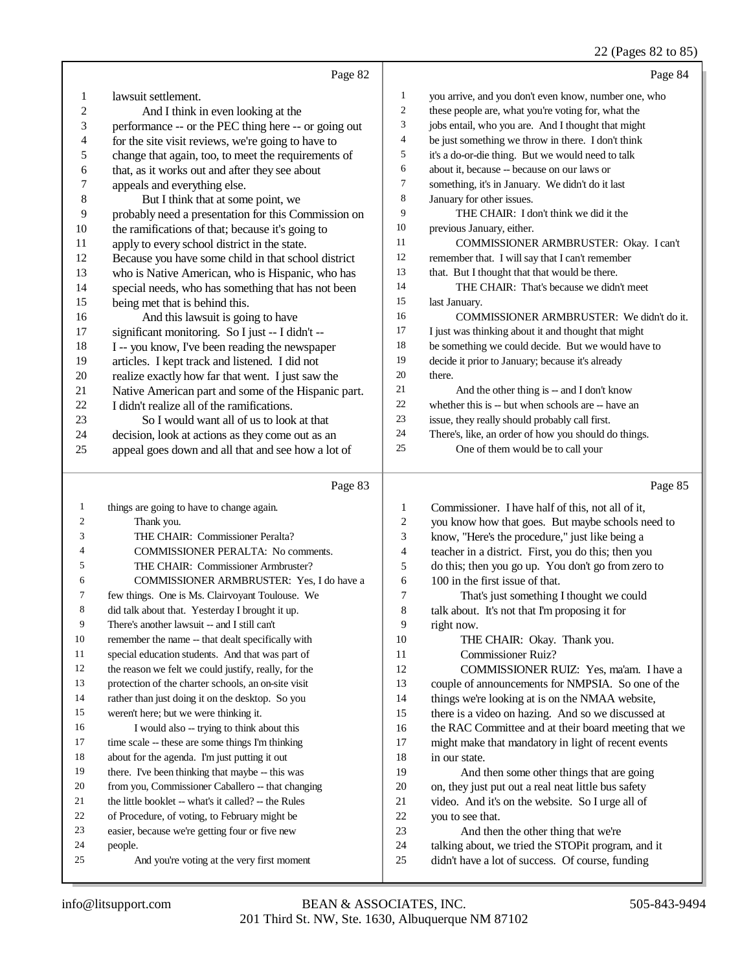### 22 (Pages 82 to 85)

|                  | Page 82                                              |                | Page 84                                              |
|------------------|------------------------------------------------------|----------------|------------------------------------------------------|
| 1                | lawsuit settlement.                                  | 1              | you arrive, and you don't even know, number one, who |
| $\overline{c}$   | And I think in even looking at the                   | $\mathbf{2}$   | these people are, what you're voting for, what the   |
| 3                | performance -- or the PEC thing here -- or going out | 3              | jobs entail, who you are. And I thought that might   |
| 4                | for the site visit reviews, we're going to have to   | $\overline{4}$ | be just something we throw in there. I don't think   |
| 5                | change that again, too, to meet the requirements of  | 5              | it's a do-or-die thing. But we would need to talk    |
| 6                | that, as it works out and after they see about       | 6              | about it, because -- because on our laws or          |
| $\boldsymbol{7}$ | appeals and everything else.                         | $\tau$         | something, it's in January. We didn't do it last     |
| 8                | But I think that at some point, we                   | 8              | January for other issues.                            |
| 9                | probably need a presentation for this Commission on  | 9              | THE CHAIR: I don't think we did it the               |
| $10\,$           | the ramifications of that; because it's going to     | $10\,$         | previous January, either.                            |
| 11               | apply to every school district in the state.         | 11             | COMMISSIONER ARMBRUSTER: Okay. I can't               |
| 12               | Because you have some child in that school district  | 12             | remember that. I will say that I can't remember      |
| 13               | who is Native American, who is Hispanic, who has     | 13             | that. But I thought that that would be there.        |
| 14               | special needs, who has something that has not been   | 14             | THE CHAIR: That's because we didn't meet             |
| 15               | being met that is behind this.                       | 15             | last January.                                        |
| 16               | And this lawsuit is going to have                    | 16             | COMMISSIONER ARMBRUSTER: We didn't do it.            |
| 17               | significant monitoring. So I just -- I didn't --     | 17             | I just was thinking about it and thought that might  |
| 18               | I -- you know, I've been reading the newspaper       | 18             | be something we could decide. But we would have to   |
| 19               | articles. I kept track and listened. I did not       | 19             | decide it prior to January; because it's already     |
| $20\,$           | realize exactly how far that went. I just saw the    | $20\,$         | there.                                               |
| 21               | Native American part and some of the Hispanic part.  | 21             | And the other thing is -- and I don't know           |
| 22               | I didn't realize all of the ramifications.           | $22\,$         | whether this is -- but when schools are -- have an   |
| 23               | So I would want all of us to look at that            | 23             | issue, they really should probably call first.       |
| 24               | decision, look at actions as they come out as an     | 24             | There's, like, an order of how you should do things. |
| 25               | appeal goes down and all that and see how a lot of   | 25             | One of them would be to call your                    |
|                  |                                                      |                |                                                      |
|                  | Page 83                                              |                | Page 85                                              |
| $\mathbf{1}$     | things are going to have to change again.            | 1              | Commissioner. I have half of this, not all of it,    |
| $\boldsymbol{2}$ | Thank you.                                           | 2              | you know how that goes. But maybe schools need to    |
| 3                | THE CHAIR: Commissioner Peralta?                     | 3              | know, "Here's the procedure," just like being a      |
| 4                | COMMISSIONER PERALTA: No comments.                   | 4              | teacher in a district. First, you do this; then you  |
| 5                | THE CHAIR: Commissioner Armbruster?                  | 5              | do this; then you go up. You don't go from zero to   |
| 6                | COMMISSIONER ARMBRUSTER: Yes, I do have a            | 6              | 100 in the first issue of that.                      |
| 7                | few things. One is Ms. Clairvoyant Toulouse. We      | $\tau$         | That's just something I thought we could             |
| 8                | did talk about that. Yesterday I brought it up.      | 8              | talk about. It's not that I'm proposing it for       |
| 9                | There's another lawsuit -- and I still can't         | 9              | right now.                                           |
| 10               | remember the name -- that dealt specifically with    | 10             | THE CHAIR: Okay. Thank you.                          |
| 11               | special education students. And that was part of     | 11             | <b>Commissioner Ruiz?</b>                            |
| 12               | the reason we felt we could justify, really, for the | 12             | COMMISSIONER RUIZ: Yes, ma'am. I have a              |
| 13               | protection of the charter schools, an on-site visit  | 13             | couple of announcements for NMPSIA. So one of the    |
| 14               | rather than just doing it on the desktop. So you     | 14             | things we're looking at is on the NMAA website,      |
| 15               | weren't here; but we were thinking it.               | 15             | there is a video on hazing. And so we discussed at   |
| 16               | I would also -- trying to think about this           | 16             | the RAC Committee and at their board meeting that we |

16 the RAC Committee and at their board meeting that we might make that mandatory in light of recent events in our state.

 And then some other things that are going on, they just put out a real neat little bus safety video. And it's on the website. So I urge all of you to see that.

- And then the other thing that we're
- talking about, we tried the STOPit program, and it
- didn't have a lot of success. Of course, funding

people.

 time scale -- these are some things I'm thinking about for the agenda. I'm just putting it out 19 there. I've been thinking that maybe -- this was from you, Commissioner Caballero -- that changing the little booklet -- what's it called? -- the Rules of Procedure, of voting, to February might be easier, because we're getting four or five new

And you're voting at the very first moment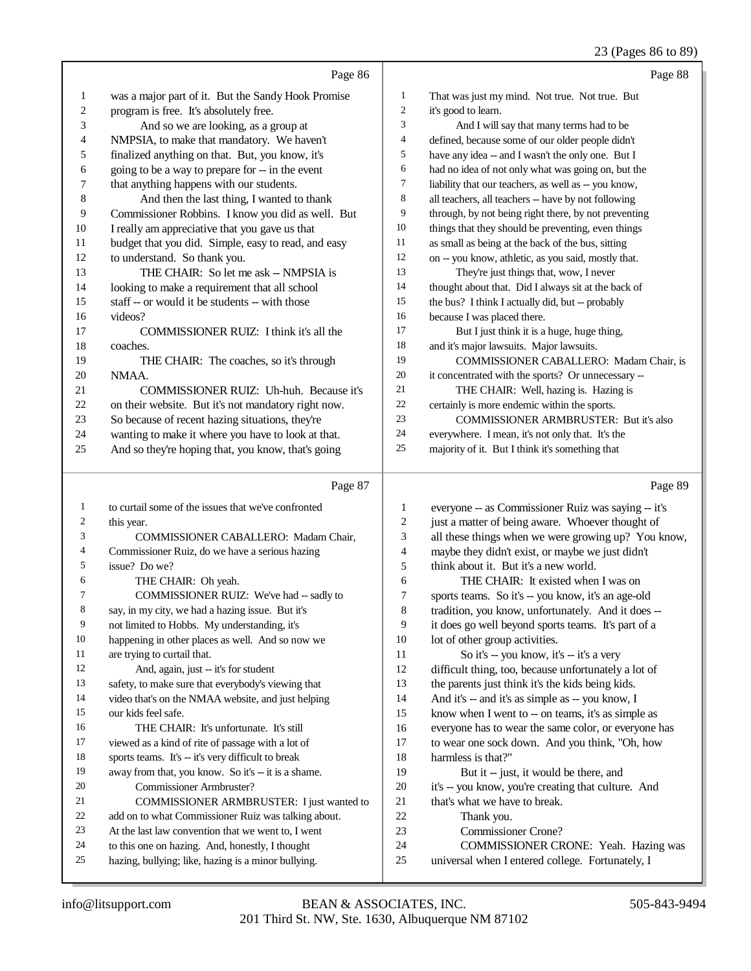### 23 (Pages 86 to 89)

|                | Page 86                                             |                | Page 88                                              |
|----------------|-----------------------------------------------------|----------------|------------------------------------------------------|
| $\mathbf{1}$   | was a major part of it. But the Sandy Hook Promise  | $\mathbf{1}$   | That was just my mind. Not true. Not true. But       |
| $\sqrt{2}$     | program is free. It's absolutely free.              | $\mathbf{2}$   | it's good to learn.                                  |
| 3              | And so we are looking, as a group at                | 3              | And I will say that many terms had to be             |
| 4              | NMPSIA, to make that mandatory. We haven't          | $\overline{4}$ | defined, because some of our older people didn't     |
| 5              | finalized anything on that. But, you know, it's     | 5              | have any idea -- and I wasn't the only one. But I    |
| 6              | going to be a way to prepare for -- in the event    | 6              | had no idea of not only what was going on, but the   |
| 7              | that anything happens with our students.            | $\tau$         | liability that our teachers, as well as -- you know, |
| $\,$ 8 $\,$    | And then the last thing, I wanted to thank          | 8              | all teachers, all teachers -- have by not following  |
| 9              | Commissioner Robbins. I know you did as well. But   | 9              | through, by not being right there, by not preventing |
| $10\,$         | I really am appreciative that you gave us that      | 10             | things that they should be preventing, even things   |
| $11\,$         | budget that you did. Simple, easy to read, and easy | 11             | as small as being at the back of the bus, sitting    |
| $12\,$         | to understand. So thank you.                        | 12             | on -- you know, athletic, as you said, mostly that.  |
| 13             | THE CHAIR: So let me ask -- NMPSIA is               | 13             | They're just things that, wow, I never               |
| 14             | looking to make a requirement that all school       | 14             | thought about that. Did I always sit at the back of  |
| 15             | staff -- or would it be students -- with those      | 15             | the bus? I think I actually did, but -- probably     |
| 16             | videos?                                             | 16             | because I was placed there.                          |
| 17             | COMMISSIONER RUIZ: I think it's all the             | 17             | But I just think it is a huge, huge thing,           |
| $18\,$         | coaches.                                            | 18             | and it's major lawsuits. Major lawsuits.             |
| 19             | THE CHAIR: The coaches, so it's through             | 19             | COMMISSIONER CABALLERO: Madam Chair, is              |
| 20             | NMAA.                                               | $20\,$         | it concentrated with the sports? Or unnecessary --   |
| 21             | COMMISSIONER RUIZ: Uh-huh. Because it's             | 21             | THE CHAIR: Well, hazing is. Hazing is                |
| $22\,$         | on their website. But it's not mandatory right now. | $22\,$         | certainly is more endemic within the sports.         |
| 23             | So because of recent hazing situations, they're     | 23             | COMMISSIONER ARMBRUSTER: But it's also               |
| 24             | wanting to make it where you have to look at that.  | 24             | everywhere. I mean, it's not only that. It's the     |
| 25             | And so they're hoping that, you know, that's going  | 25             | majority of it. But I think it's something that      |
|                |                                                     |                |                                                      |
|                | Page 87                                             |                | Page 89                                              |
| $\mathbf{1}$   | to curtail some of the issues that we've confronted | $\mathbf{1}$   | everyone -- as Commissioner Ruiz was saying -- it's  |
| $\mathfrak{2}$ | this year.                                          | $\overline{c}$ | just a matter of being aware. Whoever thought of     |
| 3              | COMMISSIONER CABALLERO: Madam Chair,                | 3              | all these things when we were growing up? You know,  |
| $\overline{4}$ | Commissioner Ruiz, do we have a serious hazing      | $\overline{4}$ | maybe they didn't exist, or maybe we just didn't     |
| 5              | issue? Do we?                                       | 5              | think about it. But it's a new world.                |
| 6              | THE CHAIR: Oh yeah.                                 | 6              | THE CHAIR: It existed when I was on                  |
| $\tau$         | COMMISSIONER RUIZ: We've had -- sadly to            | 7              | sports teams. So it's -- you know, it's an age-old   |
|                | say in my city, we had a hazing issue. But it's     | $\mathbf{Q}$   | tradition you know unfortunately And it does --      |

say, in my city, we had a ha

- not limited to Hobbs. My understanding, it's happening in other places as well. And so now we
- are trying to curtail that.
- 12 And, again, just -- it's for student
- safety, to make sure that everybody's viewing that
- video that's on the NMAA website, and just helping our kids feel safe.
- THE CHAIR: It's unfortunate. It's still viewed as a kind of rite of passage with a lot of
- sports teams. It's -- it's very difficult to break
- 19 away from that, you know. So it's -- it is a shame.
- Commissioner Armbruster?
- COMMISSIONER ARMBRUSTER: I just wanted to
- add on to what Commissioner Ruiz was talking about.
- At the last law convention that we went to, I went
- to this one on hazing. And, honestly, I thought hazing, bullying; like, hazing is a minor bullying.
- l, you know, unfortunately. And it d it does go well beyond sports teams. It's part of a 10 lot of other group activities. 11 So it's -- you know, it's -- it's a very difficult thing, too, because unfortunately a lot of the parents just think it's the kids being kids. And it's -- and it's as simple as -- you know, I know when I went to -- on teams, it's as simple as everyone has to wear the same color, or everyone has to wear one sock down. And you think, "Oh, how harmless is that?" 19 But it -- just, it would be there, and it's -- you know, you're creating that culture. And that's what we have to break. Thank you. Commissioner Crone? COMMISSIONER CRONE: Yeah. Hazing was
- universal when I entered college. Fortunately, I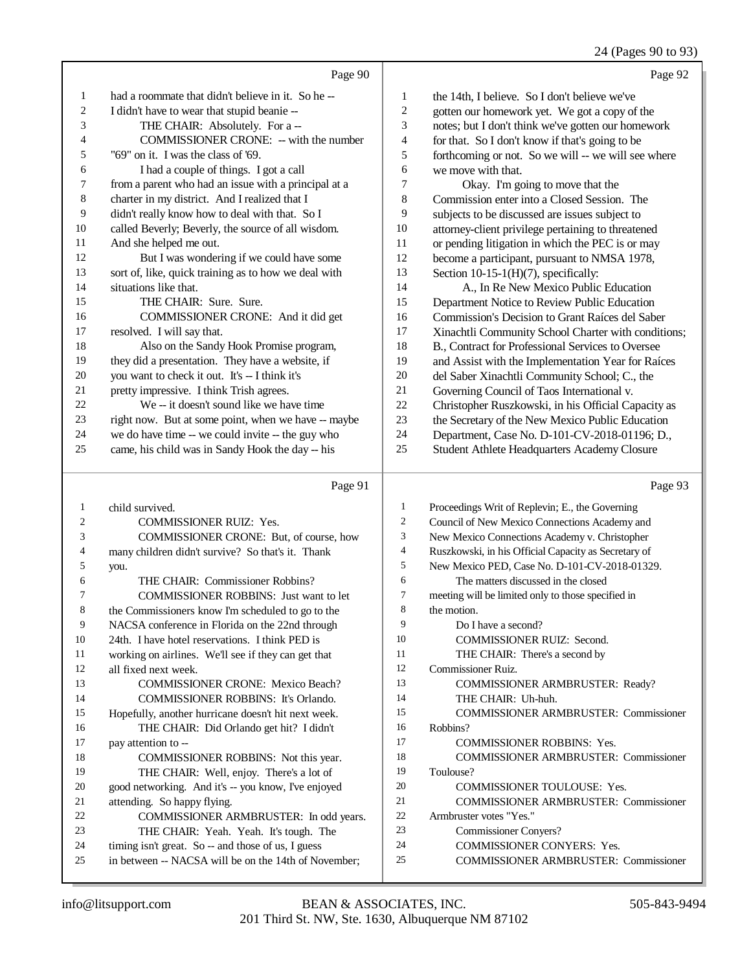24 (Pages 90 to 93)

|    | Page 90                                              |                | Page 92                                             |
|----|------------------------------------------------------|----------------|-----------------------------------------------------|
| 1  | had a roommate that didn't believe in it. So he --   | 1              | the 14th, I believe. So I don't believe we've       |
| 2  | I didn't have to wear that stupid beanie --          | $\overline{c}$ | gotten our homework yet. We got a copy of the       |
| 3  | THE CHAIR: Absolutely. For a --                      | 3              | notes; but I don't think we've gotten our homework  |
| 4  | COMMISSIONER CRONE: -- with the number               | $\overline{4}$ | for that. So I don't know if that's going to be     |
| 5  | "69" on it. I was the class of '69.                  | 5              | forthcoming or not. So we will -- we will see where |
| 6  | I had a couple of things. I got a call               | 6              | we move with that.                                  |
| 7  | from a parent who had an issue with a principal at a | 7              | Okay. I'm going to move that the                    |
| 8  | charter in my district. And I realized that I        | $\,$ 8 $\,$    | Commission enter into a Closed Session. The         |
| 9  | didn't really know how to deal with that. So I       | 9              | subjects to be discussed are issues subject to      |
| 10 | called Beverly; Beverly, the source of all wisdom.   | 10             | attorney-client privilege pertaining to threatened  |
| 11 | And she helped me out.                               | 11             | or pending litigation in which the PEC is or may    |
| 12 | But I was wondering if we could have some            | 12             | become a participant, pursuant to NMSA 1978,        |
| 13 | sort of, like, quick training as to how we deal with | 13             | Section 10-15-1(H)(7), specifically:                |
| 14 | situations like that.                                | 14             | A., In Re New Mexico Public Education               |
| 15 | THE CHAIR: Sure. Sure.                               | 15             | Department Notice to Review Public Education        |
| 16 | COMMISSIONER CRONE: And it did get                   | 16             | Commission's Decision to Grant Raíces del Saber     |
| 17 | resolved. I will say that.                           | 17             | Xinachtli Community School Charter with conditions; |
| 18 | Also on the Sandy Hook Promise program,              | 18             | B., Contract for Professional Services to Oversee   |
| 19 | they did a presentation. They have a website, if     | 19             | and Assist with the Implementation Year for Raíces  |
| 20 | you want to check it out. It's -- I think it's       | 20             | del Saber Xinachtli Community School; C., the       |
| 21 | pretty impressive. I think Trish agrees.             | 21             | Governing Council of Taos International v.          |
| 22 | We -- it doesn't sound like we have time             | 22             | Christopher Ruszkowski, in his Official Capacity as |
| 23 | right now. But at some point, when we have -- maybe  | 23             | the Secretary of the New Mexico Public Education    |
| 24 | we do have time -- we could invite -- the guy who    | 24             | Department, Case No. D-101-CV-2018-01196; D.,       |
| 25 | came, his child was in Sandy Hook the day -- his     | 25             | Student Athlete Headquarters Academy Closure        |
|    | Page 91                                              |                | Page 93                                             |

#### Page 91

 child survived. COMMISSIONER RUIZ: Yes. COMMISSIONER CRONE: But, of course, how many children didn't survive? So that's it. Thank you. 6 THE CHAIR: Commissioner Robbins?<br>7 COMMISSIONER ROBBINS: Just wat COMMISSIONER ROBBINS: Just want to let the Commissioners know I'm scheduled to go to the NACSA conference in Florida on the 22nd through 24th. I have hotel reservations. I think PED is 11 working on airlines. We'll see if they can get that<br>12 all fixed next week all fixed next week. COMMISSIONER CRONE: Mexico Beach? COMMISSIONER ROBBINS: It's Orlando. Hopefully, another hurricane doesn't hit next week. THE CHAIR: Did Orlando get hit? I didn't pay attention to -- COMMISSIONER ROBBINS: Not this year. THE CHAIR: Well, enjoy. There's a lot of good networking. And it's -- you know, I've enjoyed attending. So happy flying. 22 COMMISSIONER ARMBRUSTER: In odd years.<br>23 THE CHAIR: Yeah. Yeah. It's tough. The THE CHAIR: Yeah. Yeah. It's tough. The timing isn't great. So -- and those of us, I guess in between -- NACSA will be on the 14th of November; Proceedings Writ of Replevin; E., the Governing Council of New Mexico Connections Academy and New Mexico Connections Academy v. Christopher Ruszkowski, in his Official Capacity as Secretary of New Mexico PED, Case No. D-101-CV-2018-01329. The matters discussed in the closed meeting will be limited only to those specified in the motion. Do I have a second? COMMISSIONER RUIZ: Second. 11 THE CHAIR: There's a second by Commissioner Ruiz. COMMISSIONER ARMBRUSTER: Ready? THE CHAIR: Uh-huh. COMMISSIONER ARMBRUSTER: Commissioner Robbins? 17 COMMISSIONER ROBBINS: Yes. COMMISSIONER ARMBRUSTER: Commissioner Toulouse? 20 COMMISSIONER TOULOUSE: Yes. COMMISSIONER ARMBRUSTER: Commissioner Armbruster votes "Yes." Commissioner Conyers? COMMISSIONER CONYERS: Yes. COMMISSIONER ARMBRUSTER: Commissioner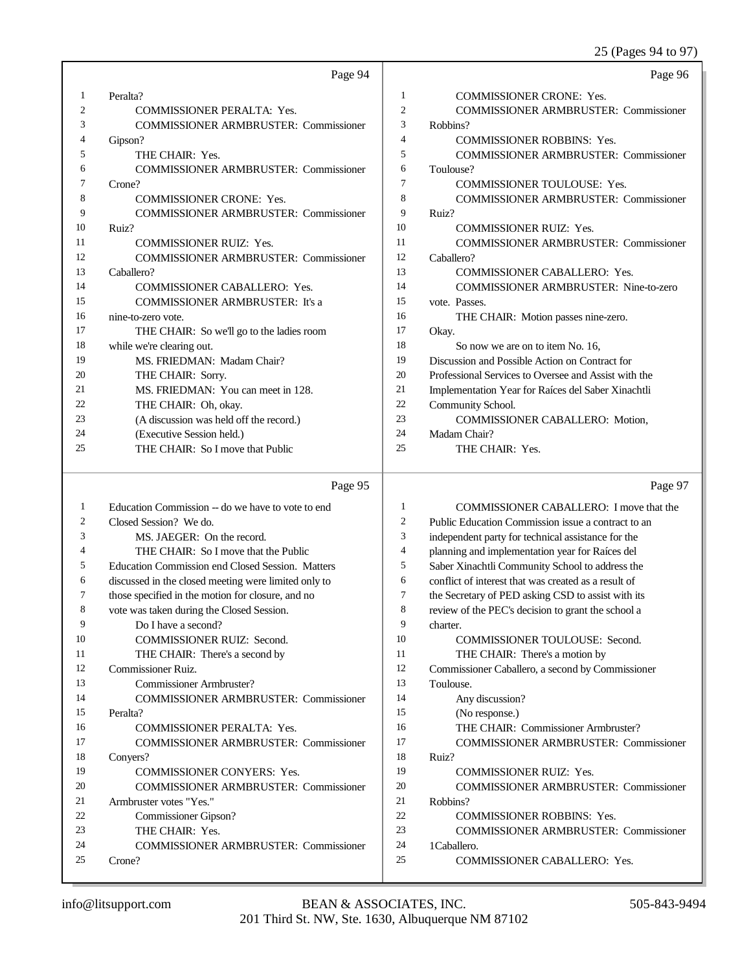### 25 (Pages 94 to 97)

|    | Page 94                                      |    | Page 96                                              |
|----|----------------------------------------------|----|------------------------------------------------------|
| 1  | Peralta?                                     | 1  | <b>COMMISSIONER CRONE: Yes.</b>                      |
| 2  | <b>COMMISSIONER PERALTA: Yes.</b>            | 2  | <b>COMMISSIONER ARMBRUSTER: Commissioner</b>         |
| 3  | <b>COMMISSIONER ARMBRUSTER: Commissioner</b> | 3  | Robbins?                                             |
| 4  | Gipson?                                      | 4  | <b>COMMISSIONER ROBBINS: Yes.</b>                    |
| 5  | THE CHAIR: Yes.                              | 5  | <b>COMMISSIONER ARMBRUSTER: Commissioner</b>         |
| 6  | <b>COMMISSIONER ARMBRUSTER: Commissioner</b> | 6  | Toulouse?                                            |
| 7  | Crone?                                       | 7  | <b>COMMISSIONER TOULOUSE: Yes.</b>                   |
| 8  | <b>COMMISSIONER CRONE: Yes.</b>              | 8  | <b>COMMISSIONER ARMBRUSTER: Commissioner</b>         |
| 9  | <b>COMMISSIONER ARMBRUSTER: Commissioner</b> | 9  | Ruiz?                                                |
| 10 | Ruiz?                                        | 10 | <b>COMMISSIONER RUIZ: Yes.</b>                       |
| 11 | <b>COMMISSIONER RUIZ: Yes.</b>               | 11 | <b>COMMISSIONER ARMBRUSTER: Commissioner</b>         |
| 12 | <b>COMMISSIONER ARMBRUSTER: Commissioner</b> | 12 | Caballero?                                           |
| 13 | Caballero?                                   | 13 | COMMISSIONER CABALLERO: Yes.                         |
| 14 | <b>COMMISSIONER CABALLERO: Yes.</b>          | 14 | <b>COMMISSIONER ARMBRUSTER: Nine-to-zero</b>         |
| 15 | <b>COMMISSIONER ARMBRUSTER: It's a</b>       | 15 | vote. Passes.                                        |
| 16 | nine-to-zero vote.                           | 16 | THE CHAIR: Motion passes nine-zero.                  |
| 17 | THE CHAIR: So we'll go to the ladies room    | 17 | Okay.                                                |
| 18 | while we're clearing out.                    | 18 | So now we are on to item No. 16,                     |
| 19 | MS. FRIEDMAN: Madam Chair?                   | 19 | Discussion and Possible Action on Contract for       |
| 20 | THE CHAIR: Sorry.                            | 20 | Professional Services to Oversee and Assist with the |
| 21 | MS. FRIEDMAN: You can meet in 128.           | 21 | Implementation Year for Raíces del Saber Xinachtli   |
| 22 | THE CHAIR: Oh, okay.                         | 22 | Community School.                                    |
| 23 | (A discussion was held off the record.)      | 23 | <b>COMMISSIONER CABALLERO: Motion,</b>               |
| 24 | (Executive Session held.)                    | 24 | Madam Chair?                                         |
| 25 | THE CHAIR: So I move that Public             | 25 | THE CHAIR: Yes.                                      |
|    |                                              |    |                                                      |

#### Page 95

 Education Commission -- do we have to vote to end Closed Session? We do. MS. JAEGER: On the record. THE CHAIR: So I move that the Public Education Commission end Closed Session. Matters discussed in the closed meeting were limited only to those specified in the motion for closure, and no vote was taken during the Closed Session. Do I have a second? COMMISSIONER RUIZ: Second. 11 THE CHAIR: There's a second by Commissioner Ruiz. Commissioner Armbruster? COMMISSIONER ARMBRUSTER: Commissioner Peralta? COMMISSIONER PERALTA: Yes. COMMISSIONER ARMBRUSTER: Commissioner Conyers? COMMISSIONER CONYERS: Yes. COMMISSIONER ARMBRUSTER: Commissioner Armbruster votes "Yes." Commissioner Gipson? 23 THE CHAIR: Yes. COMMISSIONER ARMBRUSTER: Commissioner Crone? Page 97 COMMISSIONER CABALLERO: I move that the Public Education Commission issue a contract to an independent party for technical assistance for the planning and implementation year for Raíces del Saber Xinachtli Community School to address the conflict of interest that was created as a result of the Secretary of PED asking CSD to assist with its review of the PEC's decision to grant the school a charter. 10 COMMISSIONER TOULOUSE: Second. 11 THE CHAIR: There's a motion by Commissioner Caballero, a second by Commissioner Toulouse. Any discussion? (No response.) THE CHAIR: Commissioner Armbruster? COMMISSIONER ARMBRUSTER: Commissioner Ruiz? COMMISSIONER RUIZ: Yes. COMMISSIONER ARMBRUSTER: Commissioner Robbins? COMMISSIONER ROBBINS: Yes. COMMISSIONER ARMBRUSTER: Commissioner 1Caballero. COMMISSIONER CABALLERO: Yes.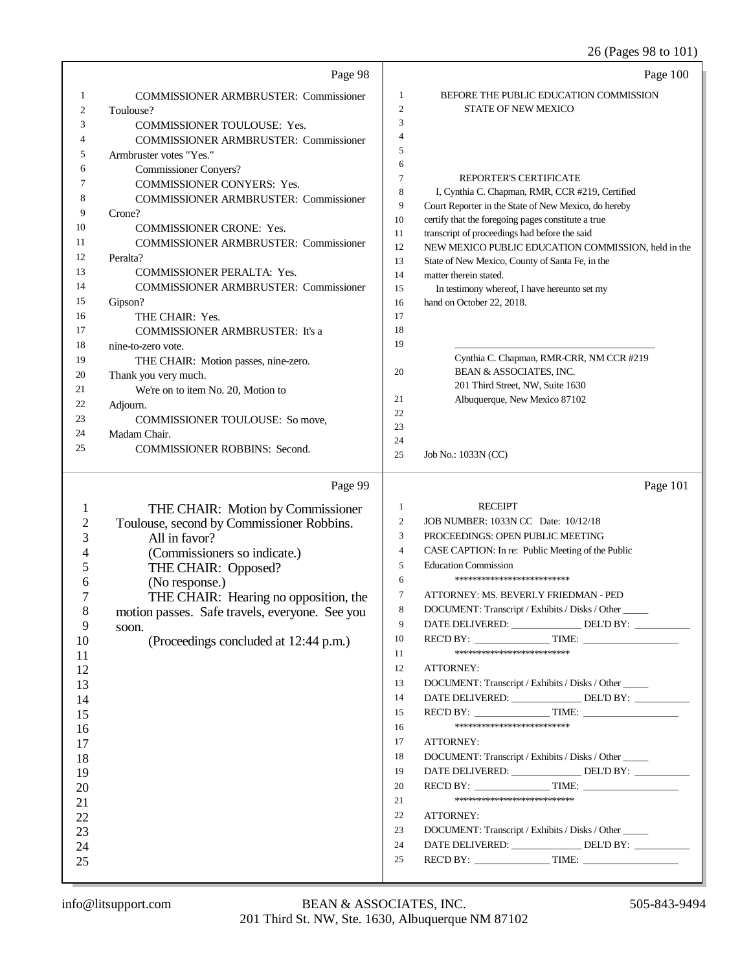26 (Pages 98 to 101)

|                         | Page 98                                                    |                  | Page 100                                                                  |
|-------------------------|------------------------------------------------------------|------------------|---------------------------------------------------------------------------|
| 1                       | <b>COMMISSIONER ARMBRUSTER: Commissioner</b>               | 1                | BEFORE THE PUBLIC EDUCATION COMMISSION                                    |
| 2                       | Toulouse?                                                  | $\overline{2}$   | <b>STATE OF NEW MEXICO</b>                                                |
| 3                       | COMMISSIONER TOULOUSE: Yes.                                | 3                |                                                                           |
| 4                       | <b>COMMISSIONER ARMBRUSTER: Commissioner</b>               | $\overline{4}$   |                                                                           |
| 5                       | Armbruster votes "Yes."                                    | 5                |                                                                           |
| 6                       | <b>Commissioner Conyers?</b>                               | 6                |                                                                           |
| 7                       | COMMISSIONER CONYERS: Yes.                                 | $\tau$           | <b>REPORTER'S CERTIFICATE</b>                                             |
| 8                       | <b>COMMISSIONER ARMBRUSTER: Commissioner</b>               | 8                | I, Cynthia C. Chapman, RMR, CCR #219, Certified                           |
| 9                       | Crone?                                                     | 9                | Court Reporter in the State of New Mexico, do hereby                      |
| 10                      | <b>COMMISSIONER CRONE: Yes.</b>                            | 10               | certify that the foregoing pages constitute a true                        |
| 11                      | <b>COMMISSIONER ARMBRUSTER: Commissioner</b>               | 11               | transcript of proceedings had before the said                             |
| 12                      | Peralta?                                                   | 12               | NEW MEXICO PUBLIC EDUCATION COMMISSION, held in the                       |
| 13                      | COMMISSIONER PERALTA: Yes.                                 | 13<br>14         | State of New Mexico, County of Santa Fe, in the<br>matter therein stated. |
| 14                      | <b>COMMISSIONER ARMBRUSTER: Commissioner</b>               | 15               | In testimony whereof, I have hereunto set my                              |
| 15                      | Gipson?                                                    | 16               | hand on October 22, 2018.                                                 |
| 16                      | THE CHAIR: Yes.                                            | 17               |                                                                           |
| 17                      | <b>COMMISSIONER ARMBRUSTER: It's a</b>                     | 18               |                                                                           |
| 18                      | nine-to-zero vote.                                         | 19               |                                                                           |
| 19                      | THE CHAIR: Motion passes, nine-zero.                       |                  | Cynthia C. Chapman, RMR-CRR, NM CCR #219                                  |
| 20                      | Thank you very much.                                       | 20               | BEAN & ASSOCIATES, INC.                                                   |
| 21                      | We're on to item No. 20, Motion to                         |                  | 201 Third Street, NW, Suite 1630                                          |
| 22                      | Adjourn.                                                   | 21               | Albuquerque, New Mexico 87102                                             |
| 23                      | COMMISSIONER TOULOUSE: So move,                            | 22               |                                                                           |
| 24                      | Madam Chair.                                               | 23               |                                                                           |
| 25                      | <b>COMMISSIONER ROBBINS: Second.</b>                       | 24               |                                                                           |
|                         |                                                            | 25               | Job No.: 1033N (CC)                                                       |
|                         |                                                            |                  |                                                                           |
|                         | Page 99                                                    |                  | Page 101                                                                  |
| 1                       |                                                            | 1                | <b>RECEIPT</b>                                                            |
| $\overline{\mathbf{c}}$ | THE CHAIR: Motion by Commissioner                          | $\boldsymbol{2}$ | JOB NUMBER: 1033N CC Date: 10/12/18                                       |
| 3                       | Toulouse, second by Commissioner Robbins.<br>All in favor? | 3                | PROCEEDINGS: OPEN PUBLIC MEETING                                          |
| 4                       |                                                            | $\overline{4}$   | CASE CAPTION: In re: Public Meeting of the Public                         |
| 5                       | (Commissioners so indicate.)                               | 5                | <b>Education Commission</b>                                               |
| 6                       | THE CHAIR: Opposed?                                        | 6                | *************************                                                 |
| 7                       | (No response.)                                             | 7                | ATTORNEY: MS. BEVERLY FRIEDMAN - PED                                      |
| $\,8\,$                 | THE CHAIR: Hearing no opposition, the                      | 8                | DOCUMENT: Transcript / Exhibits / Disks / Other                           |
| 9                       | motion passes. Safe travels, everyone. See you<br>soon.    | 9                | DATE DELIVERED: _______________DEL'D BY: __________                       |
| 10                      | (Proceedings concluded at 12:44 p.m.)                      | 10               | $RECD BY:$ TIME:                                                          |
| 11                      |                                                            | 11               | **************************                                                |
| 12                      |                                                            | 12               | ATTORNEY:                                                                 |
| 13                      |                                                            | 13               | DOCUMENT: Transcript / Exhibits / Disks / Other _____                     |
| 14                      |                                                            | 14               | DATE DELIVERED: _______________ DEL'D BY: __________                      |
| 15                      |                                                            | 15               | $RECD BY:$ TIME:                                                          |
| 16                      |                                                            | 16               | **************************                                                |
| 17                      |                                                            | 17               | <b>ATTORNEY:</b>                                                          |
| 18                      |                                                            | 18               | DOCUMENT: Transcript / Exhibits / Disks / Other                           |
| 19                      |                                                            | 19               | DATE DELIVERED: _______________ DEL'D BY: __________                      |
| 20                      |                                                            | 20               |                                                                           |
| 21                      |                                                            | 21               | ***************************                                               |
| 22                      |                                                            | 22               | ATTORNEY:                                                                 |
| 23                      |                                                            | 23               | DOCUMENT: Transcript / Exhibits / Disks / Other _____                     |
| 24                      |                                                            | 24               | DATE DELIVERED: ________________ DEL'D BY: __________                     |
| 25                      |                                                            | 25               |                                                                           |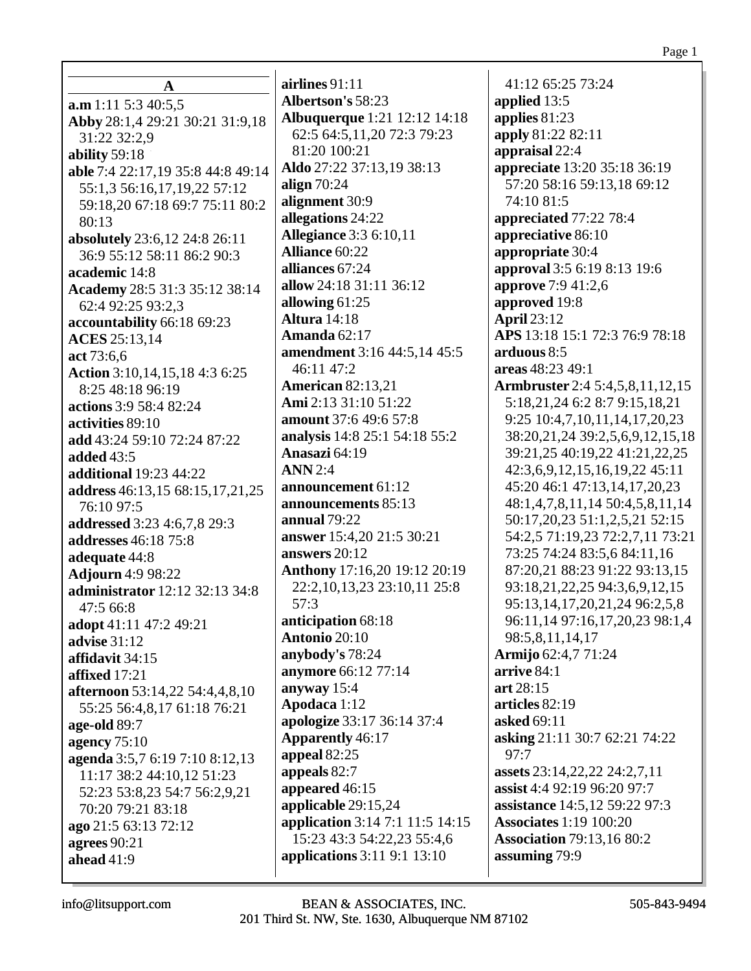| A                                     |
|---------------------------------------|
| a.m 1:11 5:3 40:5,5                   |
| Abby 28:1,4 29:21 30:21 31:9,18       |
| 31:22 32:2,9                          |
| ability 59:18                         |
| able 7:4 22:17,19 35:8 44:8 49:14     |
| 55:1,3 56:16,17,19,22 57:12           |
| 59:18,20 67:18 69:7 75:11 80:2        |
| 80:13                                 |
| absolutely 23:6,12 24:8 26:11         |
| 36:9 55:12 58:11 86:2 90:3            |
| academic 14:8                         |
| Academy 28:5 31:3 35:12 38:14         |
| 62:4 92:25 93:2,3                     |
| accountability 66:18 69:23            |
| <b>ACES</b> 25:13,14                  |
| act 73:6,6                            |
| Action 3:10,14,15,18 4:3 6:25         |
| 8:25 48:18 96:19                      |
| actions 3:9 58:4 82:24                |
| activities 89:10                      |
| add 43:24 59:10 72:24 87:22           |
| <b>added</b> 43:5                     |
| <b>additional</b> 19:23 44:22         |
| address 46:13,15 68:15,17,21,25       |
| 76:10 97:5                            |
| addressed 3:23 4:6,7,8 29:3           |
| addresses 46:18 75:8                  |
| adequate 44:8                         |
| <b>Adjourn</b> 4:9 98:22              |
| <b>administrator</b> 12:12 32:13 34:8 |
| 47:5 66:8                             |
| adopt 41:11 47:2 49:21                |
| <b>advise</b> 31:12                   |
| affidavit 34:15                       |
| affixed $17:21$                       |
| afternoon 53:14,22 54:4,4,8,10        |
| 55:25 56:4,8,17 61:18 76:21           |
| age-old 89:7                          |
| agency $75:10$                        |
| agenda 3:5,7 6:19 7:10 8:12,13        |
| 11:17 38:2 44:10,12 51:23             |
| 52:23 53:8,23 54:7 56:2,9,21          |
| 70:20 79:21 83:18                     |
| ago 21:5 63:13 72:12                  |
| agrees $90:21$                        |
| ahead 41:9                            |

**airlines** 91:11 **Albertson's** 58:23 **Albuquerque** 1:21 12:12 14:18 62:5 64:5,11,20 72:3 79:23 81:20 100:21 **Aldo** 27:22 37:13,19 38:13 **align** 70:24 **alignment** 30:9 **allegations** 24:22 **Allegiance** 3:3 6:10,11 **Alliance** 60:22 **alliances** 67:24 **allow** 24:18 31:11 36:12 **allowing** 61:25 **Altura** 14:18 **Amanda** 62:17 **amendment** 3:16 44:5,14 45:5 46:11 47:2 **American** 82:13,21 **Ami** 2:13 31:10 51:22 **amount** 37:6 49:6 57:8 **analysis** 14:8 25:1 54:18 55:2 **Anasazi** 64:19 **ANN** 2:4 **announcement** 61:12 **announcements** 85:13 **annual** 79:22 **answer** 15:4,20 21:5 30:21 **answers** 20:12 **Anthony** 17:16,20 19:12 20:19 22:2,10,13,23 23:10,11 25:8 57:3 **anticipation** 68:18 **Antonio** 20:10 **anybody's** 78:24 **anymore** 66:12 77:14 **anyway** 15:4 **Apodaca** 1:12 **apologize** 33:17 36:14 37:4 **Apparently** 46:17 **appeal** 82:25 **appeals** 82:7 **appeared** 46:15 **applicable** 29:15,24 **application** 3:14 7:1 11:5 14:15 15:23 43:3 54:22,23 55:4,6 **applications** 3:11 9:1 13:10

41:12 65:25 73:24 **applied** 13:5 **applies** 81:23 **apply** 81:22 82:11 **appraisal** 22:4 **appreciate** 13:20 35:18 36:19 57:20 58:16 59:13,18 69:12 74:10 81:5 **appreciated** 77:22 78:4 **appreciative** 86:10 **appropriate** 30:4 **approval** 3:5 6:19 8:13 19:6 **approve** 7:9 41:2,6 **approved** 19:8 **April** 23:12 **APS** 13:18 15:1 72:3 76:9 78:18 **arduous** 8:5 **areas** 48:23 49:1 **Armbruster** 2:4 5:4,5,8,11,12,15 5:18,21,24 6:2 8:7 9:15,18,21 9:25 10:4,7,10,11,14,17,20,23 38:20,21,24 39:2,5,6,9,12,15,18 39:21,25 40:19,22 41:21,22,25 42:3,6,9,12,15,16,19,22 45:11 45:20 46:1 47:13,14,17,20,23 48:1,4,7,8,11,14 50:4,5,8,11,14 50:17,20,23 51:1,2,5,21 52:15 54:2,5 71:19,23 72:2,7,11 73:21 73:25 74:24 83:5,6 84:11,16 87:20,21 88:23 91:22 93:13,15 93:18,21,22,25 94:3,6,9,12,15 95:13,14,17,20,21,24 96:2,5,8 96:11,14 97:16,17,20,23 98:1,4 98:5,8,11,14,17 **Armijo** 62:4,7 71:24 **arrive** 84:1 **art** 28:15 **articles** 82:19 **asked** 69:11 **asking** 21:11 30:7 62:21 74:22 97:7 **assets** 23:14,22,22 24:2,7,11 **assist** 4:4 92:19 96:20 97:7 **assistance** 14:5,12 59:22 97:3 **Associates** 1:19 100:20 **Association** 79:13,16 80:2 **assuming** 79:9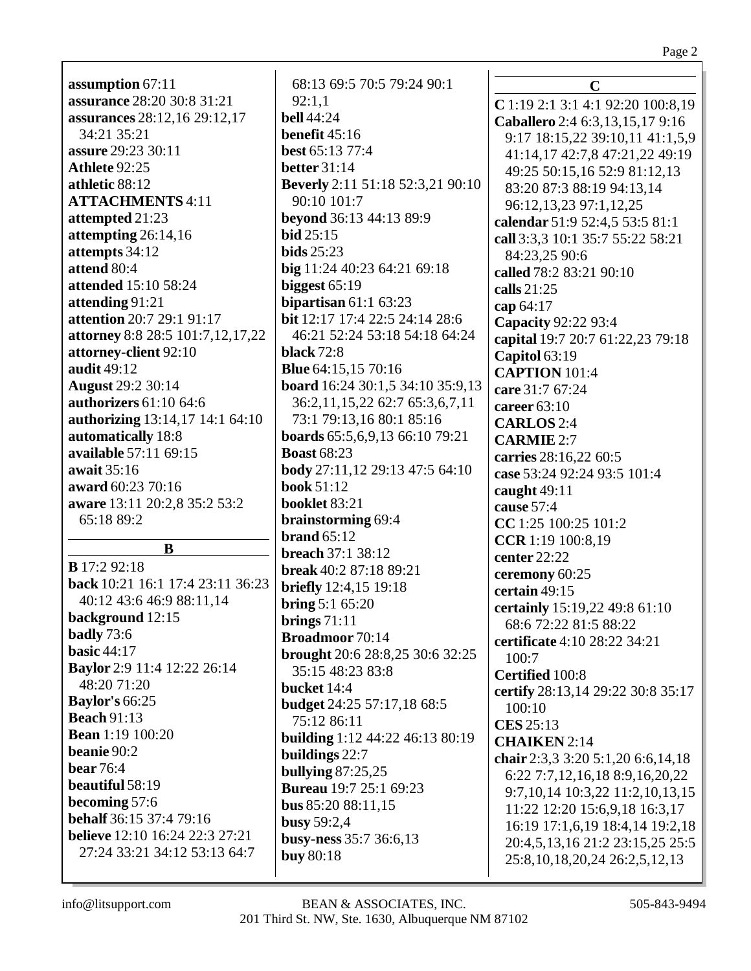**assumption** 67:11 **assurance** 28:20 30:8 31:21 **assurances** 28:12,16 29:12,17 34:21 35:21 **assure** 29:23 30:11 **Athlete** 92:25 **athletic** 88:12 **ATTACHMENTS** 4:11 **attempted** 21:23 **attempting** 26:14,16 **attempts** 34:12 **attend** 80:4 **attended** 15:10 58:24 **attending** 91:21 **attention** 20:7 29:1 91:17 **attorney** 8:8 28:5 101:7,12,17,22 **attorney-client** 92:10 **audit** 49:12 **August** 29:2 30:14 **authorizers** 61:10 64:6 **authorizing** 13:14,17 14:1 64:10 **automatically** 18:8 **available** 57:11 69:15 **await** 35:16 **award** 60:23 70:16 **aware** 13:11 20:2,8 35:2 53:2 65:18 89:2 **B B** 17:2 92:18 **back** 10:21 16:1 17:4 23:11 36:23 40:12 43:6 46:9 88:11,14 **background** 12:15 **badly** 73:6 **basic** 44:17 **Baylor** 2:9 11:4 12:22 26:14 48:20 71:20 **Baylor's** 66:25 **Beach** 91:13 **Bean** 1:19 100:20 **beanie** 90:2 **bear** 76:4 **beautiful** 58:19 **becoming** 57:6 **behalf** 36:15 37:4 79:16 **believe** 12:10 16:24 22:3 27:21 27:24 33:21 34:12 53:13 64:7

68:13 69:5 70:5 79:24 90:1 92:1,1 **bell** 44:24 **benefit** 45:16 **best** 65:13 77:4 **better** 31:14 **Beverly** 2:11 51:18 52:3,21 90:10 90:10 101:7 **beyond** 36:13 44:13 89:9 **bid** 25:15 **bids** 25:23 **big** 11:24 40:23 64:21 69:18 **biggest** 65:19 **bipartisan** 61:1 63:23 **bit** 12:17 17:4 22:5 24:14 28:6 46:21 52:24 53:18 54:18 64:24 **black** 72:8 **Blue** 64:15,15 70:16 **board** 16:24 30:1,5 34:10 35:9,13 36:2,11,15,22 62:7 65:3,6,7,11 73:1 79:13,16 80:1 85:16 **boards** 65:5,6,9,13 66:10 79:21 **Boast** 68:23 **body** 27:11,12 29:13 47:5 64:10 **book** 51:12 **booklet** 83:21 **brainstorming** 69:4 **brand** 65:12 **breach** 37:1 38:12 **break** 40:2 87:18 89:21 **briefly** 12:4,15 19:18 **bring** 5:1 65:20 **brings** 71:11 **Broadmoor** 70:14 **brought** 20:6 28:8,25 30:6 32:25 35:15 48:23 83:8 **bucket** 14:4 **budget** 24:25 57:17,18 68:5 75:12 86:11 **building** 1:12 44:22 46:13 80:19 **buildings** 22:7 **bullying** 87:25,25 **Bureau** 19:7 25:1 69:23 **bus** 85:20 88:11,15 **busy** 59:2,4 **busy-ness** 35:7 36:6,13 **buy** 80:18

**C C** 1:19 2:1 3:1 4:1 92:20 100:8,19 **Caballero** 2:4 6:3,13,15,17 9:16 9:17 18:15,22 39:10,11 41:1,5,9 41:14,17 42:7,8 47:21,22 49:19 49:25 50:15,16 52:9 81:12,13 83:20 87:3 88:19 94:13,14 96:12,13,23 97:1,12,25 **calendar** 51:9 52:4,5 53:5 81:1 **call** 3:3,3 10:1 35:7 55:22 58:21 84:23,25 90:6 **called** 78:2 83:21 90:10 **calls** 21:25 **cap** 64:17 **Capacity** 92:22 93:4 **capital** 19:7 20:7 61:22,23 79:18 **Capitol** 63:19 **CAPTION** 101:4 **care** 31:7 67:24 **career** 63:10 **CARLOS** 2:4 **CARMIE** 2:7 **carries** 28:16,22 60:5 **case** 53:24 92:24 93:5 101:4 **caught** 49:11 **cause** 57:4 **CC** 1:25 100:25 101:2 **CCR** 1:19 100:8,19 **center** 22:22 **ceremony** 60:25 **certain** 49:15 **certainly** 15:19,22 49:8 61:10 68:6 72:22 81:5 88:22 **certificate** 4:10 28:22 34:21  $100.7$ **Certified** 100:8 **certify** 28:13,14 29:22 30:8 35:17 100:10 **CES** 25:13 **CHAIKEN** 2:14 **chair** 2:3,3 3:20 5:1,20 6:6,14,18 6:22 7:7,12,16,18 8:9,16,20,22 9:7,10,14 10:3,22 11:2,10,13,15 11:22 12:20 15:6,9,18 16:3,17 16:19 17:1,6,19 18:4,14 19:2,18 20:4,5,13,16 21:2 23:15,25 25:5 25:8,10,18,20,24 26:2,5,12,13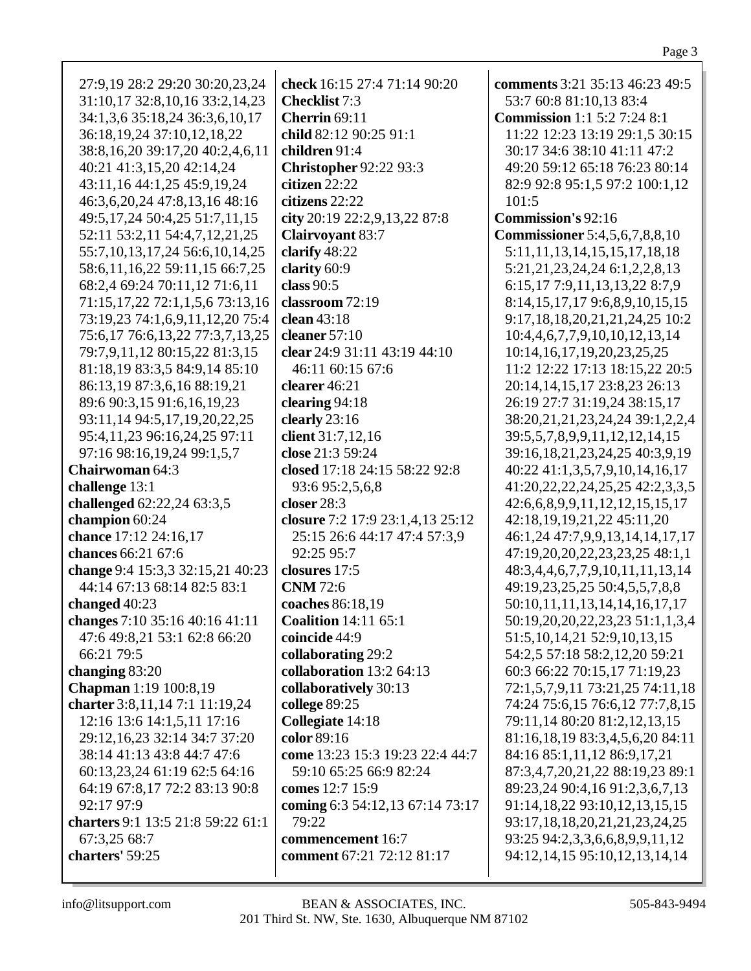| 27:9,19 28:2 29:20 30:20,23,24                             | check 16:15 27:4 71:14 90:20                    | comments 3:21 35:13 46:23 49:5           |
|------------------------------------------------------------|-------------------------------------------------|------------------------------------------|
| 31:10,17 32:8,10,16 33:2,14,23                             | <b>Checklist</b> 7:3                            | 53:7 60:8 81:10,13 83:4                  |
| 34:1,3,6 35:18,24 36:3,6,10,17                             | Cherrin 69:11                                   | <b>Commission</b> 1:1 5:2 7:24 8:1       |
| 36:18,19,24 37:10,12,18,22                                 | child 82:12 90:25 91:1                          | 11:22 12:23 13:19 29:1,5 30:15           |
| 38:8,16,20 39:17,20 40:2,4,6,11                            | children 91:4                                   | 30:17 34:6 38:10 41:11 47:2              |
| 40:21 41:3,15,20 42:14,24                                  | <b>Christopher 92:22 93:3</b>                   | 49:20 59:12 65:18 76:23 80:14            |
| 43:11,16 44:1,25 45:9,19,24                                | citizen 22:22                                   | 82:9 92:8 95:1,5 97:2 100:1,12           |
| 46:3,6,20,24 47:8,13,16 48:16                              | citizens 22:22                                  | 101:5                                    |
| 49:5,17,24 50:4,25 51:7,11,15                              | city 20:19 22:2,9,13,22 87:8                    | <b>Commission's 92:16</b>                |
| 52:11 53:2,11 54:4,7,12,21,25                              | <b>Clairvoyant 83:7</b>                         | <b>Commissioner</b> 5:4,5,6,7,8,8,10     |
| 55:7, 10, 13, 17, 24 56: 6, 10, 14, 25                     | clarify 48:22                                   | 5:11, 11, 13, 14, 15, 15, 17, 18, 18     |
| 58:6,11,16,22 59:11,15 66:7,25                             | clarity 60:9                                    | 5:21,21,23,24,24 6:1,2,2,8,13            |
| 68:2,4 69:24 70:11,12 71:6,11                              | class $90:5$                                    | 6:15, 17 7:9, 11, 13, 13, 22 8:7, 9      |
| 71:15, 17, 22 72:1, 1, 5, 6 73:13, 16                      | classroom 72:19                                 | 8:14, 15, 17, 17 9:6, 8, 9, 10, 15, 15   |
| 73:19,23 74:1,6,9,11,12,20 75:4                            | clean 43:18                                     | 9:17,18,18,20,21,21,24,25 10:2           |
| 75:6,17 76:6,13,22 77:3,7,13,25                            | cleaner $57:10$                                 | 10:4,4,6,7,7,9,10,10,12,13,14            |
| 79:7,9,11,12 80:15,22 81:3,15                              | clear 24:9 31:11 43:19 44:10                    | 10:14, 16, 17, 19, 20, 23, 25, 25        |
| 81:18,19 83:3,5 84:9,14 85:10                              | 46:11 60:15 67:6                                | 11:2 12:22 17:13 18:15,22 20:5           |
| 86:13,19 87:3,6,16 88:19,21                                | clearer 46:21                                   | 20:14, 14, 15, 17 23:8, 23 26:13         |
| 89:6 90:3,15 91:6,16,19,23                                 |                                                 | 26:19 27:7 31:19,24 38:15,17             |
| 93:11,14 94:5,17,19,20,22,25                               | clearing 94:18                                  |                                          |
|                                                            | clearly 23:16<br>client 31:7,12,16              | 38:20,21,21,23,24,24 39:1,2,2,4          |
| 95:4,11,23 96:16,24,25 97:11<br>97:16 98:16,19,24 99:1,5,7 | close 21:3 59:24                                | 39:5,5,7,8,9,9,11,12,12,14,15            |
| <b>Chairwoman 64:3</b>                                     | closed 17:18 24:15 58:22 92:8                   | 39:16,18,21,23,24,25 40:3,9,19           |
|                                                            |                                                 | 40:22 41:1,3,5,7,9,10,14,16,17           |
| challenge 13:1<br>challenged 62:22,24 63:3,5               | 93:6 95:2,5,6,8<br>closer 28:3                  | 41:20, 22, 22, 24, 25, 25 42: 2, 3, 3, 5 |
|                                                            |                                                 | 42:6, 6, 8, 9, 9, 11, 12, 12, 15, 15, 17 |
| champion 60:24<br>chance 17:12 24:16,17                    | closure 7:2 17:9 23:1,4,13 25:12                | 42:18,19,19,21,22 45:11,20               |
| chances 66:21 67:6                                         | 25:15 26:6 44:17 47:4 57:3,9<br>92:25 95:7      | 46:1,24 47:7,9,9,13,14,14,17,17          |
| change 9:4 15:3,3 32:15,21 40:23                           | closures 17:5                                   | 47:19,20,20,22,23,23,25 48:1,1           |
| 44:14 67:13 68:14 82:5 83:1                                | <b>CNM</b> 72:6                                 | 48:3,4,4,6,7,7,9,10,11,11,13,14          |
|                                                            |                                                 | 49:19,23,25,25 50:4,5,5,7,8,8            |
| changed $40:23$                                            | coaches 86:18,19<br><b>Coalition</b> 14:11 65:1 | 50:10,11,11,13,14,14,16,17,17            |
| changes 7:10 35:16 40:16 41:11                             |                                                 | 50:19,20,20,22,23,23 51:1,1,3,4          |
| 47:6 49:8,21 53:1 62:8 66:20                               | coincide 44:9                                   | 51:5, 10, 14, 21 52:9, 10, 13, 15        |
| 66:21 79:5                                                 | collaborating 29:2                              | 54:2,5 57:18 58:2,12,20 59:21            |
| changing 83:20                                             | collaboration 13:2 64:13                        | 60:3 66:22 70:15,17 71:19,23             |
| <b>Chapman</b> 1:19 100:8,19                               | collaboratively 30:13                           | 72:1,5,7,9,11 73:21,25 74:11,18          |
| charter 3:8, 11, 14 7:1 11:19, 24                          | college 89:25                                   | 74:24 75:6,15 76:6,12 77:7,8,15          |
| 12:16 13:6 14:1,5,11 17:16                                 | Collegiate 14:18                                | 79:11,14 80:20 81:2,12,13,15             |
| 29:12, 16, 23 32:14 34:7 37:20                             | color 89:16                                     | 81:16,18,19 83:3,4,5,6,20 84:11          |
| 38:14 41:13 43:8 44:7 47:6                                 | come 13:23 15:3 19:23 22:4 44:7                 | 84:16 85:1,11,12 86:9,17,21              |
| 60:13,23,24 61:19 62:5 64:16                               | 59:10 65:25 66:9 82:24                          | 87:3,4,7,20,21,22 88:19,23 89:1          |
| 64:19 67:8,17 72:2 83:13 90:8                              | comes 12:7 15:9                                 | 89:23,24 90:4,16 91:2,3,6,7,13           |
| 92:17 97:9                                                 | coming 6:3 54:12,13 67:14 73:17                 | 91:14,18,22 93:10,12,13,15,15            |
| charters 9:1 13:5 21:8 59:22 61:1                          | 79:22                                           | 93:17,18,18,20,21,21,23,24,25            |
| 67:3,25 68:7                                               | commencement 16:7                               | 93:25 94:2,3,3,6,6,8,9,9,11,12           |
| charters' 59:25                                            | comment 67:21 72:12 81:17                       | 94:12,14,15 95:10,12,13,14,14            |
|                                                            |                                                 |                                          |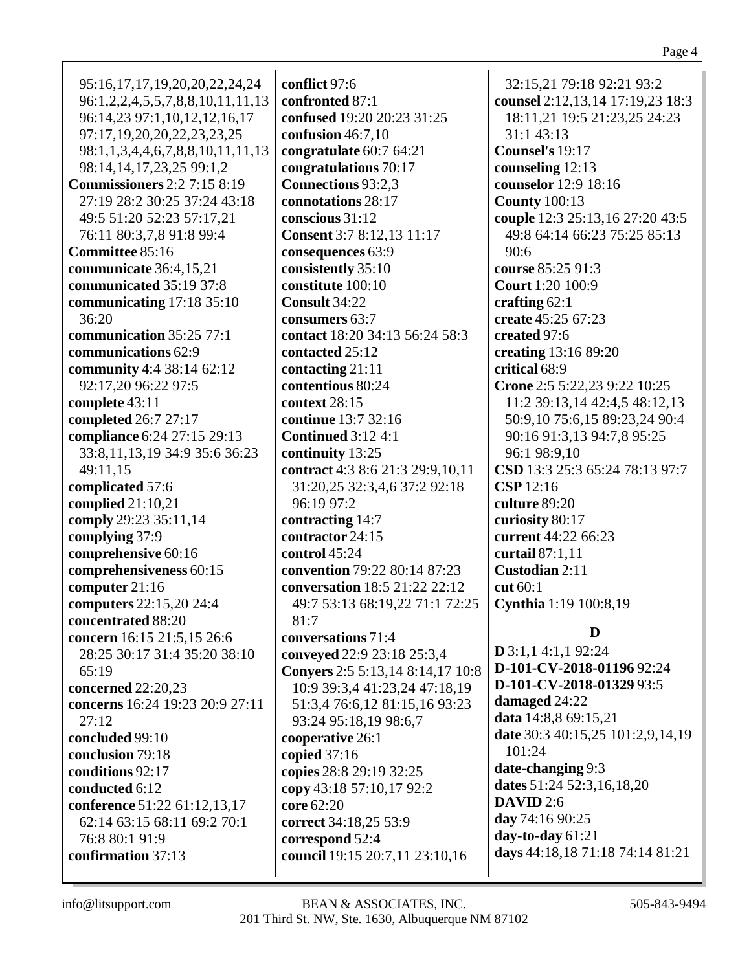| 95:16,17,17,19,20,20,22,24,24<br>96:1,2,2,4,5,5,7,8,8,10,11,11,13 | conflict 97:6<br>confronted 87:1 | 32:15,21 79:18 92:21 93:2<br>counsel 2:12,13,14 17:19,23 18:3 |
|-------------------------------------------------------------------|----------------------------------|---------------------------------------------------------------|
| 96:14,23 97:1,10,12,12,16,17                                      | confused 19:20 20:23 31:25       | 18:11,21 19:5 21:23,25 24:23                                  |
| 97:17,19,20,20,22,23,23,25                                        | confusion $46:7,10$              | 31:1 43:13                                                    |
|                                                                   |                                  | Counsel's 19:17                                               |
| 98:1,1,3,4,4,6,7,8,8,10,11,11,13                                  | congratulate 60:7 64:21          |                                                               |
| 98:14, 14, 17, 23, 25 99:1, 2                                     | congratulations 70:17            | counseling 12:13                                              |
| <b>Commissioners</b> 2:2 7:15 8:19                                | Connections 93:2,3               | counselor 12:9 18:16                                          |
| 27:19 28:2 30:25 37:24 43:18                                      | connotations 28:17               | <b>County 100:13</b>                                          |
| 49:5 51:20 52:23 57:17,21                                         | conscious 31:12                  | couple 12:3 25:13,16 27:20 43:5                               |
| 76:11 80:3,7,8 91:8 99:4                                          | <b>Consent</b> 3:7 8:12,13 11:17 | 49:8 64:14 66:23 75:25 85:13                                  |
| Committee 85:16                                                   | consequences 63:9                | 90:6                                                          |
| communicate 36:4,15,21                                            | consistently 35:10               | course 85:25 91:3                                             |
| communicated 35:19 37:8                                           | constitute 100:10                | <b>Court</b> 1:20 100:9                                       |
| communicating 17:18 35:10                                         | Consult 34:22                    | crafting $62:1$                                               |
| 36:20                                                             | consumers 63:7                   | create 45:25 67:23                                            |
| communication 35:25 77:1                                          | contact 18:20 34:13 56:24 58:3   | created 97:6                                                  |
| communications 62:9                                               | contacted 25:12                  | creating 13:16 89:20                                          |
| community 4:4 38:14 62:12                                         | contacting 21:11                 | critical 68:9                                                 |
| 92:17,20 96:22 97:5                                               | contentious 80:24                | Crone 2:5 5:22,23 9:22 10:25                                  |
| complete 43:11                                                    | context 28:15                    | 11:2 39:13,14 42:4,5 48:12,13                                 |
| completed 26:7 27:17                                              | continue 13:7 32:16              | 50:9,10 75:6,15 89:23,24 90:4                                 |
| compliance 6:24 27:15 29:13                                       | <b>Continued 3:12 4:1</b>        | 90:16 91:3,13 94:7,8 95:25                                    |
| 33:8,11,13,19 34:9 35:6 36:23                                     | continuity 13:25                 | 96:1 98:9,10                                                  |
| 49:11,15                                                          | contract 4:3 8:6 21:3 29:9,10,11 | CSD 13:3 25:3 65:24 78:13 97:7                                |
| complicated 57:6                                                  | 31:20,25 32:3,4,6 37:2 92:18     | CSP 12:16                                                     |
| complied $21:10,21$                                               | 96:19 97:2                       | culture 89:20                                                 |
| comply 29:23 35:11,14                                             | contracting 14:7                 | curiosity 80:17                                               |
| complying 37:9                                                    | contractor 24:15                 | current 44:22 66:23                                           |
| comprehensive 60:16                                               | control 45:24                    | curtail 87:1,11                                               |
| comprehensiveness 60:15                                           | convention 79:22 80:14 87:23     | Custodian 2:11                                                |
| computer 21:16                                                    | conversation 18:5 21:22 22:12    | cut 60:1                                                      |
| computers 22:15,20 24:4                                           | 49:7 53:13 68:19,22 71:1 72:25   | Cynthia 1:19 100:8,19                                         |
| concentrated 88:20                                                | 81:7                             |                                                               |
| concern 16:15 21:5,15 26:6                                        | conversations 71:4               | D                                                             |
| 28:25 30:17 31:4 35:20 38:10                                      | conveyed 22:9 23:18 25:3,4       | $D$ 3:1,1 4:1,1 92:24                                         |
| 65:19                                                             | Conyers 2:5 5:13,14 8:14,17 10:8 | D-101-CV-2018-01196 92:24                                     |
| concerned 22:20,23                                                | 10:9 39:3,4 41:23,24 47:18,19    | D-101-CV-2018-01329 93:5                                      |
| concerns 16:24 19:23 20:9 27:11                                   | 51:3,4 76:6,12 81:15,16 93:23    | damaged 24:22                                                 |
| 27:12                                                             | 93:24 95:18,19 98:6,7            | data 14:8,8 69:15,21                                          |
| concluded 99:10                                                   | cooperative 26:1                 | date 30:3 40:15,25 101:2,9,14,19                              |
| conclusion 79:18                                                  | copied $37:16$                   | 101:24                                                        |
| conditions 92:17                                                  | copies 28:8 29:19 32:25          | date-changing 9:3                                             |
| conducted 6:12                                                    | copy 43:18 57:10,17 92:2         | dates 51:24 52:3,16,18,20                                     |
| conference 51:22 61:12,13,17                                      | core 62:20                       | <b>DAVID</b> 2:6                                              |
| 62:14 63:15 68:11 69:2 70:1                                       | correct 34:18,25 53:9            | day 74:16 90:25                                               |
| 76:8 80:1 91:9                                                    | correspond 52:4                  | day-to-day 61:21                                              |
| confirmation 37:13                                                | council 19:15 20:7,11 23:10,16   | days 44:18,18 71:18 74:14 81:21                               |
|                                                                   |                                  |                                                               |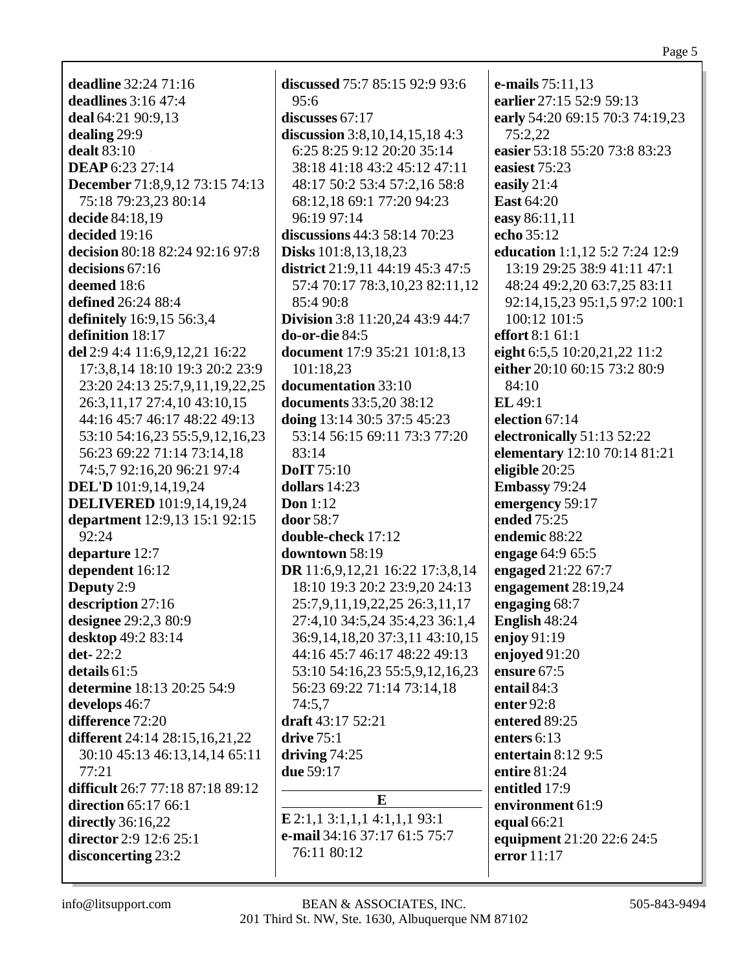**deadline** 32:24 71:16 **deadlines** 3:16 47:4 **deal** 64:21 90:9,13 **dealing** 29:9 **dealt** 83:10 **DEAP** 6:23 27:14 **December** 71:8,9,12 73:15 74:13 75:18 79:23,23 80:14 **decide** 84:18,19 **decided** 19:16 **decision** 80:18 82:24 92:16 97:8 **decisions** 67:16 **deemed** 18:6 **defined** 26:24 88:4 **definitely** 16:9,15 56:3,4 **definition** 18:17 **del** 2:9 4:4 11:6,9,12,21 16:22 17:3,8,14 18:10 19:3 20:2 23:9 23:20 24:13 25:7,9,11,19,22,25 26:3,11,17 27:4,10 43:10,15 44:16 45:7 46:17 48:22 49:13 53:10 54:16,23 55:5,9,12,16,23 56:23 69:22 71:14 73:14,18 74:5,7 92:16,20 96:21 97:4 **DEL'D** 101:9,14,19,24 **DELIVERED** 101:9,14,19,24 **department** 12:9,13 15:1 92:15 92:24 **departure** 12:7 **dependent** 16:12 **Deputy** 2:9 **description** 27:16 **designee** 29:2,3 80:9 **desktop** 49:2 83:14 **det-** 22:2 **details** 61:5 **determine** 18:13 20:25 54:9 **develops** 46:7 **difference** 72:20 **different** 24:14 28:15,16,21,22 30:10 45:13 46:13,14,14 65:11 77:21 **difficult** 26:7 77:18 87:18 89:12 **direction** 65:17 66:1 **directly** 36:16,22 **director** 2:9 12:6 25:1 **disconcerting** 23:2

**discussed** 75:7 85:15 92:9 93:6 95:6 **discusses** 67:17 **discussion** 3:8,10,14,15,18 4:3 6:25 8:25 9:12 20:20 35:14 38:18 41:18 43:2 45:12 47:11 48:17 50:2 53:4 57:2,16 58:8 68:12,18 69:1 77:20 94:23 96:19 97:14 **discussions** 44:3 58:14 70:23 **Disks** 101:8,13,18,23 **district** 21:9,11 44:19 45:3 47:5 57:4 70:17 78:3,10,23 82:11,12 85:4 90:8 **Division** 3:8 11:20,24 43:9 44:7 **do-or-die** 84:5 **document** 17:9 35:21 101:8,13 101:18,23 **documentation** 33:10 **documents** 33:5,20 38:12 **doing** 13:14 30:5 37:5 45:23 53:14 56:15 69:11 73:3 77:20 83:14 **DoIT** 75:10 **dollars** 14:23 **Don** 1:12 **door** 58:7 **double-check** 17:12 **downtown** 58:19 **DR** 11:6,9,12,21 16:22 17:3,8,14 18:10 19:3 20:2 23:9,20 24:13 25:7,9,11,19,22,25 26:3,11,17 27:4,10 34:5,24 35:4,23 36:1,4 36:9,14,18,20 37:3,11 43:10,15 44:16 45:7 46:17 48:22 49:13 53:10 54:16,23 55:5,9,12,16,23 56:23 69:22 71:14 73:14,18 74:5,7 **draft** 43:17 52:21 **drive** 75:1 **driving** 74:25 **due** 59:17 **E E** 2:1,1 3:1,1,1 4:1,1,1 93:1

**e-mail** 34:16 37:17 61:5 75:7 76:11 80:12

**e-mails** 75:11,13 **earlier** 27:15 52:9 59:13 **early** 54:20 69:15 70:3 74:19,23 75:2,22 **easier** 53:18 55:20 73:8 83:23 **easiest** 75:23 **easily** 21:4 **East** 64:20 **easy** 86:11,11 **echo** 35:12 **education** 1:1,12 5:2 7:24 12:9 13:19 29:25 38:9 41:11 47:1 48:24 49:2,20 63:7,25 83:11 92:14,15,23 95:1,5 97:2 100:1 100:12 101:5 **effort** 8:1 61:1 **eight** 6:5,5 10:20,21,22 11:2 **either** 20:10 60:15 73:2 80:9 84:10 **EL** 49:1 **election** 67:14 **electronically** 51:13 52:22 **elementary** 12:10 70:14 81:21 **eligible** 20:25 **Embassy** 79:24 **emergency** 59:17 **ended** 75:25 **endemic** 88:22 **engage** 64:9 65:5 **engaged** 21:22 67:7 **engagement** 28:19,24 **engaging** 68:7 **English** 48:24 **enjoy** 91:19 **enjoyed** 91:20 **ensure** 67:5 **entail** 84:3 **enter** 92:8 **entered** 89:25 **enters** 6:13 **entertain** 8:12 9:5 **entire** 81:24 **entitled** 17:9 **environment** 61:9 **equal** 66:21 **equipment** 21:20 22:6 24:5 **error** 11:17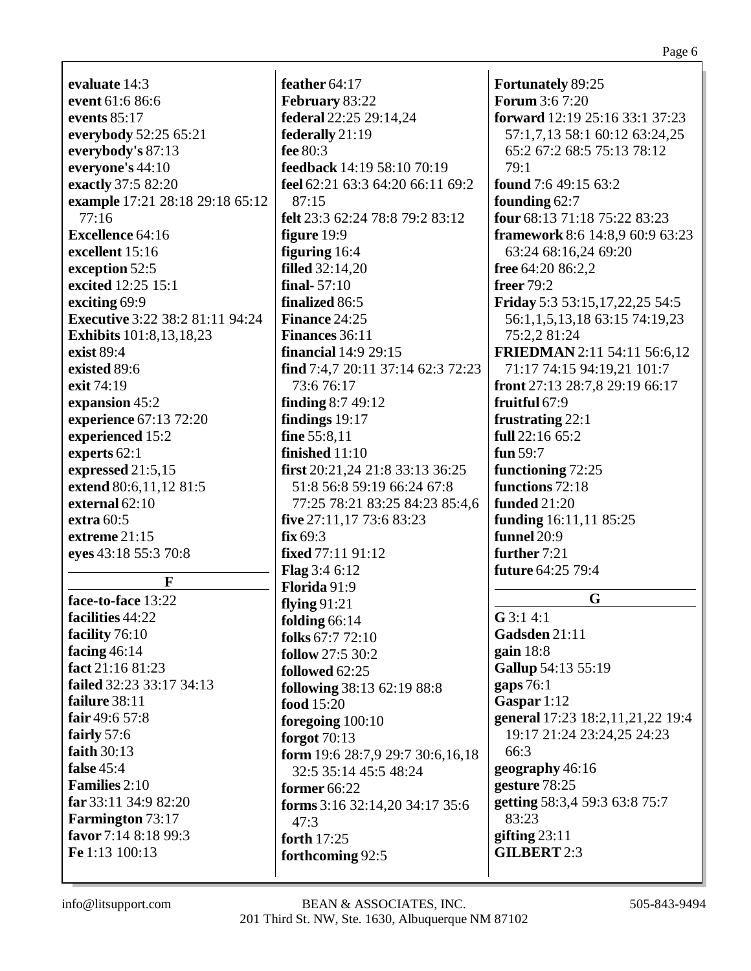| evaluate 14:3                                |
|----------------------------------------------|
| event 61:6 86:6                              |
| events $85:17$                               |
| everybody 52:25 65:21                        |
| everybody's 87:13                            |
| everyone's 44:10                             |
| exactly 37:5 82:20                           |
| example 17:21 28:18 29:18 65:12              |
| 77:16                                        |
| <b>Excellence 64:16</b>                      |
| excellent 15:16                              |
| exception 52:5                               |
| excited 12:25 15:1                           |
| exciting 69:9                                |
| <b>Executive</b> 3:22 38:2 81:11 94:24       |
| <b>Exhibits</b> 101:8,13,18,23               |
| exist 89:4                                   |
| existed 89:6                                 |
| exit 74:19                                   |
| expansion 45:2                               |
| experience 67:13 72:20                       |
| experienced 15:2                             |
| experts 62:1                                 |
| expressed $21:5,15$                          |
| extend 80:6,11,12 81:5                       |
| external 62:10                               |
| extra $60:5$                                 |
| extreme 21:15                                |
| eyes 43:18 55:3 70:8                         |
|                                              |
| F                                            |
| face-to-face 13:22                           |
| facilities 44:22                             |
| facility 76:10                               |
| facing $46:14$                               |
| fact 21:16 81:23<br>failed 32:23 33:17 34:13 |
|                                              |
| failure 38:11<br>fair 49:6 57:8              |
|                                              |
| fairly 57:6<br>faith 30:13                   |
| false $45:4$                                 |
| <b>Families</b> 2:10                         |
|                                              |
| far 33:11 34:9 82:20                         |

**feather** 64:17 **February** 83:22 **federal** 22:25 29:14,24 **federally** 21:19 **fee** 80:3 **feedback** 14:19 58:10 70:19 **feel** 62:21 63:3 64:20 66:11 69:2  $87:15$ **felt** 23:3 62:24 78:8 79:2 83:12 **figure** 19:9 **figuring** 16:4 **filled** 32:14,20 **final-** 57:10 **finalized** 86:5 **Finance** 24:25 **Finances** 36:11 **financial** 14:9 29:15 **find** 7:4,7 20:11 37:14 62:3 72:23 73:6 76:17 **finding** 8:7 49:12 **findings** 19:17 **fine** 55:8,11 **finished** 11:10 **first** 20:21,24 21:8 33:13 36:25 51:8 56:8 59:19 66:24 67:8 77:25 78:21 83:25 84:23 85:4,6 **five** 27:11,17 73:6 83:23 **fix** 69:3 **fixed** 77:11 91:12 **Flag** 3:4 6:12 **Florida** 91:9 **flying** 91:21 **folding** 66:14 **folks** 67:7 72:10 **follow** 27:5 30:2 **followed** 62:25 **following** 38:13 62:19 88:8 **food** 15:20 **foregoing** 100:10 **forgot** 70:13 **form** 19:6 28:7,9 29:7 30:6,16,18 32:5 35:14 45:5 48:24 **former** 66:22 **forms** 3:16 32:14,20 34:17 35:6 47:3 **forth** 17:25 **forthcoming** 92:5

**Fortunately** 89:25 **Forum** 3:6 7:20 **forward** 12:19 25:16 33:1 37:23 57:1,7,13 58:1 60:12 63:24,25 65:2 67:2 68:5 75:13 78:12 79:1 **found** 7:6 49:15 63:2 **founding** 62:7 **four** 68:13 71:18 75:22 83:23 **framework** 8:6 14:8,9 60:9 63:23 63:24 68:16,24 69:20 **free** 64:20 86:2,2 **freer** 79:2 **Friday** 5:3 53:15,17,22,25 54:5 56:1,1,5,13,18 63:15 74:19,23 75:2,2 81:24 **FRIEDMAN** 2:11 54:11 56:6,12 71:17 74:15 94:19,21 101:7 **front** 27:13 28:7,8 29:19 66:17 **fruitful** 67:9 **frustrating** 22:1 **full** 22:16 65:2 **fun** 59:7 **functioning** 72:25 **functions** 72:18 **funded** 21:20 **funding** 16:11,11 85:25 **funnel** 20:9 **further** 7:21 **future** 64:25 79:4 **G G** 3:1 4:1 **Gadsden** 21:11 **gain** 18:8 **Gallup** 54:13 55:19 **gaps** 76:1 **Gaspar** 1:12 **general** 17:23 18:2,11,21,22 19:4 19:17 21:24 23:24,25 24:23 66:3 **geography** 46:16 **gesture** 78:25 **getting** 58:3,4 59:3 63:8 75:7 83:23

**Farmington** 73:17 **favor** 7:14 8:18 99:3 **Fe** 1:13 100:13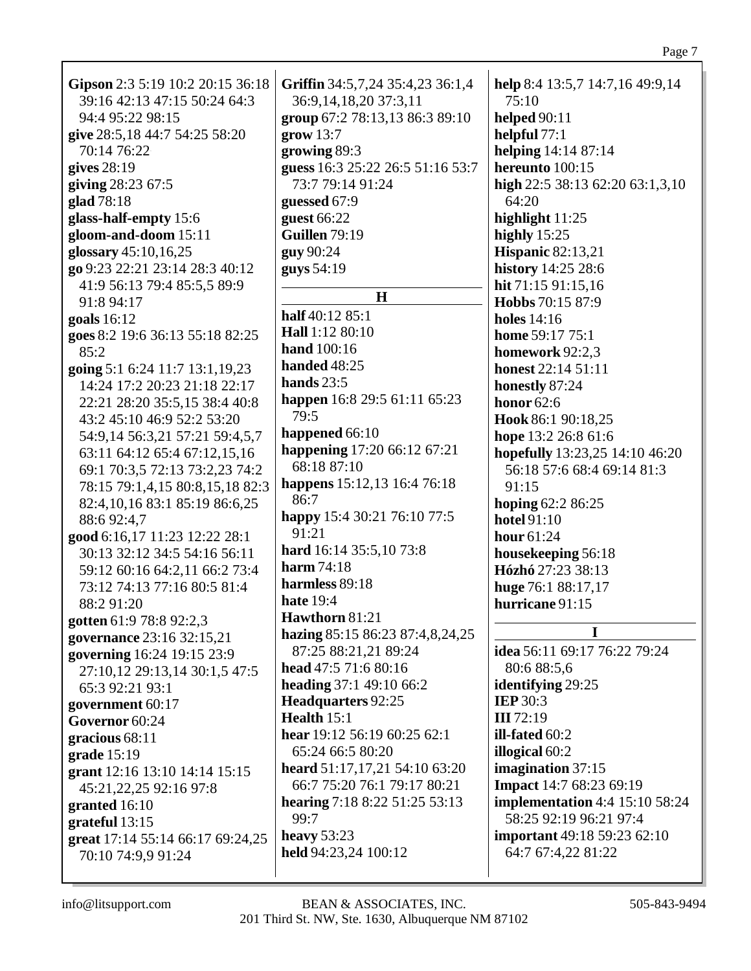| Gipson 2:3 5:19 10:2 20:15 36:18 | Griffin 34:5,7,24 35:4,23 36:1,4 | help 8:4 13:5,7 14:7,16 49:9,14       |
|----------------------------------|----------------------------------|---------------------------------------|
| 39:16 42:13 47:15 50:24 64:3     | 36:9,14,18,20 37:3,11            | 75:10                                 |
| 94:4 95:22 98:15                 | group 67:2 78:13,13 86:3 89:10   | helped $90:11$                        |
| give 28:5,18 44:7 54:25 58:20    | grow 13:7                        | helpful $77:1$                        |
| 70:14 76:22                      | growing 89:3                     | helping 14:14 87:14                   |
| gives $28:19$                    | guess 16:3 25:22 26:5 51:16 53:7 | hereunto 100:15                       |
|                                  |                                  |                                       |
| giving 28:23 67:5                | 73:7 79:14 91:24                 | high $22:5$ 38:13 62:20 63:1,3,10     |
| glad 78:18                       | guessed 67:9                     | 64:20                                 |
| glass-half-empty 15:6            | guest 66:22                      | highlight $11:25$                     |
| gloom-and-doom 15:11             | <b>Guillen 79:19</b>             | highly $15:25$                        |
| glossary 45:10,16,25             | guy 90:24                        | <b>Hispanic 82:13,21</b>              |
| go 9:23 22:21 23:14 28:3 40:12   | guys 54:19                       | history 14:25 28:6                    |
| 41:9 56:13 79:4 85:5,5 89:9      |                                  | hit 71:15 91:15,16                    |
| 91:8 94:17                       | H                                | Hobbs 70:15 87:9                      |
| goals 16:12                      | half 40:12 85:1                  | holes $14:16$                         |
| goes 8:2 19:6 36:13 55:18 82:25  | Hall 1:12 80:10                  | home 59:17 75:1                       |
| 85:2                             | hand 100:16                      | homework 92:2,3                       |
|                                  | handed 48:25                     |                                       |
| going 5:1 6:24 11:7 13:1,19,23   | hands $23:5$                     | <b>honest</b> 22:14 51:11             |
| 14:24 17:2 20:23 21:18 22:17     |                                  | honestly 87:24                        |
| 22:21 28:20 35:5,15 38:4 40:8    | happen 16:8 29:5 61:11 65:23     | honor $62:6$                          |
| 43:2 45:10 46:9 52:2 53:20       | 79:5                             | Hook 86:1 90:18,25                    |
| 54:9,14 56:3,21 57:21 59:4,5,7   | happened 66:10                   | hope 13:2 26:8 61:6                   |
| 63:11 64:12 65:4 67:12,15,16     | happening 17:20 66:12 67:21      | hopefully 13:23,25 14:10 46:20        |
| 69:1 70:3,5 72:13 73:2,23 74:2   | 68:18 87:10                      | 56:18 57:6 68:4 69:14 81:3            |
| 78:15 79:1,4,15 80:8,15,18 82:3  | happens 15:12,13 16:4 76:18      | 91:15                                 |
| 82:4, 10, 16 83:1 85:19 86:6, 25 | 86:7                             | hoping 62:2 86:25                     |
| 88:692:4,7                       | happy 15:4 30:21 76:10 77:5      | <b>hotel</b> 91:10                    |
| good 6:16,17 11:23 12:22 28:1    | 91:21                            | hour $61:24$                          |
| 30:13 32:12 34:5 54:16 56:11     | hard 16:14 35:5,10 73:8          | housekeeping 56:18                    |
| 59:12 60:16 64:2,11 66:2 73:4    | <b>harm</b> 74:18                | Hózhó 27:23 38:13                     |
|                                  | harmless 89:18                   |                                       |
| 73:12 74:13 77:16 80:5 81:4      | <b>hate</b> 19:4                 | huge 76:1 88:17,17                    |
| 88:2 91:20                       |                                  | hurricane 91:15                       |
| gotten 61:9 78:8 92:2,3          | Hawthorn 81:21                   | I                                     |
| governance 23:16 32:15,21        | hazing 85:15 86:23 87:4,8,24,25  |                                       |
| governing 16:24 19:15 23:9       | 87:25 88:21,21 89:24             | idea 56:11 69:17 76:22 79:24          |
| 27:10,12 29:13,14 30:1,5 47:5    | head 47:5 71:6 80:16             | 80:6 88:5,6                           |
| 65:3 92:21 93:1                  | heading 37:1 49:10 66:2          | identifying 29:25                     |
| government 60:17                 | Headquarters 92:25               | <b>IEP 30:3</b>                       |
| Governor 60:24                   | Health $15:1$                    | III 72:19                             |
| gracious 68:11                   | hear 19:12 56:19 60:25 62:1      | ill-fated $60:2$                      |
| grade 15:19                      | 65:24 66:5 80:20                 | illogical 60:2                        |
| grant 12:16 13:10 14:14 15:15    | heard 51:17,17,21 54:10 63:20    | imagination 37:15                     |
| 45:21,22,25 92:16 97:8           | 66:7 75:20 76:1 79:17 80:21      | Impact 14:7 68:23 69:19               |
|                                  | hearing 7:18 8:22 51:25 53:13    | <b>implementation</b> 4:4 15:10 58:24 |
| granted $16:10$                  | 99:7                             | 58:25 92:19 96:21 97:4                |
| grateful 13:15                   | heavy $53:23$                    | <b>important</b> 49:18 59:23 62:10    |
| great 17:14 55:14 66:17 69:24,25 |                                  |                                       |
| 70:10 74:9,9 91:24               | held 94:23,24 100:12             | 64:7 67:4,22 81:22                    |
|                                  |                                  |                                       |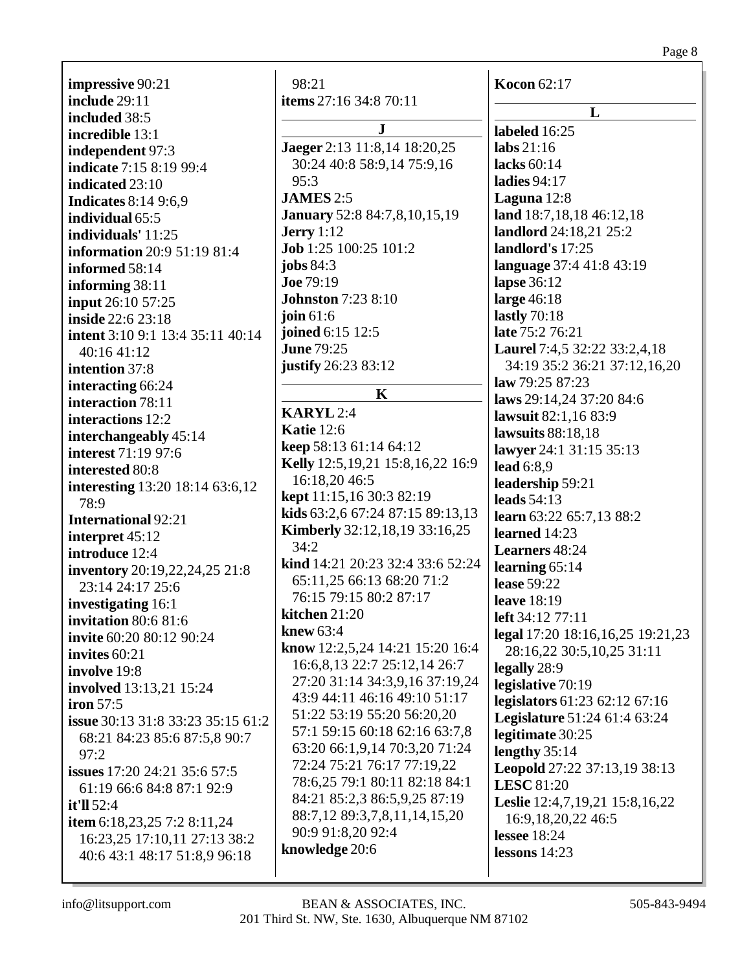**impressive** 90:21 **include** 29:11 **included** 38:5 **incredible** 13:1 **independent** 97:3 **indicate** 7:15 8:19 99:4 **indicated** 23:10 **Indicates** 8:14 9:6,9 **individual** 65:5 **individuals'** 11:25 **information** 20:9 51:19 81:4 **informed** 58:14 **informing** 38:11 **input** 26:10 57:25 **inside** 22:6 23:18 **intent** 3:10 9:1 13:4 35:11 40:14 40:16 41:12 **intention** 37:8 **interacting** 66:24 **interaction** 78:11 **interactions** 12:2 **interchangeably** 45:14 **interest** 71:19 97:6 **interested** 80:8 **interesting** 13:20 18:14 63:6,12 78:9 **International** 92:21 **interpret** 45:12 **introduce** 12:4 **inventory** 20:19,22,24,25 21:8 23:14 24:17 25:6 **investigating** 16:1 **invitation** 80:6 81:6 **invite** 60:20 80:12 90:24 **invites** 60:21 **involve** 19:8 **involved** 13:13,21 15:24 **iron** 57:5 **issue** 30:13 31:8 33:23 35:15 61:2 68:21 84:23 85:6 87:5,8 90:7 97:2 **issues** 17:20 24:21 35:6 57:5 61:19 66:6 84:8 87:1 92:9 **it'll** 52:4 **item** 6:18,23,25 7:2 8:11,24 16:23,25 17:10,11 27:13 38:2 40:6 43:1 48:17 51:8,9 96:18

98:21 **items** 27:16 34:8 70:11 **J Jaeger** 2:13 11:8,14 18:20,25 30:24 40:8 58:9,14 75:9,16 95:3 **JAMES** 2:5 **January** 52:8 84:7,8,10,15,19 **Jerry** 1:12 **Job** 1:25 100:25 101:2 **jobs** 84:3 **Joe** 79:19 **Johnston** 7:23 8:10 **join** 61:6 **joined** 6:15 12:5 **June** 79:25 **justify** 26:23 83:12 **K KARYL** 2:4 **Katie** 12:6 **keep** 58:13 61:14 64:12 **Kelly** 12:5,19,21 15:8,16,22 16:9 16:18,20 46:5 **kept** 11:15,16 30:3 82:19 **kids** 63:2,6 67:24 87:15 89:13,13 **Kimberly** 32:12,18,19 33:16,25 34:2 **kind** 14:21 20:23 32:4 33:6 52:24 65:11,25 66:13 68:20 71:2 76:15 79:15 80:2 87:17 **kitchen** 21:20 **knew** 63:4 **know** 12:2,5,24 14:21 15:20 16:4 16:6,8,13 22:7 25:12,14 26:7 27:20 31:14 34:3,9,16 37:19,24 43:9 44:11 46:16 49:10 51:17 51:22 53:19 55:20 56:20,20 57:1 59:15 60:18 62:16 63:7,8 63:20 66:1,9,14 70:3,20 71:24 72:24 75:21 76:17 77:19,22 78:6,25 79:1 80:11 82:18 84:1 84:21 85:2,3 86:5,9,25 87:19 88:7,12 89:3,7,8,11,14,15,20 90:9 91:8,20 92:4 **knowledge** 20:6

**Kocon** 62:17 **L labeled** 16:25 **labs** 21:16 **lacks** 60:14 **ladies** 94:17 **Laguna** 12:8 **land** 18:7,18,18 46:12,18 **landlord** 24:18,21 25:2 **landlord's** 17:25 **language** 37:4 41:8 43:19 **lapse** 36:12 **large** 46:18 **lastly** 70:18 **late** 75:2 76:21 **Laurel** 7:4,5 32:22 33:2,4,18 34:19 35:2 36:21 37:12,16,20 **law** 79:25 87:23 **laws** 29:14,24 37:20 84:6 **lawsuit** 82:1,16 83:9 **lawsuits** 88:18,18 **lawyer** 24:1 31:15 35:13 **lead** 6:8,9 **leadership** 59:21 **leads** 54:13 **learn** 63:22 65:7,13 88:2 **learned** 14:23 **Learners** 48:24 **learning** 65:14 **lease** 59:22 **leave** 18:19 **left** 34:12 77:11 **legal** 17:20 18:16,16,25 19:21,23 28:16,22 30:5,10,25 31:11 **legally** 28:9 **legislative** 70:19 **legislators** 61:23 62:12 67:16 **Legislature** 51:24 61:4 63:24 **legitimate** 30:25 **lengthy** 35:14 **Leopold** 27:22 37:13,19 38:13 **LESC** 81:20 **Leslie** 12:4,7,19,21 15:8,16,22 16:9,18,20,22 46:5 **lessee** 18:24 **lessons** 14:23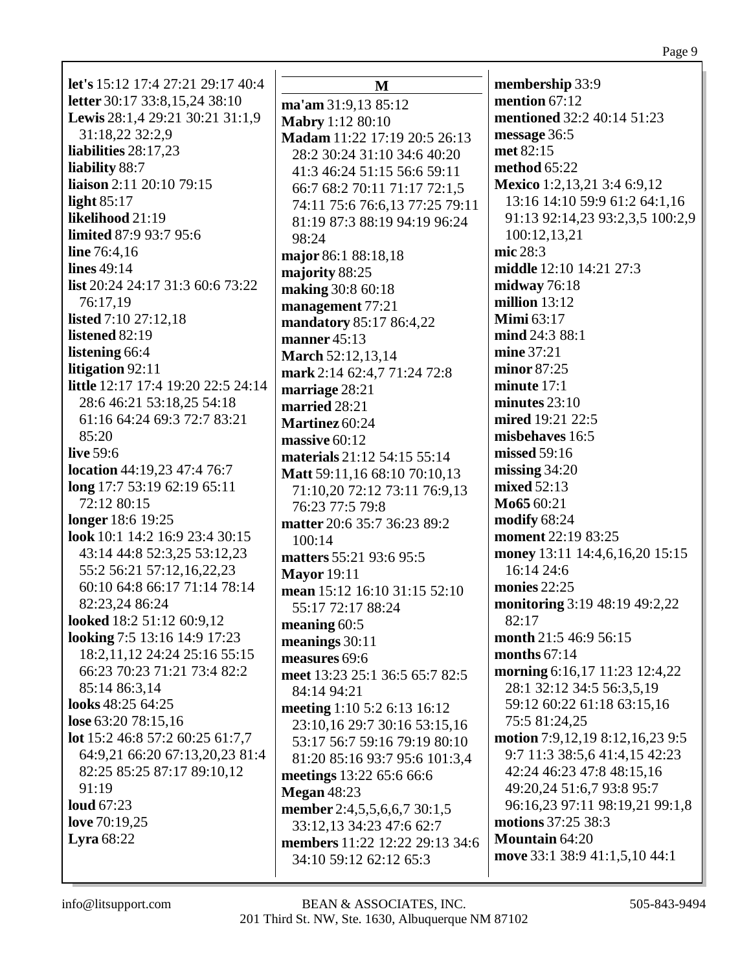| <b>let's</b> 15:12 17:4 27:21 29:17 40:4 | $\bf M$                        | membership 33:9                 |
|------------------------------------------|--------------------------------|---------------------------------|
| letter 30:17 33:8,15,24 38:10            | ma'am 31:9,13 85:12            | mention $67:12$                 |
| Lewis 28:1,4 29:21 30:21 31:1,9          | <b>Mabry 1:12 80:10</b>        | mentioned 32:2 40:14 51:23      |
| 31:18,22 32:2,9                          | Madam 11:22 17:19 20:5 26:13   | message 36:5                    |
| liabilities 28:17,23                     | 28:2 30:24 31:10 34:6 40:20    | met 82:15                       |
| <b>liability 88:7</b>                    | 41:3 46:24 51:15 56:6 59:11    | method 65:22                    |
| liaison 2:11 20:10 79:15                 | 66:7 68:2 70:11 71:17 72:1,5   | Mexico 1:2,13,21 3:4 6:9,12     |
| light $85:17$                            | 74:11 75:6 76:6,13 77:25 79:11 | 13:16 14:10 59:9 61:2 64:1,16   |
| likelihood 21:19                         | 81:19 87:3 88:19 94:19 96:24   | 91:13 92:14,23 93:2,3,5 100:2,9 |
| limited 87:9 93:7 95:6                   | 98:24                          | 100:12,13,21                    |
| <b>line</b> $76:4,16$                    | major 86:1 88:18,18            | mic 28:3                        |
| <b>lines</b> 49:14                       | majority 88:25                 | middle 12:10 14:21 27:3         |
| list 20:24 24:17 31:3 60:6 73:22         | making 30:8 60:18              | midway $76:18$                  |
| 76:17,19                                 |                                | million $13:12$                 |
| listed $7:10\,27:12,18$                  | management 77:21               | <b>Mimi</b> 63:17               |
| listened 82:19                           | mandatory 85:17 86:4,22        | mind 24:3 88:1                  |
| listening 66:4                           | manner 45:13                   | mine 37:21                      |
| litigation 92:11                         | <b>March 52:12,13,14</b>       | minor 87:25                     |
| little 12:17 17:4 19:20 22:5 24:14       | mark 2:14 62:4,7 71:24 72:8    | minute $17:1$                   |
|                                          | marriage 28:21                 |                                 |
| 28:6 46:21 53:18,25 54:18                | married 28:21                  | minutes $23:10$                 |
| 61:16 64:24 69:3 72:7 83:21              | Martinez 60:24                 | mired 19:21 22:5                |
| 85:20                                    | massive 60:12                  | misbehaves 16:5                 |
| live 59:6                                | materials 21:12 54:15 55:14    | missed 59:16                    |
| location 44:19,23 47:4 76:7              | Matt 59:11,16 68:10 70:10,13   | missing $34:20$                 |
| long 17:7 53:19 62:19 65:11              | 71:10,20 72:12 73:11 76:9,13   | mixed 52:13                     |
| 72:12 80:15                              | 76:23 77:5 79:8                | Mo65 60:21                      |
| longer 18:6 19:25                        | matter 20:6 35:7 36:23 89:2    | modify $68:24$                  |
| look 10:1 14:2 16:9 23:4 30:15           | 100:14                         | moment 22:19 83:25              |
| 43:14 44:8 52:3,25 53:12,23              | matters 55:21 93:6 95:5        | money 13:11 14:4,6,16,20 15:15  |
| 55:2 56:21 57:12,16,22,23                | <b>Mayor</b> 19:11             | 16:14 24:6                      |
| 60:10 64:8 66:17 71:14 78:14             | mean 15:12 16:10 31:15 52:10   | monies $22:25$                  |
| 82:23,24 86:24                           | 55:17 72:17 88:24              | monitoring 3:19 48:19 49:2,22   |
| looked 18:2 51:12 60:9,12                | meaning $60:5$                 | 82:17                           |
| looking 7:5 13:16 14:9 17:23             | meanings $30:11$               | month 21:5 46:9 56:15           |
| 18:2,11,12 24:24 25:16 55:15             | measures 69:6                  | months $67:14$                  |
| 66:23 70:23 71:21 73:4 82:2              | meet 13:23 25:1 36:5 65:7 82:5 | morning 6:16,17 11:23 12:4,22   |
| 85:14 86:3,14                            | 84:14 94:21                    | 28:1 32:12 34:5 56:3,5,19       |
| looks 48:25 64:25                        | meeting 1:10 5:2 6:13 16:12    | 59:12 60:22 61:18 63:15,16      |
| lose 63:20 78:15,16                      | 23:10,16 29:7 30:16 53:15,16   | 75:5 81:24,25                   |
| lot 15:2 46:8 57:2 60:25 61:7,7          | 53:17 56:7 59:16 79:19 80:10   | motion 7:9,12,19 8:12,16,23 9:5 |
| 64:9,21 66:20 67:13,20,23 81:4           |                                | 9:7 11:3 38:5,6 41:4,15 42:23   |
| 82:25 85:25 87:17 89:10,12               | 81:20 85:16 93:7 95:6 101:3,4  | 42:24 46:23 47:8 48:15,16       |
| 91:19                                    | meetings 13:22 65:6 66:6       | 49:20,24 51:6,7 93:8 95:7       |
| <b>loud</b> 67:23                        | <b>Megan 48:23</b>             | 96:16,23 97:11 98:19,21 99:1,8  |
| love $70:19,25$                          | member 2:4,5,5,6,6,7 30:1,5    | motions 37:25 38:3              |
| Lyra $68:22$                             | 33:12,13 34:23 47:6 62:7       | <b>Mountain 64:20</b>           |
|                                          | members 11:22 12:22 29:13 34:6 | move 33:1 38:9 41:1,5,10 44:1   |
|                                          | 34:10 59:12 62:12 65:3         |                                 |
|                                          |                                |                                 |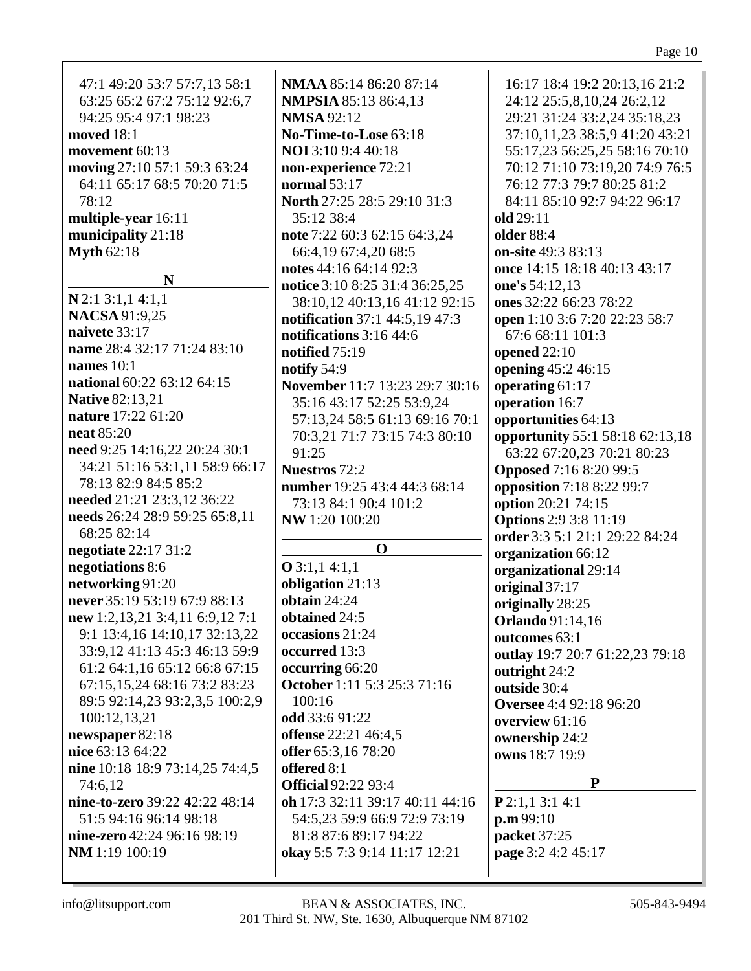|--|

| 47:1 49:20 53:7 57:7,13 58:1    | <b>NMAA 85:14 86:20 87:14</b>   | 16:17 18:4 19:2 20:13,16 21:2   |
|---------------------------------|---------------------------------|---------------------------------|
| 63:25 65:2 67:2 75:12 92:6,7    | <b>NMPSIA 85:13 86:4,13</b>     | 24:12 25:5,8,10,24 26:2,12      |
| 94:25 95:4 97:1 98:23           | <b>NMSA 92:12</b>               | 29:21 31:24 33:2,24 35:18,23    |
| <b>moved</b> 18:1               | No-Time-to-Lose 63:18           | 37:10,11,23 38:5,9 41:20 43:21  |
| movement 60:13                  | <b>NOI</b> 3:10 9:4 40:18       | 55:17,23 56:25,25 58:16 70:10   |
| moving 27:10 57:1 59:3 63:24    | non-experience 72:21            | 70:12 71:10 73:19,20 74:9 76:5  |
| 64:11 65:17 68:5 70:20 71:5     | normal $53:17$                  | 76:12 77:3 79:7 80:25 81:2      |
| 78:12                           | North 27:25 28:5 29:10 31:3     | 84:11 85:10 92:7 94:22 96:17    |
| multiple-year 16:11             | 35:12 38:4                      | old 29:11                       |
| municipality 21:18              | note 7:22 60:3 62:15 64:3,24    | <b>older</b> 88:4               |
| <b>Myth 62:18</b>               | 66:4,19 67:4,20 68:5            | on-site 49:3 83:13              |
|                                 | notes 44:16 64:14 92:3          | once 14:15 18:18 40:13 43:17    |
| N                               | notice 3:10 8:25 31:4 36:25,25  | one's 54:12,13                  |
| $N$ 2:1 3:1,1 4:1,1             | 38:10,12 40:13,16 41:12 92:15   | ones 32:22 66:23 78:22          |
| <b>NACSA 91:9,25</b>            | notification 37:1 44:5,19 47:3  | open 1:10 3:6 7:20 22:23 58:7   |
| naivete 33:17                   | notifications 3:16 44:6         | 67:6 68:11 101:3                |
| name 28:4 32:17 71:24 83:10     | notified 75:19                  | opened 22:10                    |
| names $10:1$                    | notify 54:9                     | opening 45:2 46:15              |
| national 60:22 63:12 64:15      | November 11:7 13:23 29:7 30:16  | operating 61:17                 |
| <b>Native 82:13,21</b>          | 35:16 43:17 52:25 53:9,24       | operation 16:7                  |
| nature 17:22 61:20              | 57:13,24 58:5 61:13 69:16 70:1  | opportunities 64:13             |
| <b>neat 85:20</b>               | 70:3,21 71:7 73:15 74:3 80:10   | opportunity 55:1 58:18 62:13,18 |
| need 9:25 14:16,22 20:24 30:1   | 91:25                           | 63:22 67:20,23 70:21 80:23      |
| 34:21 51:16 53:1,11 58:9 66:17  | <b>Nuestros</b> 72:2            | <b>Opposed</b> 7:16 8:20 99:5   |
| 78:13 82:9 84:5 85:2            | number 19:25 43:4 44:3 68:14    | opposition 7:18 8:22 99:7       |
| needed 21:21 23:3,12 36:22      | 73:13 84:1 90:4 101:2           | option 20:21 74:15              |
| needs 26:24 28:9 59:25 65:8,11  | NW 1:20 100:20                  | <b>Options</b> 2:9 3:8 11:19    |
| 68:25 82:14                     |                                 | order 3:3 5:1 21:1 29:22 84:24  |
| negotiate 22:17 31:2            | $\mathbf 0$                     | organization 66:12              |
| negotiations 8:6                | $O$ 3:1,1 4:1,1                 | organizational 29:14            |
| networking 91:20                | obligation 21:13                | original 37:17                  |
| never 35:19 53:19 67:9 88:13    | obtain $24:24$                  | originally 28:25                |
| new 1:2,13,21 3:4,11 6:9,12 7:1 | obtained 24:5                   | <b>Orlando</b> 91:14,16         |
| 9:1 13:4,16 14:10,17 32:13,22   | occasions 21:24                 | outcomes 63:1                   |
| 33:9,12 41:13 45:3 46:13 59:9   | occurred 13:3                   | outlay 19:7 20:7 61:22,23 79:18 |
| 61:2 64:1,16 65:12 66:8 67:15   | occurring 66:20                 | outright 24:2                   |
| 67:15,15,24 68:16 73:2 83:23    | October 1:11 5:3 25:3 71:16     | outside 30:4                    |
| 89:5 92:14,23 93:2,3,5 100:2,9  | 100:16                          | Oversee 4:4 92:18 96:20         |
| 100:12,13,21                    | odd 33:6 91:22                  | overview 61:16                  |
| newspaper 82:18                 | <b>offense</b> 22:21 46:4,5     | ownership 24:2                  |
| nice 63:13 64:22                | offer 65:3,16 78:20             | owns 18:7 19:9                  |
| nine 10:18 18:9 73:14,25 74:4,5 | offered 8:1                     |                                 |
| 74:6,12                         | <b>Official 92:22 93:4</b>      | P                               |
| nine-to-zero 39:22 42:22 48:14  | oh 17:3 32:11 39:17 40:11 44:16 | $P$ 2:1,1 3:1 4:1               |
| 51:5 94:16 96:14 98:18          | 54:5,23 59:9 66:9 72:9 73:19    | p.m.99:10                       |
| nine-zero 42:24 96:16 98:19     | 81:8 87:6 89:17 94:22           | packet 37:25                    |
| NM 1:19 100:19                  | okay 5:5 7:3 9:14 11:17 12:21   | page 3:2 4:2 45:17              |
|                                 |                                 |                                 |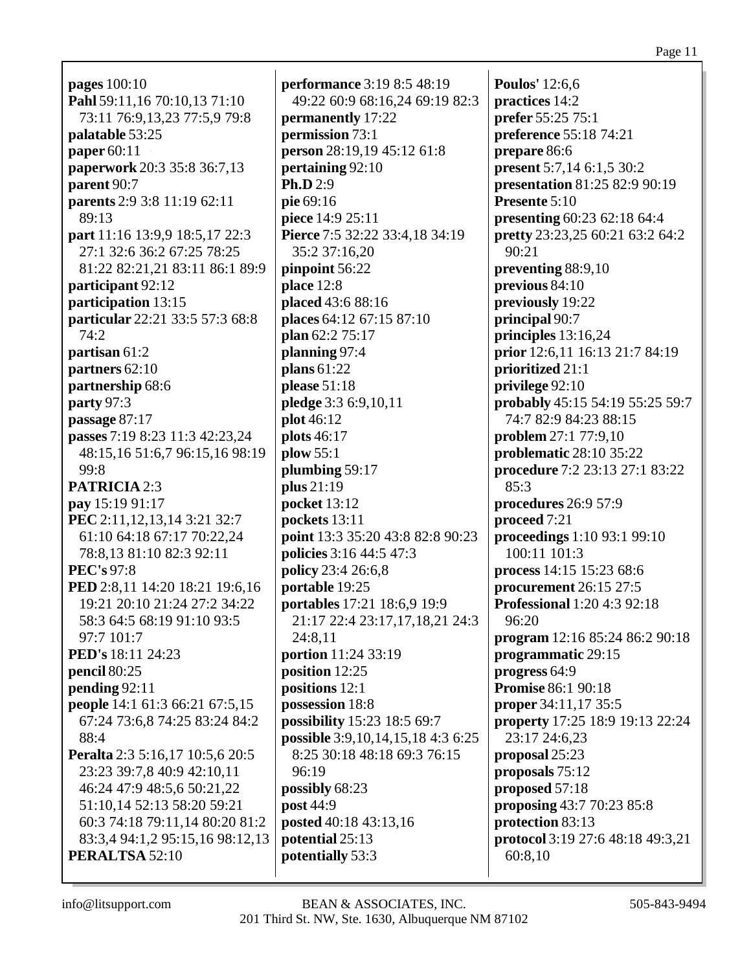**pages** 100:10 **Pahl** 59:11,16 70:10,13 71:10 73:11 76:9,13,23 77:5,9 79:8 **palatable** 53:25 **paper** 60:11 **paperwork** 20:3 35:8 36:7,13 **parent** 90:7 **parents** 2:9 3:8 11:19 62:11 89:13 **part** 11:16 13:9,9 18:5,17 22:3 27:1 32:6 36:2 67:25 78:25 81:22 82:21,21 83:11 86:1 89:9 **participant** 92:12 **participation** 13:15 **particular** 22:21 33:5 57:3 68:8 74:2 **partisan** 61:2 **partners** 62:10 **partnership** 68:6 **party** 97:3 **passage** 87:17 **passes** 7:19 8:23 11:3 42:23,24 48:15,16 51:6,7 96:15,16 98:19 99:8 **PATRICIA** 2:3 **pay** 15:19 91:17 **PEC** 2:11,12,13,14 3:21 32:7 61:10 64:18 67:17 70:22,24 78:8,13 81:10 82:3 92:11 **PEC's** 97:8 **PED** 2:8,11 14:20 18:21 19:6,16 19:21 20:10 21:24 27:2 34:22 58:3 64:5 68:19 91:10 93:5 97:7 101:7 **PED's** 18:11 24:23 **pencil** 80:25 **pending** 92:11 **people** 14:1 61:3 66:21 67:5,15 67:24 73:6,8 74:25 83:24 84:2 88:4 **Peralta** 2:3 5:16,17 10:5,6 20:5 23:23 39:7,8 40:9 42:10,11 46:24 47:9 48:5,6 50:21,22 51:10,14 52:13 58:20 59:21 60:3 74:18 79:11,14 80:20 81:2 83:3,4 94:1,2 95:15,16 98:12,13 **PERALTSA** 52:10

**performance** 3:19 8:5 48:19 49:22 60:9 68:16,24 69:19 82:3 **permanently** 17:22 **permission** 73:1 **person** 28:19,19 45:12 61:8 **pertaining** 92:10 **Ph.D** 2:9 **pie** 69:16 **piece** 14:9 25:11 **Pierce** 7:5 32:22 33:4,18 34:19 35:2 37:16,20 **pinpoint** 56:22 **place** 12:8 **placed** 43:6 88:16 **places** 64:12 67:15 87:10 **plan** 62:2 75:17 **planning** 97:4 **plans** 61:22 **please** 51:18 **pledge** 3:3 6:9,10,11 **plot** 46:12 **plots** 46:17 **plow** 55:1 **plumbing** 59:17 **plus** 21:19 **pocket** 13:12 **pockets** 13:11 **point** 13:3 35:20 43:8 82:8 90:23 **policies** 3:16 44:5 47:3 **policy** 23:4 26:6,8 **portable** 19:25 **portables** 17:21 18:6,9 19:9 21:17 22:4 23:17,17,18,21 24:3 24:8,11 **portion** 11:24 33:19 **position** 12:25 **positions** 12:1 **possession** 18:8 **possibility** 15:23 18:5 69:7 **possible** 3:9,10,14,15,18 4:3 6:25 8:25 30:18 48:18 69:3 76:15 96:19 **possibly** 68:23 **post** 44:9 **posted** 40:18 43:13,16 **potential** 25:13 **potentially** 53:3

**Poulos'** 12:6,6 **practices** 14:2 **prefer** 55:25 75:1 **preference** 55:18 74:21 **prepare** 86:6 **present** 5:7,14 6:1,5 30:2 **presentation** 81:25 82:9 90:19 **Presente** 5:10 **presenting** 60:23 62:18 64:4 **pretty** 23:23,25 60:21 63:2 64:2 90:21 **preventing** 88:9,10 **previous** 84:10 **previously** 19:22 **principal** 90:7 **principles** 13:16,24 **prior** 12:6,11 16:13 21:7 84:19 **prioritized** 21:1 **privilege** 92:10 **probably** 45:15 54:19 55:25 59:7 74:7 82:9 84:23 88:15 **problem** 27:1 77:9,10 **problematic** 28:10 35:22 **procedure** 7:2 23:13 27:1 83:22 85:3 **procedures** 26:9 57:9 **proceed** 7:21 **proceedings** 1:10 93:1 99:10 100:11 101:3 **process** 14:15 15:23 68:6 **procurement** 26:15 27:5 **Professional** 1:20 4:3 92:18 96:20 **program** 12:16 85:24 86:2 90:18 **programmatic** 29:15 **progress** 64:9 **Promise** 86:1 90:18 **proper** 34:11,17 35:5 **property** 17:25 18:9 19:13 22:24 23:17 24:6,23 **proposal** 25:23 **proposals** 75:12 **proposed** 57:18 **proposing** 43:7 70:23 85:8 **protection** 83:13 **protocol** 3:19 27:6 48:18 49:3,21 60:8,10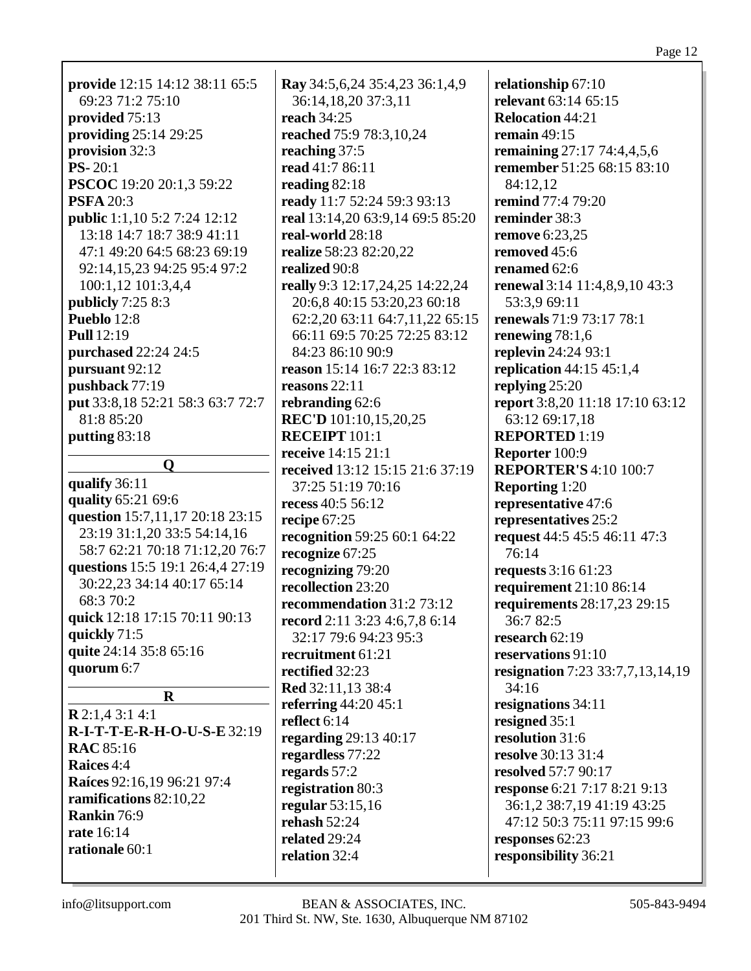**provide** 12:15 14:12 38:11 65:5 69:23 71:2 75:10 **provided** 75:13 **providing** 25:14 29:25 **provision** 32:3 **PS-** 20:1 **PSCOC** 19:20 20:1,3 59:22 **PSFA** 20:3 **public** 1:1,10 5:2 7:24 12:12 13:18 14:7 18:7 38:9 41:11 47:1 49:20 64:5 68:23 69:19 92:14,15,23 94:25 95:4 97:2 100:1,12 101:3,4,4 **publicly** 7:25 8:3 **Pueblo** 12:8 **Pull** 12:19 **purchased** 22:24 24:5 **pursuant** 92:12 **pushback** 77:19 **put** 33:8,18 52:21 58:3 63:7 72:7 81:8 85:20 **putting** 83:18

# **Q**

**qualify** 36:11 **quality** 65:21 69:6 **question** 15:7,11,17 20:18 23:15 23:19 31:1,20 33:5 54:14,16 58:7 62:21 70:18 71:12,20 76:7 **questions** 15:5 19:1 26:4,4 27:19 30:22,23 34:14 40:17 65:14 68:3 70:2 **quick** 12:18 17:15 70:11 90:13 **quickly** 71:5 **quite** 24:14 35:8 65:16 **quorum** 6:7

**Ray** 34:5,6,24 35:4,23 36:1,4,9 36:14,18,20 37:3,11 **reach** 34:25 **reached** 75:9 78:3,10,24 **reaching** 37:5 **read** 41:7 86:11 **reading** 82:18 **ready** 11:7 52:24 59:3 93:13 **real** 13:14,20 63:9,14 69:5 85:20 **real-world** 28:18 **realize** 58:23 82:20,22 **realized** 90:8 **really** 9:3 12:17,24,25 14:22,24 20:6,8 40:15 53:20,23 60:18 62:2,20 63:11 64:7,11,22 65:15 66:11 69:5 70:25 72:25 83:12 84:23 86:10 90:9 **reason** 15:14 16:7 22:3 83:12 **reasons** 22:11 **rebranding** 62:6 **REC'D** 101:10,15,20,25 **RECEIPT** 101:1 **receive** 14:15 21:1 **received** 13:12 15:15 21:6 37:19 37:25 51:19 70:16 **recess** 40:5 56:12 **recipe** 67:25 **recognition** 59:25 60:1 64:22 **recognize** 67:25 **recognizing** 79:20 **recollection** 23:20 **recommendation** 31:2 73:12 **record** 2:11 3:23 4:6,7,8 6:14 32:17 79:6 94:23 95:3 **recruitment** 61:21 **rectified** 32:23 **Red** 32:11,13 38:4 **referring** 44:20 45:1 **reflect** 6:14 **regarding** 29:13 40:17 **regardless** 77:22 **regards** 57:2 **registration** 80:3 **regular** 53:15,16 **rehash** 52:24 **related** 29:24 **relation** 32:4

**relationship** 67:10 **relevant** 63:14 65:15 **Relocation** 44:21 **remain** 49:15 **remaining** 27:17 74:4,4,5,6 **remember** 51:25 68:15 83:10 84:12,12 **remind** 77:4 79:20 **reminder** 38:3 **remove** 6:23,25 **removed** 45:6 **renamed** 62:6 **renewal** 3:14 11:4,8,9,10 43:3 53:3,9 69:11 **renewals** 71:9 73:17 78:1 **renewing** 78:1,6 **replevin** 24:24 93:1 **replication** 44:15 45:1,4 **replying** 25:20 **report** 3:8,20 11:18 17:10 63:12 63:12 69:17,18 **REPORTED** 1:19 **Reporter** 100:9 **REPORTER'S** 4:10 100:7 **Reporting** 1:20 **representative** 47:6 **representatives** 25:2 **request** 44:5 45:5 46:11 47:3 76:14 **requests** 3:16 61:23 **requirement** 21:10 86:14 **requirements** 28:17,23 29:15 36:7 82:5 **research** 62:19 **reservations** 91:10 **resignation** 7:23 33:7,7,13,14,19 34:16 **resignations** 34:11 **resigned** 35:1 **resolution** 31:6 **resolve** 30:13 31:4 **resolved** 57:7 90:17 **response** 6:21 7:17 8:21 9:13 36:1,2 38:7,19 41:19 43:25 47:12 50:3 75:11 97:15 99:6 **responses** 62:23 **responsibility** 36:21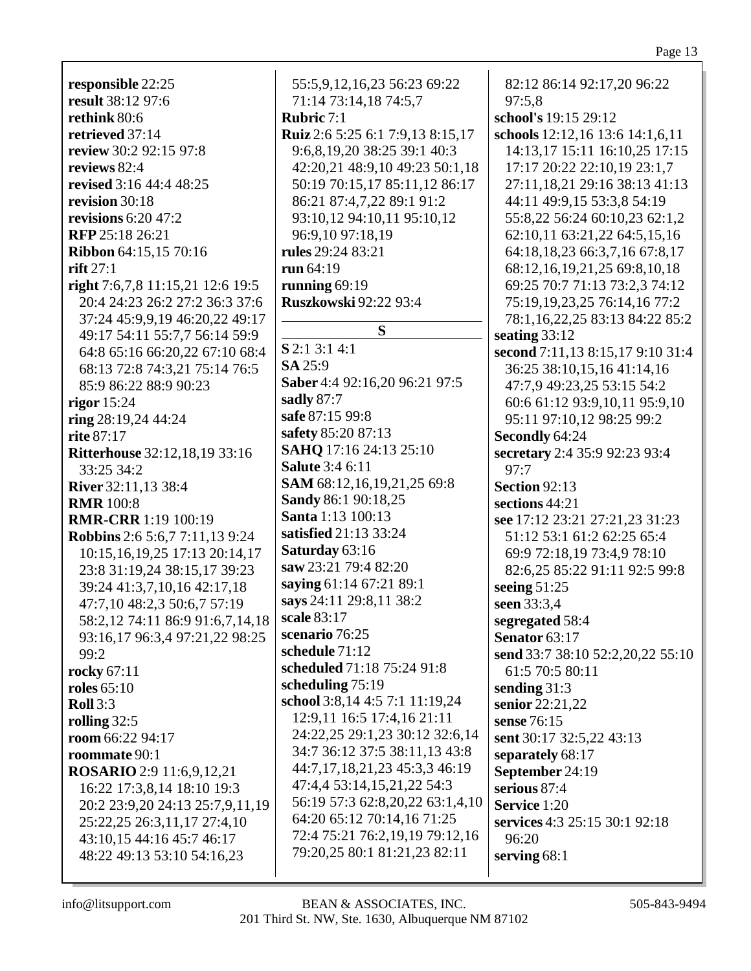**responsible** 22:25 **result** 38:12 97:6 **rethink** 80:6 **retrieved** 37:14 **review** 30:2 92:15 97:8 **reviews** 82:4 **revised** 3:16 44:4 48:25 **revision** 30:18 **revisions** 6:20 47:2 **RFP** 25:18 26:21 **Ribbon** 64:15,15 70:16 **rift** 27:1 **right** 7:6,7,8 11:15,21 12:6 19:5 20:4 24:23 26:2 27:2 36:3 37:6 37:24 45:9,9,19 46:20,22 49:17 49:17 54:11 55:7,7 56:14 59:9 64:8 65:16 66:20,22 67:10 68:4 68:13 72:8 74:3,21 75:14 76:5 85:9 86:22 88:9 90:23 **rigor** 15:24 **ring** 28:19,24 44:24 **rite** 87:17 **Ritterhouse** 32:12,18,19 33:16 33:25 34:2 **River** 32:11,13 38:4 **RMR** 100:8 **RMR-CRR** 1:19 100:19 **Robbins** 2:6 5:6,7 7:11,13 9:24 10:15,16,19,25 17:13 20:14,17 23:8 31:19,24 38:15,17 39:23 39:24 41:3,7,10,16 42:17,18 47:7,10 48:2,3 50:6,7 57:19 58:2,12 74:11 86:9 91:6,7,14,18 93:16,17 96:3,4 97:21,22 98:25 99:2 **rocky** 67:11 **roles** 65:10 **Roll** 3:3 **rolling** 32:5 **room** 66:22 94:17 **roommate** 90:1 **ROSARIO** 2:9 11:6,9,12,21 16:22 17:3,8,14 18:10 19:3 20:2 23:9,20 24:13 25:7,9,11,19 25:22,25 26:3,11,17 27:4,10 43:10,15 44:16 45:7 46:17 48:22 49:13 53:10 54:16,23

55:5,9,12,16,23 56:23 69:22 71:14 73:14,18 74:5,7 **Rubric** 7:1 **Ruiz** 2:6 5:25 6:1 7:9,13 8:15,17 9:6,8,19,20 38:25 39:1 40:3 42:20,21 48:9,10 49:23 50:1,18 50:19 70:15,17 85:11,12 86:17 86:21 87:4,7,22 89:1 91:2 93:10,12 94:10,11 95:10,12 96:9,10 97:18,19 **rules** 29:24 83:21 **run** 64:19 **running** 69:19 **Ruszkowski** 92:22 93:4 **S S** 2:1 3:1 4:1 **SA** 25:9 **Saber** 4:4 92:16,20 96:21 97:5 **sadly** 87:7 **safe** 87:15 99:8 **safety** 85:20 87:13 **SAHQ** 17:16 24:13 25:10 **Salute** 3:4 6:11 **SAM** 68:12,16,19,21,25 69:8 **Sandy** 86:1 90:18,25 **Santa** 1:13 100:13 **satisfied** 21:13 33:24 **Saturday** 63:16 **saw** 23:21 79:4 82:20 **saying** 61:14 67:21 89:1 **says** 24:11 29:8,11 38:2 **scale** 83:17 **scenario** 76:25 **schedule** 71:12 **scheduled** 71:18 75:24 91:8 **scheduling** 75:19 **school** 3:8,14 4:5 7:1 11:19,24 12:9,11 16:5 17:4,16 21:11 24:22,25 29:1,23 30:12 32:6,14 34:7 36:12 37:5 38:11,13 43:8 44:7,17,18,21,23 45:3,3 46:19 47:4,4 53:14,15,21,22 54:3 56:19 57:3 62:8,20,22 63:1,4,10 64:20 65:12 70:14,16 71:25 72:4 75:21 76:2,19,19 79:12,16 79:20,25 80:1 81:21,23 82:11

82:12 86:14 92:17,20 96:22 97:5,8 **school's** 19:15 29:12 **schools** 12:12,16 13:6 14:1,6,11 14:13,17 15:11 16:10,25 17:15 17:17 20:22 22:10,19 23:1,7 27:11,18,21 29:16 38:13 41:13 44:11 49:9,15 53:3,8 54:19 55:8,22 56:24 60:10,23 62:1,2 62:10,11 63:21,22 64:5,15,16 64:18,18,23 66:3,7,16 67:8,17 68:12,16,19,21,25 69:8,10,18 69:25 70:7 71:13 73:2,3 74:12 75:19,19,23,25 76:14,16 77:2 78:1,16,22,25 83:13 84:22 85:2 **seating** 33:12 **second** 7:11,13 8:15,17 9:10 31:4 36:25 38:10,15,16 41:14,16 47:7,9 49:23,25 53:15 54:2 60:6 61:12 93:9,10,11 95:9,10 95:11 97:10,12 98:25 99:2 **Secondly** 64:24 **secretary** 2:4 35:9 92:23 93:4 97:7 **Section** 92:13 **sections** 44:21 **see** 17:12 23:21 27:21,23 31:23 51:12 53:1 61:2 62:25 65:4 69:9 72:18,19 73:4,9 78:10 82:6,25 85:22 91:11 92:5 99:8 **seeing** 51:25 **seen** 33:3,4 **segregated** 58:4 **Senator** 63:17 **send** 33:7 38:10 52:2,20,22 55:10 61:5 70:5 80:11 **sending** 31:3 **senior** 22:21,22 **sense** 76:15 **sent** 30:17 32:5,22 43:13 **separately** 68:17 **September** 24:19 **serious** 87:4 **Service** 1:20 **services** 4:3 25:15 30:1 92:18 96:20 **serving** 68:1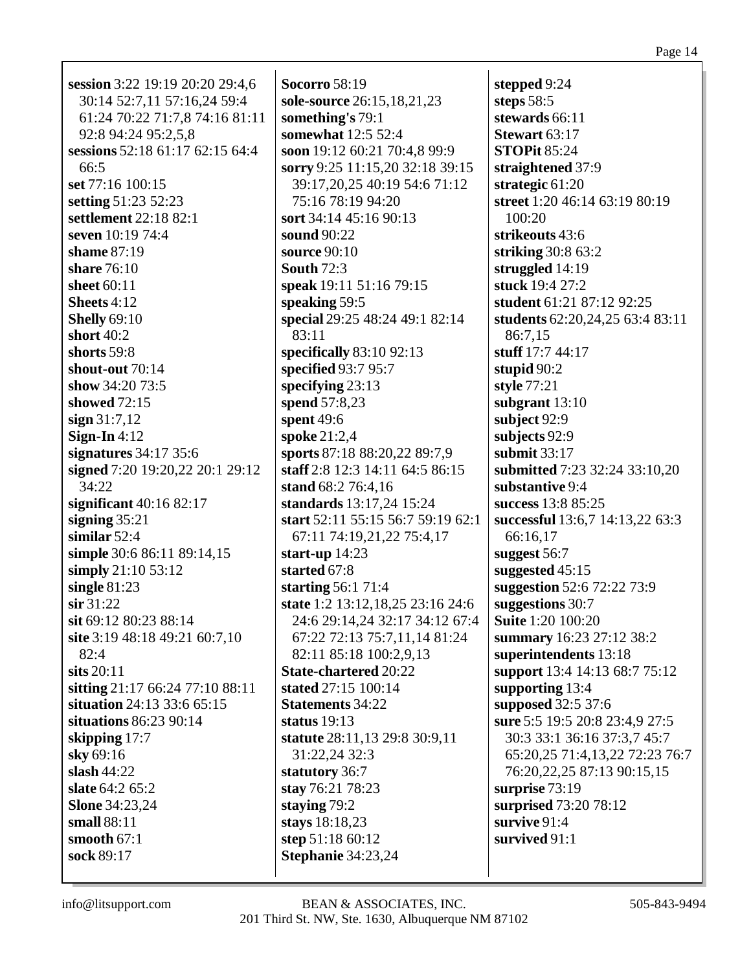| session 3:22 19:19 20:20 29:4,6 | <b>Socorro 58:19</b>              | stepped 9:24                    |
|---------------------------------|-----------------------------------|---------------------------------|
| 30:14 52:7,11 57:16,24 59:4     | sole-source 26:15,18,21,23        | steps $58:5$                    |
| 61:24 70:22 71:7,8 74:16 81:11  | something's 79:1                  | stewards 66:11                  |
| 92:8 94:24 95:2,5,8             | somewhat 12:5 52:4                | Stewart 63:17                   |
| sessions 52:18 61:17 62:15 64:4 | soon 19:12 60:21 70:4,8 99:9      | <b>STOPit 85:24</b>             |
| 66:5                            | sorry 9:25 11:15,20 32:18 39:15   | straightened 37:9               |
| set 77:16 100:15                | 39:17,20,25 40:19 54:6 71:12      | strategic $61:20$               |
| setting 51:23 52:23             | 75:16 78:19 94:20                 | street 1:20 46:14 63:19 80:19   |
| settlement 22:18 82:1           | sort 34:14 45:16 90:13            | 100:20                          |
| seven 10:19 74:4                | sound 90:22                       | strikeouts 43:6                 |
| shame 87:19                     | source 90:10                      | striking 30:8 63:2              |
| share 76:10                     | <b>South 72:3</b>                 | struggled 14:19                 |
| sheet 60:11                     | speak 19:11 51:16 79:15           | stuck 19:4 27:2                 |
| Sheets 4:12                     | speaking 59:5                     | student 61:21 87:12 92:25       |
| <b>Shelly 69:10</b>             | special 29:25 48:24 49:1 82:14    | students 62:20,24,25 63:4 83:11 |
| short 40:2                      | 83:11                             | 86:7,15                         |
| shorts 59:8                     | specifically $83:10$ 92:13        | stuff 17:7 44:17                |
| shout-out 70:14                 | specified 93:7 95:7               |                                 |
| show 34:20 73:5                 | specifying $23:13$                | stupid $90:2$                   |
| showed 72:15                    |                                   | style 77:21                     |
|                                 | spend 57:8,23                     | subgrant $13:10$                |
| sign 31:7,12                    | spent $49:6$                      | subject 92:9                    |
| Sign-In $4:12$                  | spoke 21:2,4                      | subjects 92:9                   |
| signatures $34:17$ 35:6         | sports 87:18 88:20,22 89:7,9      | submit 33:17                    |
| signed 7:20 19:20,22 20:1 29:12 | staff 2:8 12:3 14:11 64:5 86:15   | submitted 7:23 32:24 33:10,20   |
| 34:22                           | stand 68:2 76:4,16                | substantive 9:4                 |
| significant $40:1682:17$        | standards 13:17,24 15:24          | success 13:8 85:25              |
| signing $35:21$                 | start 52:11 55:15 56:7 59:19 62:1 | successful 13:6,7 14:13,22 63:3 |
| similar $52:4$                  | 67:11 74:19,21,22 75:4,17         | 66:16,17                        |
| simple 30:6 86:11 89:14,15      | start-up $14:23$                  | suggest 56:7                    |
| simply 21:10 53:12              | started 67:8                      | suggested $45:15$               |
| single $81:23$                  | starting $56:171:4$               | suggestion 52:6 72:22 73:9      |
| $\sin 31:22$                    | state 1:2 13:12,18,25 23:16 24:6  | suggestions 30:7                |
| sit 69:12 80:23 88:14           | 24:6 29:14,24 32:17 34:12 67:4    | <b>Suite 1:20 100:20</b>        |
| site 3:19 48:18 49:21 60:7,10   | 67:22 72:13 75:7,11,14 81:24      | summary 16:23 27:12 38:2        |
| 82:4                            | 82:11 85:18 100:2,9,13            | superintendents 13:18           |
| sits $20:11$                    | <b>State-chartered 20:22</b>      | support 13:4 14:13 68:7 75:12   |
| sitting 21:17 66:24 77:10 88:11 | stated 27:15 100:14               | supporting 13:4                 |
| situation 24:13 33:6 65:15      | <b>Statements</b> 34:22           | supposed 32:5 37:6              |
| situations 86:23 90:14          | status $19:13$                    | sure 5:5 19:5 20:8 23:4,9 27:5  |
| skipping $17:7$                 | statute 28:11,13 29:8 30:9,11     | 30:3 33:1 36:16 37:3,7 45:7     |
| sky 69:16                       | 31:22,24 32:3                     | 65:20,25 71:4,13,22 72:23 76:7  |
| slash $44:22$                   | statutory 36:7                    | 76:20,22,25 87:13 90:15,15      |
| slate 64:2 65:2                 | stay 76:21 78:23                  | surprise 73:19                  |
| <b>Slone</b> 34:23,24           | staying 79:2                      | surprised 73:20 78:12           |
| small 88:11                     | stays 18:18,23                    | survive 91:4                    |
| smooth $67:1$                   | step 51:18 60:12                  | survived 91:1                   |
| sock 89:17                      | Stephanie 34:23,24                |                                 |
|                                 |                                   |                                 |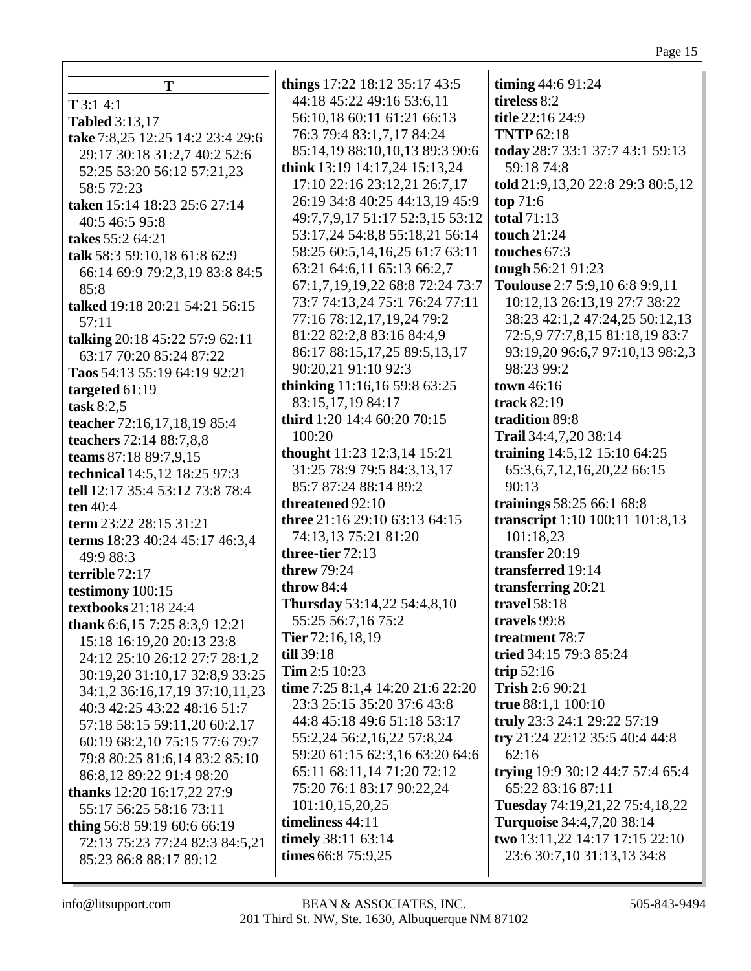## Page 15

|                                  | things 17:22 18:12 35:17 43:5    | timing $44:691:24$                |
|----------------------------------|----------------------------------|-----------------------------------|
| Т                                | 44:18 45:22 49:16 53:6,11        | tireless 8:2                      |
| T3:14:1                          | 56:10,18 60:11 61:21 66:13       | title 22:16 24:9                  |
| <b>Tabled</b> 3:13,17            | 76:3 79:4 83:1,7,17 84:24        | <b>TNTP 62:18</b>                 |
| take 7:8,25 12:25 14:2 23:4 29:6 | 85:14,19 88:10,10,13 89:3 90:6   | today 28:7 33:1 37:7 43:1 59:13   |
| 29:17 30:18 31:2,7 40:2 52:6     |                                  | 59:18 74:8                        |
| 52:25 53:20 56:12 57:21,23       | think 13:19 14:17,24 15:13,24    |                                   |
| 58:5 72:23                       | 17:10 22:16 23:12,21 26:7,17     | told 21:9,13,20 22:8 29:3 80:5,12 |
| taken 15:14 18:23 25:6 27:14     | 26:19 34:8 40:25 44:13,19 45:9   | top $71:6$<br>total $71:13$       |
| 40:5 46:5 95:8                   | 49:7,7,9,17 51:17 52:3,15 53:12  |                                   |
| takes 55:2 64:21                 | 53:17,24 54:8,8 55:18,21 56:14   | touch 21:24                       |
| talk 58:3 59:10,18 61:8 62:9     | 58:25 60:5,14,16,25 61:7 63:11   | touches 67:3                      |
| 66:14 69:9 79:2,3,19 83:8 84:5   | 63:21 64:6,11 65:13 66:2,7       | tough 56:21 91:23                 |
| 85:8                             | 67:1,7,19,19,22 68:8 72:24 73:7  | Toulouse 2:7 5:9,10 6:8 9:9,11    |
| talked 19:18 20:21 54:21 56:15   | 73:7 74:13,24 75:1 76:24 77:11   | 10:12,13 26:13,19 27:7 38:22      |
| 57:11                            | 77:16 78:12,17,19,24 79:2        | 38:23 42:1,2 47:24,25 50:12,13    |
| talking 20:18 45:22 57:9 62:11   | 81:22 82:2,8 83:16 84:4,9        | 72:5,9 77:7,8,15 81:18,19 83:7    |
| 63:17 70:20 85:24 87:22          | 86:17 88:15,17,25 89:5,13,17     | 93:19,20 96:6,7 97:10,13 98:2,3   |
| Taos 54:13 55:19 64:19 92:21     | 90:20,21 91:10 92:3              | 98:23 99:2                        |
| targeted $61:19$                 | thinking 11:16,16 59:8 63:25     | town 46:16                        |
| task $8:2,5$                     | 83:15,17,19 84:17                | track 82:19                       |
| teacher 72:16,17,18,19 85:4      | third 1:20 14:4 60:20 70:15      | tradition 89:8                    |
| teachers 72:14 88:7,8,8          | 100:20                           | Trail 34:4,7,20 38:14             |
| teams 87:18 89:7,9,15            | thought 11:23 12:3,14 15:21      | training 14:5,12 15:10 64:25      |
| technical 14:5,12 18:25 97:3     | 31:25 78:9 79:5 84:3,13,17       | 65:3, 6, 7, 12, 16, 20, 22 66: 15 |
| tell 12:17 35:4 53:12 73:8 78:4  | 85:7 87:24 88:14 89:2            | 90:13                             |
| ten $40:4$                       | threatened 92:10                 | trainings 58:25 66:1 68:8         |
| term 23:22 28:15 31:21           | three 21:16 29:10 63:13 64:15    | transcript 1:10 100:11 101:8,13   |
| terms 18:23 40:24 45:17 46:3,4   | 74:13,13 75:21 81:20             | 101:18,23                         |
| 49:9 88:3                        | three-tier 72:13                 | transfer 20:19                    |
| terrible 72:17                   | <b>threw 79:24</b>               | transferred 19:14                 |
| testimony 100:15                 | throw 84:4                       | transferring 20:21                |
| textbooks 21:18 24:4             | Thursday 53:14,22 54:4,8,10      | travel 58:18                      |
| thank 6:6,15 7:25 8:3,9 12:21    | 55:25 56:7,16 75:2               | travels 99:8                      |
| 15:18 16:19,20 20:13 23:8        | Tier $72:16,18,19$               | treatment 78:7                    |
| 24:12 25:10 26:12 27:7 28:1,2    | till 39:18                       | tried 34:15 79:3 85:24            |
| 30:19,20 31:10,17 32:8,9 33:25   | Tim 2:5 10:23                    | trip $52:16$                      |
| 34:1,2 36:16,17,19 37:10,11,23   | time 7:25 8:1,4 14:20 21:6 22:20 | Trish 2:6 90:21                   |
| 40:3 42:25 43:22 48:16 51:7      | 23:3 25:15 35:20 37:6 43:8       | true 88:1,1 100:10                |
| 57:18 58:15 59:11,20 60:2,17     | 44:8 45:18 49:6 51:18 53:17      | truly 23:3 24:1 29:22 57:19       |
| 60:19 68:2,10 75:15 77:6 79:7    | 55:2,24 56:2,16,22 57:8,24       | try 21:24 22:12 35:5 40:4 44:8    |
| 79:8 80:25 81:6,14 83:2 85:10    | 59:20 61:15 62:3,16 63:20 64:6   | 62:16                             |
| 86:8,12 89:22 91:4 98:20         | 65:11 68:11,14 71:20 72:12       | trying 19:9 30:12 44:7 57:4 65:4  |
| thanks 12:20 16:17,22 27:9       | 75:20 76:1 83:17 90:22,24        | 65:22 83:16 87:11                 |
| 55:17 56:25 58:16 73:11          | 101:10,15,20,25                  | Tuesday 74:19,21,22 75:4,18,22    |
| thing 56:8 59:19 60:6 66:19      | timeliness 44:11                 | <b>Turquoise</b> 34:4,7,20 38:14  |
| 72:13 75:23 77:24 82:3 84:5,21   | timely 38:11 63:14               | two 13:11,22 14:17 17:15 22:10    |
| 85:23 86:8 88:17 89:12           | times 66:8 75:9,25               | 23:6 30:7,10 31:13,13 34:8        |
|                                  |                                  |                                   |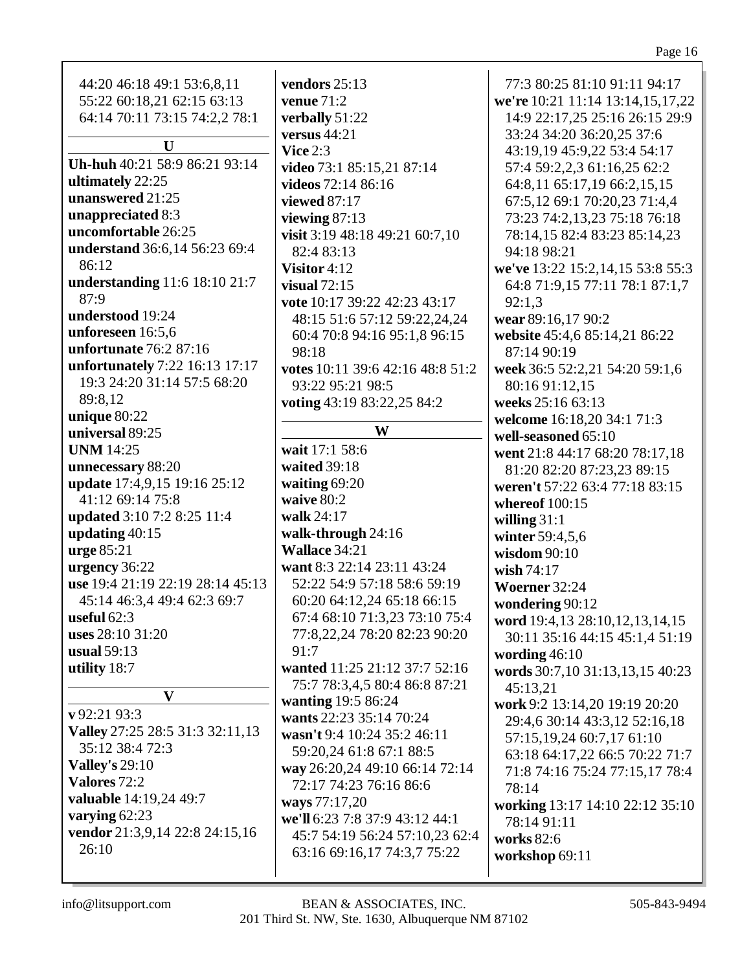| 44:20 46:18 49:1 53:6,8,11<br>55:22 60:18,21 62:15 63:13<br>64:14 70:11 73:15 74:2,2 78:1<br>U<br>Uh-huh 40:21 58:9 86:21 93:14<br>ultimately 22:25<br>unanswered 21:25<br>unappreciated 8:3<br>uncomfortable 26:25<br>understand 36:6,14 56:23 69:4<br>86:12<br>understanding 11:6 18:10 21:7<br>87:9<br>understood 19:24<br>unforeseen 16:5,6<br>unfortunate 76:2 87:16<br>unfortunately 7:22 16:13 17:17<br>19:3 24:20 31:14 57:5 68:20<br>89:8,12<br>unique 80:22<br>universal 89:25<br><b>UNM</b> 14:25<br>unnecessary 88:20<br>update 17:4,9,15 19:16 25:12<br>41:12 69:14 75:8<br>updated 3:10 7:2 8:25 11:4<br>updating $40:15$<br>urge 85:21<br>urgency 36:22<br>use 19:4 21:19 22:19 28:14 45:13<br>45:14 46:3,4 49:4 62:3 69:7<br>useful $62:3$<br>uses 28:10 31:20<br>usual $59:13$<br>utility $18:7$<br>$\mathbf{V}$<br>$\bf{v}$ 92:21 93:3<br>Valley 27:25 28:5 31:3 32:11,13<br>35:12 38:4 72:3 | vendors 25:13<br>venue $71:2$<br>verbally 51:22<br>versus $44:21$<br>Vice $2:3$<br>video 73:1 85:15,21 87:14<br>videos 72:14 86:16<br>viewed 87:17<br>viewing 87:13<br>visit 3:19 48:18 49:21 60:7,10<br>82:4 83:13<br>Visitor 4:12<br>visual $72:15$<br>vote 10:17 39:22 42:23 43:17<br>48:15 51:6 57:12 59:22,24,24<br>60:4 70:8 94:16 95:1,8 96:15<br>98:18<br>votes 10:11 39:6 42:16 48:8 51:2<br>93:22 95:21 98:5<br>voting 43:19 83:22,25 84:2<br>W<br>wait 17:1 58:6<br>waited 39:18<br>waiting 69:20<br>waive 80:2<br>walk 24:17<br>walk-through 24:16<br>Wallace 34:21<br>want 8:3 22:14 23:11 43:24<br>52:22 54:9 57:18 58:6 59:19<br>60:20 64:12,24 65:18 66:15<br>67:4 68:10 71:3,23 73:10 75:4<br>77:8,22,24 78:20 82:23 90:20<br>91:7<br>wanted 11:25 21:12 37:7 52:16<br>75:7 78:3,4,5 80:4 86:8 87:21<br>wanting 19:5 86:24<br>wants 22:23 35:14 70:24<br>wasn't 9:4 10:24 35:2 46:11<br>59:20,24 61:8 67:1 88:5 | 77:3 80:25 81:10 91:11 94:17<br>we're 10:21 11:14 13:14,15,17,22<br>14:9 22:17,25 25:16 26:15 29:9<br>33:24 34:20 36:20,25 37:6<br>43:19,19 45:9,22 53:4 54:17<br>57:4 59:2,2,3 61:16,25 62:2<br>64:8,11 65:17,19 66:2,15,15<br>67:5,12 69:1 70:20,23 71:4,4<br>73:23 74:2,13,23 75:18 76:18<br>78:14,15 82:4 83:23 85:14,23<br>94:18 98:21<br>we've 13:22 15:2,14,15 53:8 55:3<br>64:8 71:9,15 77:11 78:1 87:1,7<br>92:1,3<br>wear 89:16,17 90:2<br>website 45:4,6 85:14,21 86:22<br>87:14 90:19<br>week 36:5 52:2,21 54:20 59:1,6<br>80:16 91:12,15<br>weeks 25:16 63:13<br>welcome 16:18,20 34:1 71:3<br>well-seasoned 65:10<br>went 21:8 44:17 68:20 78:17,18<br>81:20 82:20 87:23,23 89:15<br>weren't 57:22 63:4 77:18 83:15<br>whereof $100:15$<br>willing $31:1$<br>winter 59:4,5,6<br>wisdom 90:10<br>wish $74:17$<br>Woerner 32:24<br>wondering 90:12<br>word 19:4,13 28:10,12,13,14,15<br>30:11 35:16 44:15 45:1,4 51:19<br>wording $46:10$<br>words 30:7,10 31:13,13,15 40:23<br>45:13,21<br>work 9:2 13:14,20 19:19 20:20<br>29:4,6 30:14 43:3,12 52:16,18<br>57:15,19,24 60:7,17 61:10<br>63:18 64:17,22 66:5 70:22 71:7 |
|----------------------------------------------------------------------------------------------------------------------------------------------------------------------------------------------------------------------------------------------------------------------------------------------------------------------------------------------------------------------------------------------------------------------------------------------------------------------------------------------------------------------------------------------------------------------------------------------------------------------------------------------------------------------------------------------------------------------------------------------------------------------------------------------------------------------------------------------------------------------------------------------------------------|----------------------------------------------------------------------------------------------------------------------------------------------------------------------------------------------------------------------------------------------------------------------------------------------------------------------------------------------------------------------------------------------------------------------------------------------------------------------------------------------------------------------------------------------------------------------------------------------------------------------------------------------------------------------------------------------------------------------------------------------------------------------------------------------------------------------------------------------------------------------------------------------------------------------------------|---------------------------------------------------------------------------------------------------------------------------------------------------------------------------------------------------------------------------------------------------------------------------------------------------------------------------------------------------------------------------------------------------------------------------------------------------------------------------------------------------------------------------------------------------------------------------------------------------------------------------------------------------------------------------------------------------------------------------------------------------------------------------------------------------------------------------------------------------------------------------------------------------------------------------------------------------------------------------------------------------------------------------------------------------------------------------------------------------------------------------------------|
|                                                                                                                                                                                                                                                                                                                                                                                                                                                                                                                                                                                                                                                                                                                                                                                                                                                                                                                |                                                                                                                                                                                                                                                                                                                                                                                                                                                                                                                                                                                                                                                                                                                                                                                                                                                                                                                                  |                                                                                                                                                                                                                                                                                                                                                                                                                                                                                                                                                                                                                                                                                                                                                                                                                                                                                                                                                                                                                                                                                                                                       |
|                                                                                                                                                                                                                                                                                                                                                                                                                                                                                                                                                                                                                                                                                                                                                                                                                                                                                                                |                                                                                                                                                                                                                                                                                                                                                                                                                                                                                                                                                                                                                                                                                                                                                                                                                                                                                                                                  |                                                                                                                                                                                                                                                                                                                                                                                                                                                                                                                                                                                                                                                                                                                                                                                                                                                                                                                                                                                                                                                                                                                                       |
|                                                                                                                                                                                                                                                                                                                                                                                                                                                                                                                                                                                                                                                                                                                                                                                                                                                                                                                |                                                                                                                                                                                                                                                                                                                                                                                                                                                                                                                                                                                                                                                                                                                                                                                                                                                                                                                                  |                                                                                                                                                                                                                                                                                                                                                                                                                                                                                                                                                                                                                                                                                                                                                                                                                                                                                                                                                                                                                                                                                                                                       |
|                                                                                                                                                                                                                                                                                                                                                                                                                                                                                                                                                                                                                                                                                                                                                                                                                                                                                                                |                                                                                                                                                                                                                                                                                                                                                                                                                                                                                                                                                                                                                                                                                                                                                                                                                                                                                                                                  |                                                                                                                                                                                                                                                                                                                                                                                                                                                                                                                                                                                                                                                                                                                                                                                                                                                                                                                                                                                                                                                                                                                                       |
|                                                                                                                                                                                                                                                                                                                                                                                                                                                                                                                                                                                                                                                                                                                                                                                                                                                                                                                |                                                                                                                                                                                                                                                                                                                                                                                                                                                                                                                                                                                                                                                                                                                                                                                                                                                                                                                                  |                                                                                                                                                                                                                                                                                                                                                                                                                                                                                                                                                                                                                                                                                                                                                                                                                                                                                                                                                                                                                                                                                                                                       |
| <b>Valley's 29:10</b>                                                                                                                                                                                                                                                                                                                                                                                                                                                                                                                                                                                                                                                                                                                                                                                                                                                                                          |                                                                                                                                                                                                                                                                                                                                                                                                                                                                                                                                                                                                                                                                                                                                                                                                                                                                                                                                  |                                                                                                                                                                                                                                                                                                                                                                                                                                                                                                                                                                                                                                                                                                                                                                                                                                                                                                                                                                                                                                                                                                                                       |
| Valores 72:2                                                                                                                                                                                                                                                                                                                                                                                                                                                                                                                                                                                                                                                                                                                                                                                                                                                                                                   | way 26:20,24 49:10 66:14 72:14                                                                                                                                                                                                                                                                                                                                                                                                                                                                                                                                                                                                                                                                                                                                                                                                                                                                                                   | 71:8 74:16 75:24 77:15,17 78:4                                                                                                                                                                                                                                                                                                                                                                                                                                                                                                                                                                                                                                                                                                                                                                                                                                                                                                                                                                                                                                                                                                        |
| valuable 14:19,24 49:7                                                                                                                                                                                                                                                                                                                                                                                                                                                                                                                                                                                                                                                                                                                                                                                                                                                                                         | 72:17 74:23 76:16 86:6                                                                                                                                                                                                                                                                                                                                                                                                                                                                                                                                                                                                                                                                                                                                                                                                                                                                                                           | 78:14                                                                                                                                                                                                                                                                                                                                                                                                                                                                                                                                                                                                                                                                                                                                                                                                                                                                                                                                                                                                                                                                                                                                 |
|                                                                                                                                                                                                                                                                                                                                                                                                                                                                                                                                                                                                                                                                                                                                                                                                                                                                                                                | ways 77:17,20                                                                                                                                                                                                                                                                                                                                                                                                                                                                                                                                                                                                                                                                                                                                                                                                                                                                                                                    | working 13:17 14:10 22:12 35:10                                                                                                                                                                                                                                                                                                                                                                                                                                                                                                                                                                                                                                                                                                                                                                                                                                                                                                                                                                                                                                                                                                       |
| varying 62:23                                                                                                                                                                                                                                                                                                                                                                                                                                                                                                                                                                                                                                                                                                                                                                                                                                                                                                  | we'll 6:23 7:8 37:9 43:12 44:1                                                                                                                                                                                                                                                                                                                                                                                                                                                                                                                                                                                                                                                                                                                                                                                                                                                                                                   | 78:14 91:11                                                                                                                                                                                                                                                                                                                                                                                                                                                                                                                                                                                                                                                                                                                                                                                                                                                                                                                                                                                                                                                                                                                           |
| vendor 21:3,9,14 22:8 24:15,16                                                                                                                                                                                                                                                                                                                                                                                                                                                                                                                                                                                                                                                                                                                                                                                                                                                                                 | 45:7 54:19 56:24 57:10,23 62:4                                                                                                                                                                                                                                                                                                                                                                                                                                                                                                                                                                                                                                                                                                                                                                                                                                                                                                   | works 82:6                                                                                                                                                                                                                                                                                                                                                                                                                                                                                                                                                                                                                                                                                                                                                                                                                                                                                                                                                                                                                                                                                                                            |
| 26:10                                                                                                                                                                                                                                                                                                                                                                                                                                                                                                                                                                                                                                                                                                                                                                                                                                                                                                          | 63:16 69:16,17 74:3,7 75:22                                                                                                                                                                                                                                                                                                                                                                                                                                                                                                                                                                                                                                                                                                                                                                                                                                                                                                      | workshop 69:11                                                                                                                                                                                                                                                                                                                                                                                                                                                                                                                                                                                                                                                                                                                                                                                                                                                                                                                                                                                                                                                                                                                        |
|                                                                                                                                                                                                                                                                                                                                                                                                                                                                                                                                                                                                                                                                                                                                                                                                                                                                                                                |                                                                                                                                                                                                                                                                                                                                                                                                                                                                                                                                                                                                                                                                                                                                                                                                                                                                                                                                  |                                                                                                                                                                                                                                                                                                                                                                                                                                                                                                                                                                                                                                                                                                                                                                                                                                                                                                                                                                                                                                                                                                                                       |